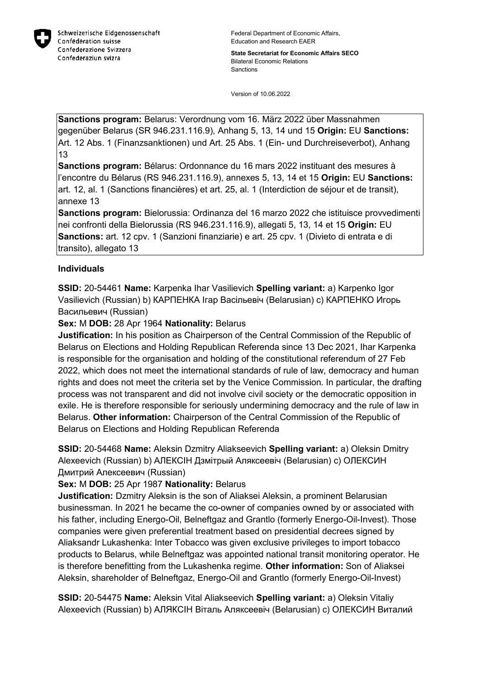

**State Secretariat for Economic Affairs SECO** Bilateral Economic Relations Sanctions

Version of 10.06.2022

**Sanctions program:** Belarus: Verordnung vom 16. März 2022 über Massnahmen gegenüber Belarus (SR 946.231.116.9), Anhang 5, 13, 14 und 15 **Origin:** EU **Sanctions:** Art. 12 Abs. 1 (Finanzsanktionen) und Art. 25 Abs. 1 (Ein- und Durchreiseverbot), Anhang 13

**Sanctions program:** Bélarus: Ordonnance du 16 mars 2022 instituant des mesures à l'encontre du Bélarus (RS 946.231.116.9), annexes 5, 13, 14 et 15 **Origin:** EU **Sanctions:** art. 12, al. 1 (Sanctions financières) et art. 25, al. 1 (Interdiction de séjour et de transit), annexe 13

**Sanctions program:** Bielorussia: Ordinanza del 16 marzo 2022 che istituisce provvedimenti nei confronti della Bielorussia (RS 946.231.116.9), allegati 5, 13, 14 et 15 **Origin:** EU **Sanctions:** art. 12 cpv. 1 (Sanzioni finanziarie) e art. 25 cpv. 1 (Divieto di entrata e di transito), allegato 13

# **Individuals**

**SSID:** 20-54461 **Name:** Karpenka Ihar Vasilievich **Spelling variant:** a) Karpenko Igor Vasilievich (Russian) b) КАРПЕНКА Iгар Васiльевiч (Belarusian) c) КАРПЕНКО Игорь Васильевич (Russian)

**Sex:** M **DOB:** 28 Apr 1964 **Nationality:** Belarus

**Justification:** In his position as Chairperson of the Central Commission of the Republic of Belarus on Elections and Holding Republican Referenda since 13 Dec 2021, Ihar Karpenka is responsible for the organisation and holding of the constitutional referendum of 27 Feb 2022, which does not meet the international standards of rule of law, democracy and human rights and does not meet the criteria set by the Venice Commission. In particular, the drafting process was not transparent and did not involve civil society or the democratic opposition in exile. He is therefore responsible for seriously undermining democracy and the rule of law in Belarus. **Other information:** Chairperson of the Central Commission of the Republic of Belarus on Elections and Holding Republican Referenda

**SSID:** 20-54468 **Name:** Aleksin Dzmitry Aliakseevich **Spelling variant:** a) Oleksin Dmitry Alexeevich (Russian) b) АЛЕКСIН Дзмiтрый Аляксеевiч (Belarusian) c) ОЛЕКСИН Дмитрий Алексеевич (Russian)

**Sex:** M **DOB:** 25 Apr 1987 **Nationality:** Belarus

**Justification:** Dzmitry Aleksin is the son of Aliaksei Aleksin, a prominent Belarusian businessman. In 2021 he became the co-owner of companies owned by or associated with his father, including Energo-Oil, Belneftgaz and Grantlo (formerly Energo-Oil-Invest). Those companies were given preferential treatment based on presidential decrees signed by Aliaksandr Lukashenka: Inter Tobacco was given exclusive privileges to import tobacco products to Belarus, while Belneftgaz was appointed national transit monitoring operator. He is therefore benefitting from the Lukashenka regime. **Other information:** Son of Aliaksei Aleksin, shareholder of Belneftgaz, Energo-Oil and Grantlo (formerly Energo-Oil-Invest)

**SSID:** 20-54475 **Name:** Aleksin Vital Aliakseevich **Spelling variant:** a) Oleksin Vitaliy Alexeevich (Russian) b) АЛЯКСIН Вiталь Аляксеевiч (Belarusian) c) ОЛЕКСИН Виталий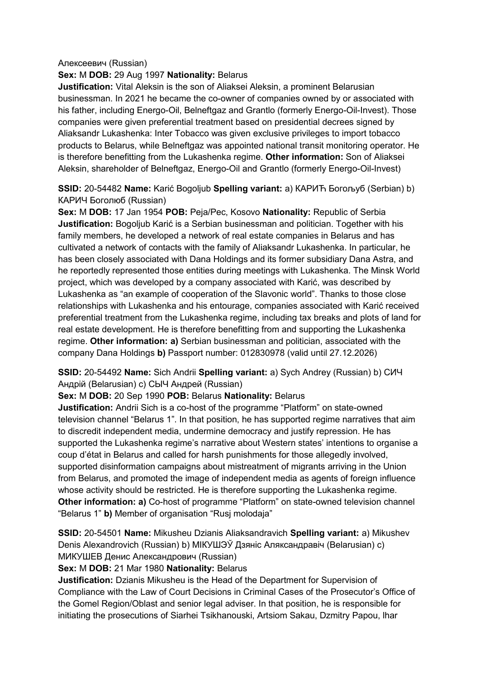## Алексеевич (Russian)

## **Sex:** M **DOB:** 29 Aug 1997 **Nationality:** Belarus

**Justification:** Vital Aleksin is the son of Aliaksei Aleksin, a prominent Belarusian businessman. In 2021 he became the co-owner of companies owned by or associated with his father, including Energo-Oil, Belneftgaz and Grantlo (formerly Energo-Oil-Invest). Those companies were given preferential treatment based on presidential decrees signed by Aliaksandr Lukashenka: Inter Tobacco was given exclusive privileges to import tobacco products to Belarus, while Belneftgaz was appointed national transit monitoring operator. He is therefore benefitting from the Lukashenka regime. **Other information:** Son of Aliaksei Aleksin, shareholder of Belneftgaz, Energo-Oil and Grantlo (formerly Energo-Oil-Invest)

## **SSID:** 20-54482 **Name:** Karić Bogoljub **Spelling variant:** a) КАРИЋ Богољуб (Serbian) b) КАРИЧ Боголюб (Russian)

**Sex:** M **DOB:** 17 Jan 1954 **POB:** Peja/Pec, Kosovo **Nationality:** Republic of Serbia **Justification:** Bogoljub Karić is a Serbian businessman and politician. Together with his family members, he developed a network of real estate companies in Belarus and has cultivated a network of contacts with the family of Aliaksandr Lukashenka. In particular, he has been closely associated with Dana Holdings and its former subsidiary Dana Astra, and he reportedly represented those entities during meetings with Lukashenka. The Minsk World project, which was developed by a company associated with Karić, was described by Lukashenka as "an example of cooperation of the Slavonic world". Thanks to those close relationships with Lukashenka and his entourage, companies associated with Karić received preferential treatment from the Lukashenka regime, including tax breaks and plots of land for real estate development. He is therefore benefitting from and supporting the Lukashenka regime. **Other information: a)** Serbian businessman and politician, associated with the company Dana Holdings **b)** Passport number: 012830978 (valid until 27.12.2026)

# **SSID:** 20-54492 **Name:** Sich Andrii **Spelling variant:** a) Sych Andrey (Russian) b) СИЧ Андрiй (Belarusian) c) СЫЧ Андрей (Russian)

## **Sex:** M **DOB:** 20 Sep 1990 **POB:** Belarus **Nationality:** Belarus

**Justification:** Andrii Sich is a co-host of the programme "Platform" on state-owned television channel "Belarus 1". In that position, he has supported regime narratives that aim to discredit independent media, undermine democracy and justify repression. He has supported the Lukashenka regime's narrative about Western states' intentions to organise a coup d'état in Belarus and called for harsh punishments for those allegedly involved, supported disinformation campaigns about mistreatment of migrants arriving in the Union from Belarus, and promoted the image of independent media as agents of foreign influence whose activity should be restricted. He is therefore supporting the Lukashenka regime. **Other information: a)** Co-host of programme "Platform" on state-owned television channel "Belarus 1" **b)** Member of organisation "Rusj molodaja"

**SSID:** 20-54501 **Name:** Mikusheu Dzianis Aliaksandravich **Spelling variant:** a) Mikushev Denis Alexandrovich (Russian) b) МIКУШЭЎ Дзянiс Аляксандравiч (Belarusian) c) МИКУШЕВ Денис Александрович (Russian)

## **Sex:** M **DOB:** 21 Mar 1980 **Nationality:** Belarus

**Justification:** Dzianis Mikusheu is the Head of the Department for Supervision of Compliance with the Law of Court Decisions in Criminal Cases of the Prosecutor's Office of the Gomel Region/Oblast and senior legal adviser. In that position, he is responsible for initiating the prosecutions of Siarhei Tsikhanouski, Artsiom Sakau, Dzmitry Papou, lhar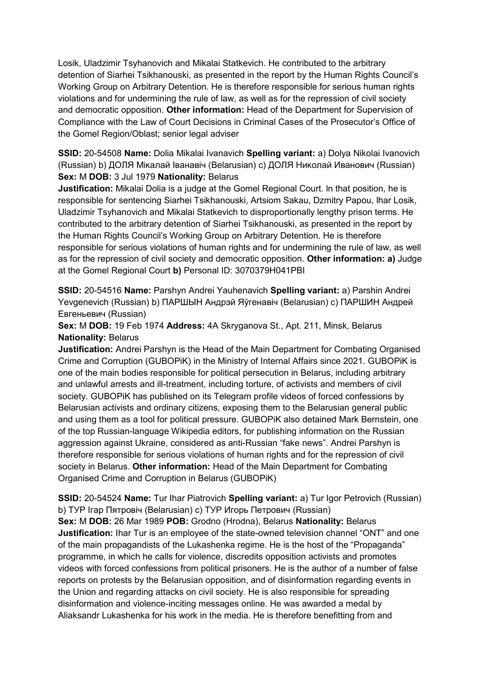Losik, Uladzimir Tsyhanovich and Mikalai Statkevich. He contributed to the arbitrary detention of Siarhei Tsikhanouski, as presented in the report by the Human Rights Council's Working Group on Arbitrary Detention. He is therefore responsible for serious human rights violations and for undermining the rule of law, as well as for the repression of civil society and democratic opposition. **Other information:** Head of the Department for Supervision of Compliance with the Law of Court Decisions in Criminal Cases of the Prosecutor's Office of the Gomel Region/Oblast; senior legal adviser

**SSID:** 20-54508 **Name:** Dolia Mikalai Ivanavich **Spelling variant:** a) Dolya Nikolai Ivanovich (Russian) b) ДОЛЯ Мiĸалай Iванавiч (Belarusian) c) ДОЛЯ Ниĸолай Иванович (Russian) **Sex:** M **DOB:** 3 Jul 1979 **Nationality:** Belarus

**Justification:** Mikalai Dolia is a judge at the Gomel Regional Court. ln that position, he is responsible for sentencing Siarhei Tsikhanouski, Artsiom Sakau, Dzmitry Papou, lhar Losik, Uladzimir Tsyhanovich and Mikalai Statkevich to disproportionally lengthy prison terms. He contributed to the arbitrary detention of Siarhei Tsikhanouski, as presented in the report by the Human Rights Council's Working Group on Arbitrary Detention. He is therefore responsible for serious violations of human rights and for undermining the rule of law, as well as for the repression of civil society and democratic opposition. **Other information: a)** Judge at the Gomel Regional Court **b)** Personal ID: 3070379H041PBI

**SSID:** 20-54516 **Name:** Parshyn Andrei Yauhenavich **Spelling variant:** a) Parshin Andrei Yevgenevich (Russian) b) ПАРШЫН Андрэй Яўгенавiч (Belarusian) c) ПАРШИН Андрей Евгеньевич (Russian)

**Sex:** M **DOB:** 19 Feb 1974 **Address:** 4A Skryganova St., Apt. 211, Minsk, Belarus **Nationality:** Belarus

**Justification:** Andrei Parshyn is the Head of the Main Department for Combating Organised Crime and Corruption (GUBOPiK) in the Ministry of Internal Affairs since 2021. GUBOPiK is one of the main bodies responsible for political persecution in Belarus, including arbitrary and unlawful arrests and ill-treatment, including torture, of activists and members of civil society. GUBOPiK has published on its Telegram profile videos of forced confessions by Belarusian activists and ordinary citizens, exposing them to the Belarusian general public and using them as a tool for political pressure. GUBOPiK also detained Mark Bernstein, one of the top Russian-language Wikipedia editors, for publishing information on the Russian aggression against Ukraine, considered as anti-Russian "fake news". Andrei Parshyn is therefore responsible for serious violations of human rights and for the repression of civil society in Belarus. **Other information:** Head of the Main Department for Combating Organised Crime and Corruption in Belarus (GUBOPiK)

**SSID:** 20-54524 **Name:** Tur Ihar Piatrovich **Spelling variant:** a) Tur Igor Petrovich (Russian) b) ТУР Iгар Пятровiч (Belarusian) c) ТУР Игорь Петрович (Russian)

**Sex:** M **DOB:** 26 Mar 1989 **POB:** Grodno (Hrodna), Belarus **Nationality:** Belarus **Justification:** Ihar Tur is an employee of the state-owned television channel "ONT" and one of the main propagandists of the Lukashenka regime. He is the host of the "Propaganda" programme, in which he calls for violence, discredits opposition activists and promotes videos with forced confessions from political prisoners. He is the author of a number of false reports on protests by the Belarusian opposition, and of disinformation regarding events in the Union and regarding attacks on civil society. He is also responsible for spreading disinformation and violence-inciting messages online. He was awarded a medal by Aliaksandr Lukashenka for his work in the media. He is therefore benefitting from and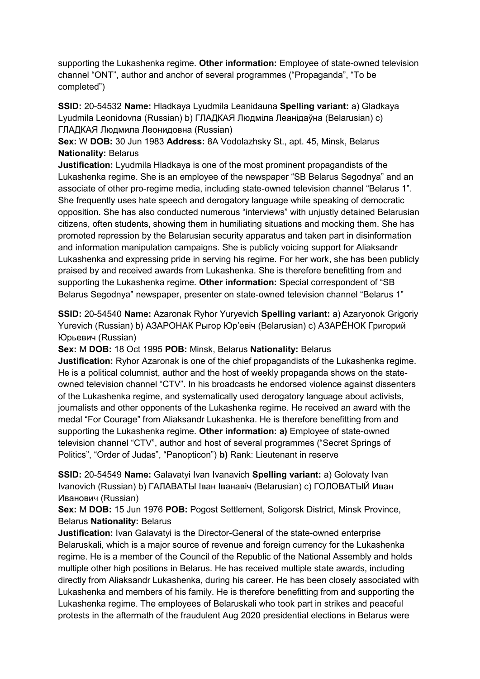supporting the Lukashenka regime. **Other information:** Employee of state-owned television channel "ONT", author and anchor of several programmes ("Propaganda", "To be completed")

**SSID:** 20-54532 **Name:** Hladkaya Lyudmila Leanidauna **Spelling variant:** a) Gladkaya Lyudmila Leonidovna (Russian) b) ГЛАДКАЯ Людмiла Леанiдаўна (Belarusian) c) ГЛАДКАЯ Людмила Леонидовна (Russian)

**Sex:** W **DOB:** 30 Jun 1983 **Address:** 8A Vodolazhsky St., apt. 45, Minsk, Belarus **Nationality:** Belarus

**Justification:** Lyudmila Hladkaya is one of the most prominent propagandists of the Lukashenka regime. She is an employee of the newspaper "SB Belarus Segodnya" and an associate of other pro-regime media, including state-owned television channel "Belarus 1". She frequently uses hate speech and derogatory language while speaking of democratic opposition. She has also conducted numerous "interviews" with unjustly detained Belarusian citizens, often students, showing them in humiliating situations and mocking them. She has promoted repression by the Belarusian security apparatus and taken part in disinformation and information manipulation campaigns. She is publicly voicing support for Aliaksandr Lukashenka and expressing pride in serving his regime. For her work, she has been publicly praised by and received awards from Lukashenka. She is therefore benefitting from and supporting the Lukashenka regime. **Other information:** Special correspondent of "SB Belarus Segodnya" newspaper, presenter on state-owned television channel "Belarus 1"

**SSID:** 20-54540 **Name:** Azaronak Ryhor Yuryevich **Spelling variant:** a) Azaryonok Grigoriy Yurevich (Russian) b) АЗАРОНАК Рыгор Юр'евiч (Belarusian) c) АЗАРЁНОК Григорий Юрьевич (Russian)

**Sex:** M **DOB:** 18 Oct 1995 **POB:** Minsk, Belarus **Nationality:** Belarus

**Justification:** Ryhor Azaronak is one of the chief propagandists of the Lukashenka regime. He is a political columnist, author and the host of weekly propaganda shows on the stateowned television channel "CTV". In his broadcasts he endorsed violence against dissenters of the Lukashenka regime, and systematically used derogatory language about activists, journalists and other opponents of the Lukashenka regime. He received an award with the medal "For Courage" from Aliaksandr Lukashenka. He is therefore benefitting from and supporting the Lukashenka regime. **Other information: a)** Employee of state-owned television channel "CTV", author and host of several programmes ("Secret Springs of Politics", "Order of Judas", "Panopticon") **b)** Rank: Lieutenant in reserve

**SSID:** 20-54549 **Name:** Galavatyi Ivan Ivanavich **Spelling variant:** a) Golovaty Ivan Ivanovich (Russian) b) ГАЛАВАТЫ Iван Iванавiч (Belarusian) c) ГОЛОВАТЫЙ Иван Иванович (Russian)

**Sex:** M **DOB:** 15 Jun 1976 **POB:** Pogost Settlement, Soligorsk District, Minsk Province, Belarus **Nationality:** Belarus

**Justification:** Ivan Galavatyi is the Director-General of the state-owned enterprise Belaruskali, which is a major source of revenue and foreign currency for the Lukashenka regime. He is a member of the Council of the Republic of the National Assembly and holds multiple other high positions in Belarus. He has received multiple state awards, including directly from Aliaksandr Lukashenka, during his career. He has been closely associated with Lukashenka and members of his family. He is therefore benefitting from and supporting the Lukashenka regime. The employees of Belaruskali who took part in strikes and peaceful protests in the aftermath of the fraudulent Aug 2020 presidential elections in Belarus were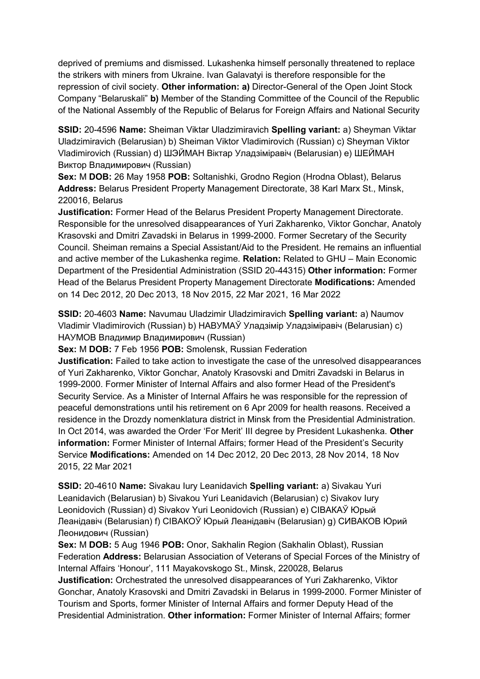deprived of premiums and dismissed. Lukashenka himself personally threatened to replace the strikers with miners from Ukraine. Ivan Galavatyi is therefore responsible for the repression of civil society. **Other information: a)** Director-General of the Open Joint Stock Company "Belaruskali" **b)** Member of the Standing Committee of the Council of the Republic of the National Assembly of the Republic of Belarus for Foreign Affairs and National Security

**SSID:** 20-4596 **Name:** Sheiman Viktar Uladzimiravich **Spelling variant:** a) Sheyman Viktar Uladzimiravich (Belarusian) b) Sheiman Viktor Vladimirovich (Russian) c) Sheyman Viktor Vladimirovich (Russian) d) ШЭЙМАН Віктар Уладзіміравіч (Belarusian) e) ШЕЙМАН Виктор Владимирович (Russian)

**Sex:** M **DOB:** 26 May 1958 **POB:** Soltanishki, Grodno Region (Hrodna Oblast), Belarus **Address:** Belarus President Property Management Directorate, 38 Karl Marx St., Minsk, 220016, Belarus

**Justification:** Former Head of the Belarus President Property Management Directorate. Responsible for the unresolved disappearances of Yuri Zakharenko, Viktor Gonchar, Anatoly Krasovski and Dmitri Zavadski in Belarus in 1999-2000. Former Secretary of the Security Council. Sheiman remains a Special Assistant/Aid to the President. He remains an influential and active member of the Lukashenka regime. **Relation:** Related to GHU – Main Economic Department of the Presidential Administration (SSID 20-44315) **Other information:** Former Head of the Belarus President Property Management Directorate **Modifications:** Amended on 14 Dec 2012, 20 Dec 2013, 18 Nov 2015, 22 Mar 2021, 16 Mar 2022

**SSID:** 20-4603 **Name:** Navumau Uladzimir Uladzimiravich **Spelling variant:** a) Naumov Vladimir Vladimirovich (Russian) b) НАВУМАЎ Уладзімір Уладзіміравіч (Belarusian) c) НАУМОВ Владимир Владимирович (Russian)

**Sex:** M **DOB:** 7 Feb 1956 **POB:** Smolensk, Russian Federation

**Justification:** Failed to take action to investigate the case of the unresolved disappearances of Yuri Zakharenko, Viktor Gonchar, Anatoly Krasovski and Dmitri Zavadski in Belarus in 1999-2000. Former Minister of Internal Affairs and also former Head of the President's Security Service. As a Minister of Internal Affairs he was responsible for the repression of peaceful demonstrations until his retirement on 6 Apr 2009 for health reasons. Received a residence in the Drozdy nomenklatura district in Minsk from the Presidential Administration. In Oct 2014, was awarded the Order 'For Merit' III degree by President Lukashenka. **Other information:** Former Minister of Internal Affairs; former Head of the President's Security Service **Modifications:** Amended on 14 Dec 2012, 20 Dec 2013, 28 Nov 2014, 18 Nov 2015, 22 Mar 2021

**SSID:** 20-4610 **Name:** Sivakau Iury Leanidavich **Spelling variant:** a) Sivakau Yuri Leanidavich (Belarusian) b) Sivakou Yuri Leanidavich (Belarusian) c) Sivakov Iury Leonidovich (Russian) d) Sivakov Yuri Leonidovich (Russian) e) СIВАКАЎ Юрый Леанiдавiч (Belarusian) f) СIВАКОЎ Юрый Леанiдавiч (Belarusian) g) СИВАКОВ Юрий Леонидович (Russian)

**Sex:** M **DOB:** 5 Aug 1946 **POB:** Onor, Sakhalin Region (Sakhalin Oblast), Russian Federation **Address:** Belarusian Association of Veterans of Special Forces of the Ministry of Internal Affairs 'Honour', 111 Mayakovskogo St., Minsk, 220028, Belarus **Justification:** Orchestrated the unresolved disappearances of Yuri Zakharenko, Viktor Gonchar, Anatoly Krasovski and Dmitri Zavadski in Belarus in 1999-2000. Former Minister of Tourism and Sports, former Minister of Internal Affairs and former Deputy Head of the Presidential Administration. **Other information:** Former Minister of Internal Affairs; former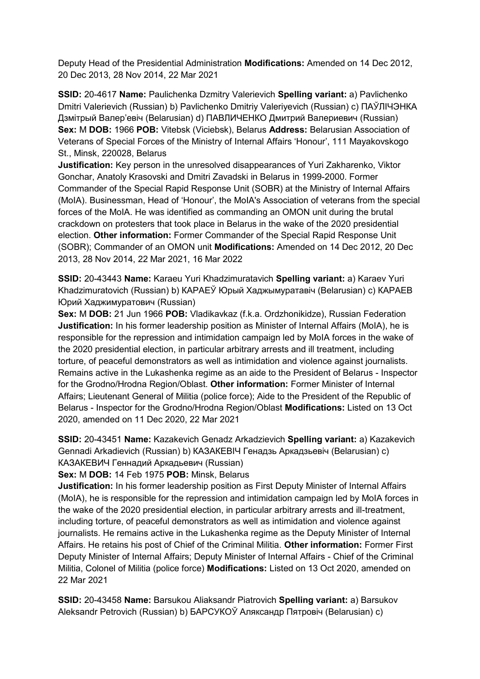Deputy Head of the Presidential Administration **Modifications:** Amended on 14 Dec 2012, 20 Dec 2013, 28 Nov 2014, 22 Mar 2021

**SSID:** 20-4617 **Name:** Paulichenka Dzmitry Valerievich **Spelling variant:** a) Pavlichenko Dmitri Valerievich (Russian) b) Pavlichenko Dmitriy Valeriyevich (Russian) c) ПАЎЛIЧЭНКА Дзмiтрый Валер'евіч (Belarusian) d) ПАВЛИЧЕНКО Дмитрий Валериевич (Russian) **Sex:** M **DOB:** 1966 **POB:** Vitebsk (Viciebsk), Belarus **Address:** Belarusian Association of Veterans of Special Forces of the Ministry of Internal Affairs 'Honour', 111 Mayakovskogo St., Minsk, 220028, Belarus

**Justification:** Key person in the unresolved disappearances of Yuri Zakharenko, Viktor Gonchar, Anatoly Krasovski and Dmitri Zavadski in Belarus in 1999-2000. Former Commander of the Special Rapid Response Unit (SOBR) at the Ministry of Internal Affairs (MoIA). Businessman, Head of 'Honour', the MoIA's Association of veterans from the special forces of the MoIA. He was identified as commanding an OMON unit during the brutal crackdown on protesters that took place in Belarus in the wake of the 2020 presidential election. **Other information:** Former Commander of the Special Rapid Response Unit (SOBR); Commander of an OMON unit **Modifications:** Amended on 14 Dec 2012, 20 Dec 2013, 28 Nov 2014, 22 Mar 2021, 16 Mar 2022

**SSID:** 20-43443 **Name:** Karaeu Yuri Khadzimuratavich **Spelling variant:** a) Karaev Yuri Khadzimuratovich (Russian) b) КАРАЕЎ Юрый Хаджымуратавiч (Belarusian) c) КАРАЕВ Юрий Хаджимуратович (Russian)

**Sex:** M **DOB:** 21 Jun 1966 **POB:** Vladikavkaz (f.k.a. Ordzhonikidze), Russian Federation **Justification:** In his former leadership position as Minister of Internal Affairs (MoIA), he is responsible for the repression and intimidation campaign led by MoIA forces in the wake of the 2020 presidential election, in particular arbitrary arrests and ill treatment, including torture, of peaceful demonstrators as well as intimidation and violence against journalists. Remains active in the Lukashenka regime as an aide to the President of Belarus - Inspector for the Grodno/Hrodna Region/Oblast. **Other information:** Former Minister of Internal Affairs; Lieutenant General of Militia (police force); Aide to the President of the Republic of Belarus - Inspector for the Grodno/Hrodna Region/Oblast **Modifications:** Listed on 13 Oct 2020, amended on 11 Dec 2020, 22 Mar 2021

**SSID:** 20-43451 **Name:** Kazakevich Genadz Arkadzievich **Spelling variant:** a) Kazakevich Gennadi Arkadievich (Russian) b) КАЗАКЕВIЧ Генадзь Аркадзьевiч (Belarusian) c) КАЗАКЕВИЧ Геннадий Аркадьевич (Russian)

**Sex:** M **DOB:** 14 Feb 1975 **POB:** Minsk, Belarus

**Justification:** In his former leadership position as First Deputy Minister of Internal Affairs (MoIA), he is responsible for the repression and intimidation campaign led by MoIA forces in the wake of the 2020 presidential election, in particular arbitrary arrests and ill-treatment, including torture, of peaceful demonstrators as well as intimidation and violence against journalists. He remains active in the Lukashenka regime as the Deputy Minister of Internal Affairs. He retains his post of Chief of the Criminal Militia. **Other information:** Former First Deputy Minister of Internal Affairs; Deputy Minister of Internal Affairs - Chief of the Criminal Militia, Colonel of Militia (police force) **Modifications:** Listed on 13 Oct 2020, amended on 22 Mar 2021

**SSID:** 20-43458 **Name:** Barsukou Aliaksandr Piatrovich **Spelling variant:** a) Barsukov Aleksandr Petrovich (Russian) b) БАРСУКОЎ Аляксандр Пятровiч (Belarusian) c)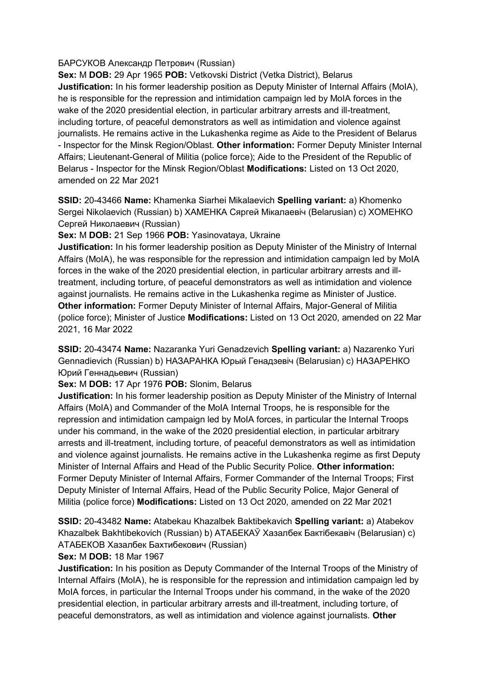## БАРСУКОВ Александр Петрович (Russian)

**Sex:** M **DOB:** 29 Apr 1965 **POB:** Vetkovski District (Vetka District), Belarus **Justification:** In his former leadership position as Deputy Minister of Internal Affairs (MoIA), he is responsible for the repression and intimidation campaign led by MoIA forces in the wake of the 2020 presidential election, in particular arbitrary arrests and ill-treatment, including torture, of peaceful demonstrators as well as intimidation and violence against journalists. He remains active in the Lukashenka regime as Aide to the President of Belarus - Inspector for the Minsk Region/Oblast. **Other information:** Former Deputy Minister Internal Affairs; Lieutenant-General of Militia (police force); Aide to the President of the Republic of Belarus - Inspector for the Minsk Region/Oblast **Modifications:** Listed on 13 Oct 2020, amended on 22 Mar 2021

**SSID:** 20-43466 **Name:** Khamenka Siarhei Mikalaevich **Spelling variant:** a) Khomenko Sergei Nikolaevich (Russian) b) ХАМЕНКА Сяргей Мiкалаевiч (Belarusian) c) ХОМЕНКО Сергей Николаевич (Russian)

**Sex:** M **DOB:** 21 Sep 1966 **POB:** Yasinovataya, Ukraine

**Justification:** In his former leadership position as Deputy Minister of the Ministry of Internal Affairs (MoIA), he was responsible for the repression and intimidation campaign led by MoIA forces in the wake of the 2020 presidential election, in particular arbitrary arrests and illtreatment, including torture, of peaceful demonstrators as well as intimidation and violence against journalists. He remains active in the Lukashenka regime as Minister of Justice. **Other information:** Former Deputy Minister of Internal Affairs, Major-General of Militia (police force); Minister of Justice **Modifications:** Listed on 13 Oct 2020, amended on 22 Mar 2021, 16 Mar 2022

**SSID:** 20-43474 **Name:** Nazaranka Yuri Genadzevich **Spelling variant:** a) Nazarenko Yuri Gennadievich (Russian) b) НАЗАРАНКА Юрый Генадзевiч (Belarusian) c) НАЗАРЕНКО Юрий Геннадьевич (Russian)

**Sex:** M **DOB:** 17 Apr 1976 **POB:** Slonim, Belarus

**Justification:** In his former leadership position as Deputy Minister of the Ministry of Internal Affairs (MoIA) and Commander of the MoIA Internal Troops, he is responsible for the repression and intimidation campaign led by MoIA forces, in particular the Internal Troops under his command, in the wake of the 2020 presidential election, in particular arbitrary arrests and ill-treatment, including torture, of peaceful demonstrators as well as intimidation and violence against journalists. He remains active in the Lukashenka regime as first Deputy Minister of Internal Affairs and Head of the Public Security Police. **Other information:** Former Deputy Minister of Internal Affairs, Former Commander of the Internal Troops; First Deputy Minister of Internal Affairs, Head of the Public Security Police, Major General of Militia (police force) **Modifications:** Listed on 13 Oct 2020, amended on 22 Mar 2021

**SSID:** 20-43482 **Name:** Atabekau Khazalbek Baktibekavich **Spelling variant:** a) Atabekov Khazalbek Bakhtibekovich (Russian) b) АТАБЕКАЎ Хазалбек Бактiбекавiч (Belarusian) c) АТАБЕКОВ Хазалбек Бахтибекович (Russian)

**Sex:** M **DOB:** 18 Mar 1967

**Justification:** In his position as Deputy Commander of the Internal Troops of the Ministry of Internal Affairs (MoIA), he is responsible for the repression and intimidation campaign led by MoIA forces, in particular the Internal Troops under his command, in the wake of the 2020 presidential election, in particular arbitrary arrests and ill-treatment, including torture, of peaceful demonstrators, as well as intimidation and violence against journalists. **Other**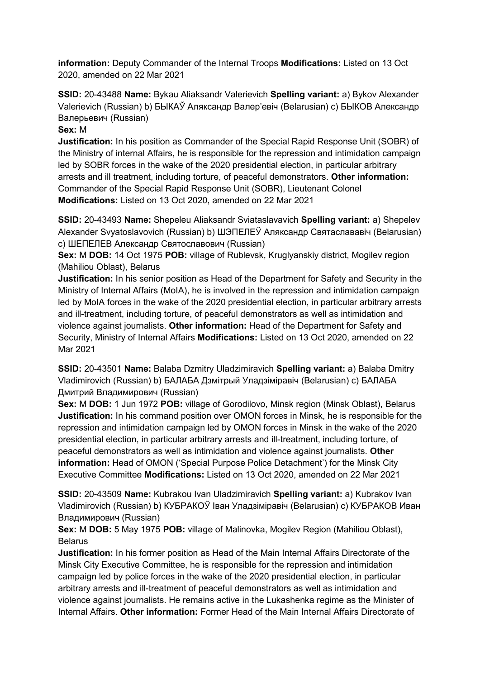**information:** Deputy Commander of the Internal Troops **Modifications:** Listed on 13 Oct 2020, amended on 22 Mar 2021

**SSID:** 20-43488 **Name:** Bykau Aliaksandr Valerievich **Spelling variant:** a) Bykov Alexander Valerievich (Russian) b) БЫКАЎ Аляксандр Валер'евiч (Belarusian) c) БЫКОВ Александр Валерьевич (Russian)

## **Sex:** M

**Justification:** In his position as Commander of the Special Rapid Response Unit (SOBR) of the Ministry of internal Affairs, he is responsible for the repression and intimidation campaign led by SOBR forces in the wake of the 2020 presidential election, in particular arbitrary arrests and ill treatment, including torture, of peaceful demonstrators. **Other information:** Commander of the Special Rapid Response Unit (SOBR), Lieutenant Colonel **Modifications:** Listed on 13 Oct 2020, amended on 22 Mar 2021

**SSID:** 20-43493 **Name:** Shepeleu Aliaksandr Sviataslavavich **Spelling variant:** a) Shepelev Alexander Svyatoslavovich (Russian) b) ШЭПЕЛЕЎ Аляксандр Святаслававiч (Belarusian) c) ШЕПЕЛЕВ Александр Святославович (Russian)

**Sex:** M **DOB:** 14 Oct 1975 **POB:** village of Rublevsk, Kruglyanskiy district, Mogilev region (Mahiliou Oblast), Belarus

**Justification:** In his senior position as Head of the Department for Safety and Security in the Ministry of Internal Affairs (MoIA), he is involved in the repression and intimidation campaign led by MoIA forces in the wake of the 2020 presidential election, in particular arbitrary arrests and ill-treatment, including torture, of peaceful demonstrators as well as intimidation and violence against journalists. **Other information:** Head of the Department for Safety and Security, Ministry of Internal Affairs **Modifications:** Listed on 13 Oct 2020, amended on 22 Mar 2021

**SSID:** 20-43501 **Name:** Balaba Dzmitry Uladzimiravich **Spelling variant:** a) Balaba Dmitry Vladimirovich (Russian) b) БАЛАБА Дзмiтрый Уладзiмiравiч (Belarusian) c) БАЛАБА Дмитрий Владимирович (Russian)

**Sex:** M **DOB:** 1 Jun 1972 **POB:** village of Gorodilovo, Minsk region (Minsk Oblast), Belarus **Justification:** In his command position over OMON forces in Minsk, he is responsible for the repression and intimidation campaign led by OMON forces in Minsk in the wake of the 2020 presidential election, in particular arbitrary arrests and ill-treatment, including torture, of peaceful demonstrators as well as intimidation and violence against journalists. **Other information:** Head of OMON ('Special Purpose Police Detachment') for the Minsk City Executive Committee **Modifications:** Listed on 13 Oct 2020, amended on 22 Mar 2021

**SSID:** 20-43509 **Name:** Kubrakou Ivan Uladzimiravich **Spelling variant:** a) Kubrakov Ivan Vladimirovich (Russian) b) КУБРАКОЎ Iван Уладзiмiравiч (Belarusian) c) КУБРАКОВ Иван Владимирович (Russian)

**Sex:** M **DOB:** 5 May 1975 **POB:** village of Malinovka, Mogilev Region (Mahiliou Oblast), Belarus

**Justification:** In his former position as Head of the Main Internal Affairs Directorate of the Minsk City Executive Committee, he is responsible for the repression and intimidation campaign led by police forces in the wake of the 2020 presidential election, in particular arbitrary arrests and ill-treatment of peaceful demonstrators as well as intimidation and violence against journalists. He remains active in the Lukashenka regime as the Minister of Internal Affairs. **Other information:** Former Head of the Main Internal Affairs Directorate of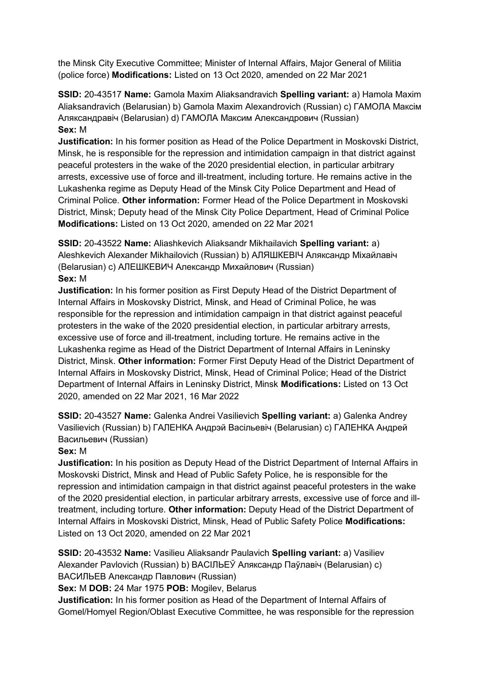the Minsk City Executive Committee; Minister of Internal Affairs, Major General of Militia (police force) **Modifications:** Listed on 13 Oct 2020, amended on 22 Mar 2021

**SSID:** 20-43517 **Name:** Gamola Maxim Aliaksandravich **Spelling variant:** a) Hamola Maxim Aliaksandravich (Belarusian) b) Gamola Maxim Alexandrovich (Russian) c) ГАМОЛА Максiм Аляксандравiч (Belarusian) d) ГАМОЛА Максим Александрович (Russian) **Sex:** M

**Justification:** In his former position as Head of the Police Department in Moskovski District, Minsk, he is responsible for the repression and intimidation campaign in that district against peaceful protesters in the wake of the 2020 presidential election, in particular arbitrary arrests, excessive use of force and ill-treatment, including torture. He remains active in the Lukashenka regime as Deputy Head of the Minsk City Police Department and Head of Criminal Police. **Other information:** Former Head of the Police Department in Moskovski District, Minsk; Deputy head of the Minsk City Police Department, Head of Criminal Police **Modifications:** Listed on 13 Oct 2020, amended on 22 Mar 2021

**SSID:** 20-43522 **Name:** Aliashkevich Aliaksandr Mikhailavich **Spelling variant:** a) Aleshkevich Alexander Mikhailovich (Russian) b) АЛЯШКЕВIЧ Аляксандр Мiхайлавiч (Belarusian) c) АЛЕШКЕВИЧ Александр Михайлович (Russian) **Sex:** M

**Justification:** In his former position as First Deputy Head of the District Department of Internal Affairs in Moskovsky District, Minsk, and Head of Criminal Police, he was responsible for the repression and intimidation campaign in that district against peaceful protesters in the wake of the 2020 presidential election, in particular arbitrary arrests, excessive use of force and ill-treatment, including torture. He remains active in the Lukashenka regime as Head of the District Department of Internal Affairs in Leninsky District, Minsk. **Other information:** Former First Deputy Head of the District Department of Internal Affairs in Moskovsky District, Minsk, Head of Criminal Police; Head of the District Department of Internal Affairs in Leninsky District, Minsk **Modifications:** Listed on 13 Oct 2020, amended on 22 Mar 2021, 16 Mar 2022

**SSID:** 20-43527 **Name:** Galenka Andrei Vasilievich **Spelling variant:** a) Galenka Andrey Vasilievich (Russian) b) ГАЛЕНКА Андрэй Васiльевiч (Belarusian) c) ГАЛЕНКА Андрей Васильевич (Russian)

## **Sex:** M

**Justification:** In his position as Deputy Head of the District Department of Internal Affairs in Moskovski District, Minsk and Head of Public Safety Police, he is responsible for the repression and intimidation campaign in that district against peaceful protesters in the wake of the 2020 presidential election, in particular arbitrary arrests, excessive use of force and illtreatment, including torture. **Other information:** Deputy Head of the District Department of Internal Affairs in Moskovski District, Minsk, Head of Public Safety Police **Modifications:**  Listed on 13 Oct 2020, amended on 22 Mar 2021

**SSID:** 20-43532 **Name:** Vasilieu Aliaksandr Paulavich **Spelling variant:** a) Vasiliev Alexander Pavlovich (Russian) b) ВАСIЛЬЕЎ Аляксандр Паўлавiч (Belarusian) c) ВАСИЛЬЕВ Александр Павлович (Russian)

**Sex:** M **DOB:** 24 Mar 1975 **POB:** Mogilev, Belarus

**Justification:** In his former position as Head of the Department of Internal Affairs of Gomel/Homyel Region/Oblast Executive Committee, he was responsible for the repression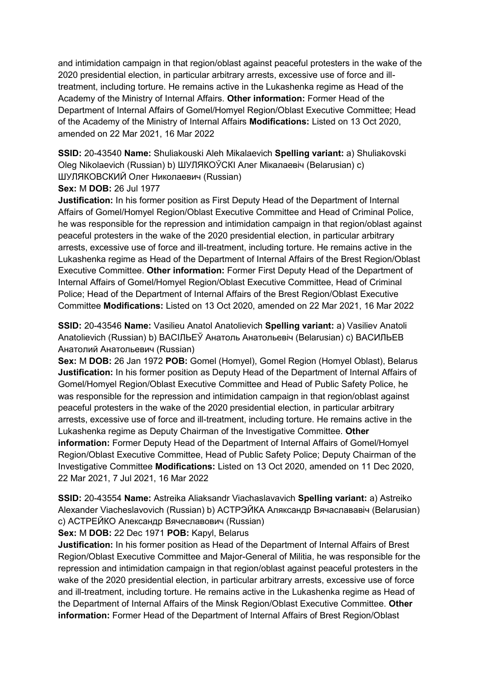and intimidation campaign in that region/oblast against peaceful protesters in the wake of the 2020 presidential election, in particular arbitrary arrests, excessive use of force and illtreatment, including torture. He remains active in the Lukashenka regime as Head of the Academy of the Ministry of Internal Affairs. **Other information:** Former Head of the Department of Internal Affairs of Gomel/Homyel Region/Oblast Executive Committee; Head of the Academy of the Ministry of Internal Affairs **Modifications:** Listed on 13 Oct 2020, amended on 22 Mar 2021, 16 Mar 2022

**SSID:** 20-43540 **Name:** Shuliakouski Aleh Mikalaevich **Spelling variant:** a) Shuliakovski Oleg Nikolaevich (Russian) b) ШУЛЯКОЎСКI Алег Мiкалаевiч (Belarusian) c) ШУЛЯКОВСКИЙ Олег Николаевич (Russian)

**Sex:** M **DOB:** 26 Jul 1977

**Justification:** In his former position as First Deputy Head of the Department of Internal Affairs of Gomel/Homyel Region/Oblast Executive Committee and Head of Criminal Police, he was responsible for the repression and intimidation campaign in that region/oblast against peaceful protesters in the wake of the 2020 presidential election, in particular arbitrary arrests, excessive use of force and ill-treatment, including torture. He remains active in the Lukashenka regime as Head of the Department of Internal Affairs of the Brest Region/Oblast Executive Committee. **Other information:** Former First Deputy Head of the Department of Internal Affairs of Gomel/Homyel Region/Oblast Executive Committee, Head of Criminal Police; Head of the Department of Internal Affairs of the Brest Region/Oblast Executive Committee **Modifications:** Listed on 13 Oct 2020, amended on 22 Mar 2021, 16 Mar 2022

**SSID:** 20-43546 **Name:** Vasilieu Anatol Anatolievich **Spelling variant:** a) Vasiliev Anatoli Anatolievich (Russian) b) ВАСIЛЬЕЎ Анатоль Анатольевiч (Belarusian) c) ВАСИЛЬЕВ Анатолий Анатольевич (Russian)

**Sex:** M **DOB:** 26 Jan 1972 **POB:** Gomel (Homyel), Gomel Region (Homyel Oblast), Belarus **Justification:** In his former position as Deputy Head of the Department of Internal Affairs of Gomel/Homyel Region/Oblast Executive Committee and Head of Public Safety Police, he was responsible for the repression and intimidation campaign in that region/oblast against peaceful protesters in the wake of the 2020 presidential election, in particular arbitrary arrests, excessive use of force and ill-treatment, including torture. He remains active in the Lukashenka regime as Deputy Chairman of the Investigative Committee. **Other information:** Former Deputy Head of the Department of Internal Affairs of Gomel/Homyel Region/Oblast Executive Committee, Head of Public Safety Police; Deputy Chairman of the Investigative Committee **Modifications:** Listed on 13 Oct 2020, amended on 11 Dec 2020, 22 Mar 2021, 7 Jul 2021, 16 Mar 2022

**SSID:** 20-43554 **Name:** Astreika Aliaksandr Viachaslavavich **Spelling variant:** a) Astreiko Alexander Viacheslavovich (Russian) b) АСТРЭЙКА Аляксандр Вячаслававiч (Belarusian) c) АСТРЕЙКО Александр Вячеславович (Russian)

**Sex:** M **DOB:** 22 Dec 1971 **POB:** Kapyl, Belarus

**Justification:** In his former position as Head of the Department of Internal Affairs of Brest Region/Oblast Executive Committee and Major-General of Militia, he was responsible for the repression and intimidation campaign in that region/oblast against peaceful protesters in the wake of the 2020 presidential election, in particular arbitrary arrests, excessive use of force and ill-treatment, including torture. He remains active in the Lukashenka regime as Head of the Department of Internal Affairs of the Minsk Region/Oblast Executive Committee. **Other information:** Former Head of the Department of Internal Affairs of Brest Region/Oblast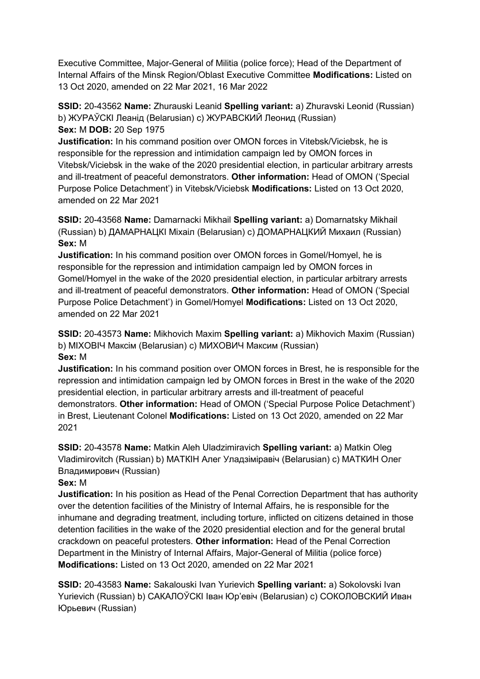Executive Committee, Major-General of Militia (police force); Head of the Department of Internal Affairs of the Minsk Region/Oblast Executive Committee **Modifications:** Listed on 13 Oct 2020, amended on 22 Mar 2021, 16 Mar 2022

**SSID:** 20-43562 **Name:** Zhurauski Leanid **Spelling variant:** a) Zhuravski Leonid (Russian) b) ЖУРАЎСКI Леанiд (Belarusian) c) ЖУРАВСКИЙ Леонид (Russian) **Sex:** M **DOB:** 20 Sep 1975

**Justification:** In his command position over OMON forces in Vitebsk/Viciebsk, he is responsible for the repression and intimidation campaign led by OMON forces in Vitebsk/Viciebsk in the wake of the 2020 presidential election, in particular arbitrary arrests and ill-treatment of peaceful demonstrators. **Other information:** Head of OMON ('Special Purpose Police Detachment') in Vitebsk/Viciebsk **Modifications:** Listed on 13 Oct 2020, amended on 22 Mar 2021

**SSID:** 20-43568 **Name:** Damarnacki Mikhail **Spelling variant:** a) Domarnatsky Mikhail (Russian) b) ДАМАРНАЦКI Мiхаiл (Belarusian) c) ДОМАРНАЦКИЙ Михаил (Russian) **Sex:** M

**Justification:** In his command position over OMON forces in Gomel/Homyel, he is responsible for the repression and intimidation campaign led by OMON forces in Gomel/Homyel in the wake of the 2020 presidential election, in particular arbitrary arrests and ill-treatment of peaceful demonstrators. **Other information:** Head of OMON ('Special Purpose Police Detachment') in Gomel/Homyel **Modifications:** Listed on 13 Oct 2020, amended on 22 Mar 2021

**SSID:** 20-43573 **Name:** Mikhovich Maxim **Spelling variant:** a) Mikhovich Maxim (Russian) b) МIХОВIЧ Максiм (Belarusian) c) МИХОВИЧ Максим (Russian) **Sex:** M

**Justification:** In his command position over OMON forces in Brest, he is responsible for the repression and intimidation campaign led by OMON forces in Brest in the wake of the 2020 presidential election, in particular arbitrary arrests and ill-treatment of peaceful demonstrators. **Other information:** Head of OMON ('Special Purpose Police Detachment') in Brest, Lieutenant Colonel **Modifications:** Listed on 13 Oct 2020, amended on 22 Mar 2021

**SSID:** 20-43578 **Name:** Matkin Aleh Uladzimiravich **Spelling variant:** a) Matkin Oleg Vladimirovitch (Russian) b) МАТКIН Алег Уладзiмiравiч (Belarusian) c) МАТКИН Олег Владимирович (Russian)

# **Sex:** M

**Justification:** In his position as Head of the Penal Correction Department that has authority over the detention facilities of the Ministry of Internal Affairs, he is responsible for the inhumane and degrading treatment, including torture, inflicted on citizens detained in those detention facilities in the wake of the 2020 presidential election and for the general brutal crackdown on peaceful protesters. **Other information:** Head of the Penal Correction Department in the Ministry of Internal Affairs, Major-General of Militia (police force) **Modifications:** Listed on 13 Oct 2020, amended on 22 Mar 2021

**SSID:** 20-43583 **Name:** Sakalouski Ivan Yurievich **Spelling variant:** a) Sokolovski Ivan Yurievich (Russian) b) САКАЛОЎСКI Iван Юр'евiч (Belarusian) c) СОКОЛОВСКИЙ Иван Юрьевич (Russian)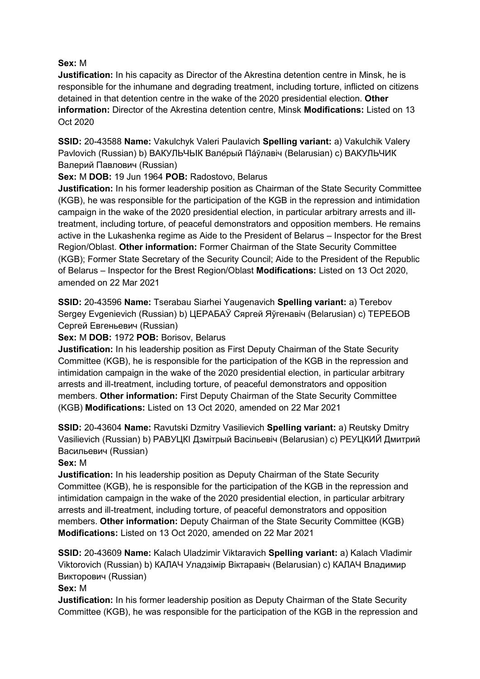# **Sex:** M

**Justification:** In his capacity as Director of the Akrestina detention centre in Minsk, he is responsible for the inhumane and degrading treatment, including torture, inflicted on citizens detained in that detention centre in the wake of the 2020 presidential election. **Other information:** Director of the Akrestina detention centre, Minsk **Modifications:** Listed on 13 Oct 2020

**SSID:** 20-43588 **Name:** Vakulchyk Valeri Paulavich **Spelling variant:** a) Vakulchik Valery Pavlovich (Russian) b) ВАКУЛЬЧЬIК Валéрый Пáўлавiч (Belarusian) c) ВАКУЛЬЧИК Валерий Павлович (Russian)

# **Sex:** M **DOB:** 19 Jun 1964 **POB:** Radostovo, Belarus

**Justification:** In his former leadership position as Chairman of the State Security Committee (KGB), he was responsible for the participation of the KGB in the repression and intimidation campaign in the wake of the 2020 presidential election, in particular arbitrary arrests and illtreatment, including torture, of peaceful demonstrators and opposition members. He remains active in the Lukashenka regime as Aide to the President of Belarus – Inspector for the Brest Region/Oblast. **Other information:** Former Chairman of the State Security Committee (KGB); Former State Secretary of the Security Council; Aide to the President of the Republic of Belarus – Inspector for the Brest Region/Oblast **Modifications:** Listed on 13 Oct 2020, amended on 22 Mar 2021

**SSID:** 20-43596 **Name:** Tserabau Siarhei Yaugenavich **Spelling variant:** a) Terebov Sergey Evgenievich (Russian) b) ЦЕРАБАЎ Сяргей Яўгенавiч (Belarusian) c) ТЕРЕБОВ Сергей Евгеньевич (Russian)

# **Sex:** M **DOB:** 1972 **POB:** Borisov, Belarus

**Justification:** In his leadership position as First Deputy Chairman of the State Security Committee (KGB), he is responsible for the participation of the KGB in the repression and intimidation campaign in the wake of the 2020 presidential election, in particular arbitrary arrests and ill-treatment, including torture, of peaceful demonstrators and opposition members. **Other information:** First Deputy Chairman of the State Security Committee (KGB) **Modifications:** Listed on 13 Oct 2020, amended on 22 Mar 2021

**SSID:** 20-43604 **Name:** Ravutski Dzmitry Vasilievich **Spelling variant:** a) Reutsky Dmitry Vasilievich (Russian) b) РАВУЦКI Дзмiтрый Васiльевiч (Belarusian) c) РЕУЦКИЙ Дмитрий Васильевич (Russian)

# **Sex:** M

**Justification:** In his leadership position as Deputy Chairman of the State Security Committee (KGB), he is responsible for the participation of the KGB in the repression and intimidation campaign in the wake of the 2020 presidential election, in particular arbitrary arrests and ill-treatment, including torture, of peaceful demonstrators and opposition members. **Other information:** Deputy Chairman of the State Security Committee (KGB) **Modifications:** Listed on 13 Oct 2020, amended on 22 Mar 2021

**SSID:** 20-43609 **Name:** Kalach Uladzimir Viktaravich **Spelling variant:** a) Kalach Vladimir Viktorovich (Russian) b) КАЛАЧ Уладзiмiр Вiктаравiч (Belarusian) c) КАЛАЧ Владимир Викторович (Russian)

# **Sex:** M

**Justification:** In his former leadership position as Deputy Chairman of the State Security Committee (KGB), he was responsible for the participation of the KGB in the repression and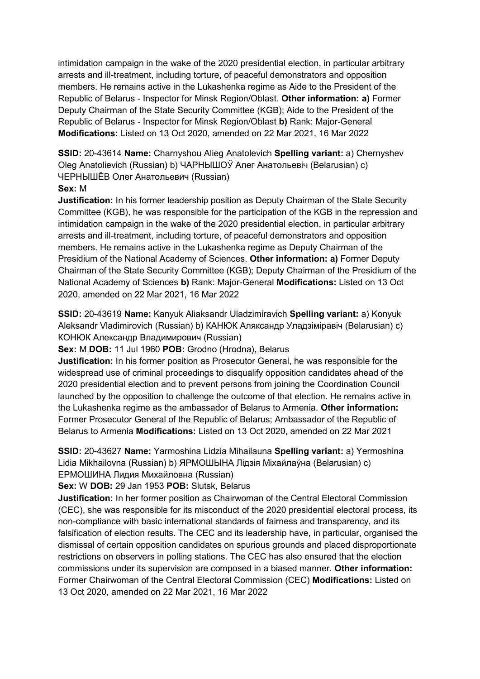intimidation campaign in the wake of the 2020 presidential election, in particular arbitrary arrests and ill-treatment, including torture, of peaceful demonstrators and opposition members. He remains active in the Lukashenka regime as Aide to the President of the Republic of Belarus - Inspector for Minsk Region/Oblast. **Other information: a)** Former Deputy Chairman of the State Security Committee (KGB); Aide to the President of the Republic of Belarus - Inspector for Minsk Region/Oblast **b)** Rank: Major-General **Modifications:** Listed on 13 Oct 2020, amended on 22 Mar 2021, 16 Mar 2022

**SSID:** 20-43614 **Name:** Charnyshou Alieg Anatolevich **Spelling variant:** a) Chernyshev Oleg Anatolievich (Russian) b) ЧАРНЫШОЎ Алег Анатольевiч (Belarusian) c) ЧЕРНЫШЁВ Олег Анатольевич (Russian)

## **Sex:** M

**Justification:** In his former leadership position as Deputy Chairman of the State Security Committee (KGB), he was responsible for the participation of the KGB in the repression and intimidation campaign in the wake of the 2020 presidential election, in particular arbitrary arrests and ill-treatment, including torture, of peaceful demonstrators and opposition members. He remains active in the Lukashenka regime as Deputy Chairman of the Presidium of the National Academy of Sciences. **Other information: a)** Former Deputy Chairman of the State Security Committee (KGB); Deputy Chairman of the Presidium of the National Academy of Sciences **b)** Rank: Major-General **Modifications:** Listed on 13 Oct 2020, amended on 22 Mar 2021, 16 Mar 2022

**SSID:** 20-43619 **Name:** Kanyuk Aliaksandr Uladzimiravich **Spelling variant:** a) Konyuk Aleksandr Vladimirovich (Russian) b) КАНЮК Аляксандр Уладзiмiравiч (Belarusian) c) КОНЮК Александр Владимирович (Russian)

**Sex:** M **DOB:** 11 Jul 1960 **POB:** Grodno (Hrodna), Belarus

**Justification:** In his former position as Prosecutor General, he was responsible for the widespread use of criminal proceedings to disqualify opposition candidates ahead of the 2020 presidential election and to prevent persons from joining the Coordination Council launched by the opposition to challenge the outcome of that election. He remains active in the Lukashenka regime as the ambassador of Belarus to Armenia. **Other information:** Former Prosecutor General of the Republic of Belarus; Ambassador of the Republic of Belarus to Armenia **Modifications:** Listed on 13 Oct 2020, amended on 22 Mar 2021

**SSID:** 20-43627 **Name:** Yarmoshina Lidzia Mihailauna **Spelling variant:** a) Yermoshina Lidia Mikhailovna (Russian) b) ЯРМОШЫНА Лiдзiя Мiхайлаўна (Belarusian) c) ЕРМОШИНА Лидия Михайловна (Russian)

**Sex:** W **DOB:** 29 Jan 1953 **POB:** Slutsk, Belarus

**Justification:** In her former position as Chairwoman of the Central Electoral Commission (CEC), she was responsible for its misconduct of the 2020 presidential electoral process, its non-compliance with basic international standards of fairness and transparency, and its falsification of election results. The CEC and its leadership have, in particular, organised the dismissal of certain opposition candidates on spurious grounds and placed disproportionate restrictions on observers in polling stations. The CEC has also ensured that the election commissions under its supervision are composed in a biased manner. **Other information:** Former Chairwoman of the Central Electoral Commission (CEC) **Modifications:** Listed on 13 Oct 2020, amended on 22 Mar 2021, 16 Mar 2022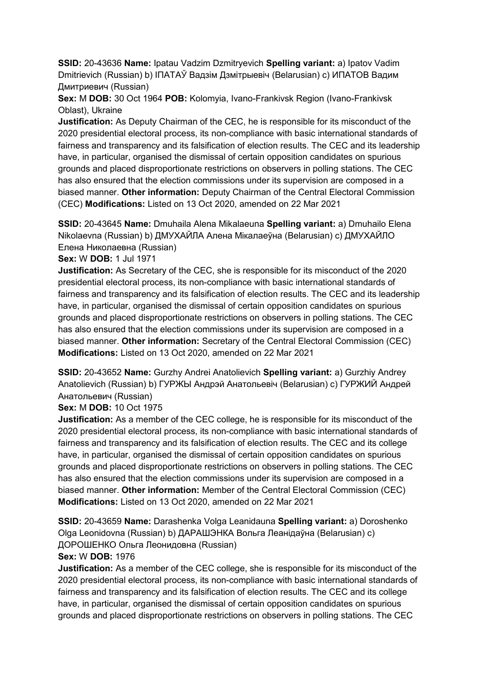**SSID:** 20-43636 **Name:** Ipatau Vadzim Dzmitryevich **Spelling variant:** a) Ipatov Vadim Dmitrievich (Russian) b) IПАТАЎ Вадзiм Дзмiтрыевiч (Belarusian) c) ИПАТОВ Вадим Дмитриевич (Russian)

**Sex:** M **DOB:** 30 Oct 1964 **POB:** Kolomyia, Ivano-Frankivsk Region (Ivano-Frankivsk Oblast), Ukraine

**Justification:** As Deputy Chairman of the CEC, he is responsible for its misconduct of the 2020 presidential electoral process, its non-compliance with basic international standards of fairness and transparency and its falsification of election results. The CEC and its leadership have, in particular, organised the dismissal of certain opposition candidates on spurious grounds and placed disproportionate restrictions on observers in polling stations. The CEC has also ensured that the election commissions under its supervision are composed in a biased manner. **Other information:** Deputy Chairman of the Central Electoral Commission (CEC) **Modifications:** Listed on 13 Oct 2020, amended on 22 Mar 2021

**SSID:** 20-43645 **Name:** Dmuhaila Alena Mikalaeuna **Spelling variant:** a) Dmuhailo Elena Nikolaevna (Russian) b) ДМУХАЙЛА Алена Мiкалаеўна (Belarusian) c) ДМУХАЙЛО Елена Николаевна (Russian)

**Sex:** W **DOB:** 1 Jul 1971

**Justification:** As Secretary of the CEC, she is responsible for its misconduct of the 2020 presidential electoral process, its non-compliance with basic international standards of fairness and transparency and its falsification of election results. The CEC and its leadership have, in particular, organised the dismissal of certain opposition candidates on spurious grounds and placed disproportionate restrictions on observers in polling stations. The CEC has also ensured that the election commissions under its supervision are composed in a biased manner. **Other information:** Secretary of the Central Electoral Commission (CEC) **Modifications:** Listed on 13 Oct 2020, amended on 22 Mar 2021

**SSID:** 20-43652 **Name:** Gurzhy Andrei Anatolievich **Spelling variant:** a) Gurzhiy Andrey Anatolievich (Russian) b) ГУРЖЫ Андрэй Анатольевiч (Belarusian) c) ГУРЖИЙ Андрей Анатольевич (Russian)

**Sex:** M **DOB:** 10 Oct 1975

**Justification:** As a member of the CEC college, he is responsible for its misconduct of the 2020 presidential electoral process, its non-compliance with basic international standards of fairness and transparency and its falsification of election results. The CEC and its college have, in particular, organised the dismissal of certain opposition candidates on spurious grounds and placed disproportionate restrictions on observers in polling stations. The CEC has also ensured that the election commissions under its supervision are composed in a biased manner. **Other information:** Member of the Central Electoral Commission (CEC) **Modifications:** Listed on 13 Oct 2020, amended on 22 Mar 2021

**SSID:** 20-43659 **Name:** Darashenka Volga Leanidauna **Spelling variant:** a) Doroshenko Olga Leonidovna (Russian) b) ДАРАШЭНКА Вольга Леанiдаўна (Belarusian) c) ДОРОШЕНКО Ольга Леонидовна (Russian)

**Sex:** W **DOB:** 1976

**Justification:** As a member of the CEC college, she is responsible for its misconduct of the 2020 presidential electoral process, its non-compliance with basic international standards of fairness and transparency and its falsification of election results. The CEC and its college have, in particular, organised the dismissal of certain opposition candidates on spurious grounds and placed disproportionate restrictions on observers in polling stations. The CEC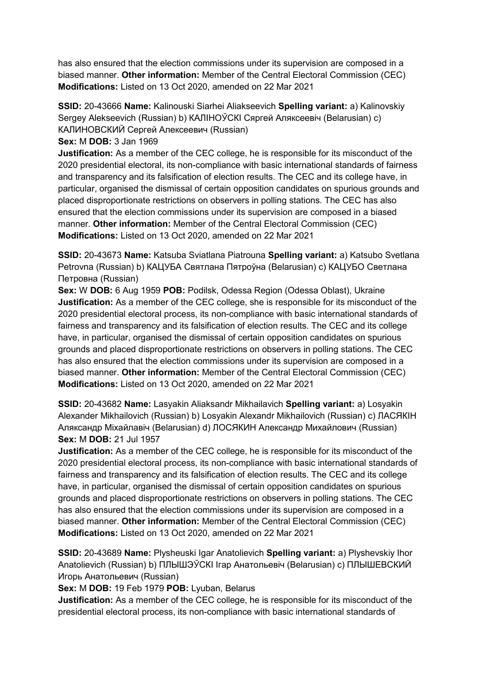has also ensured that the election commissions under its supervision are composed in a biased manner. **Other information:** Member of the Central Electoral Commission (CEC) **Modifications:** Listed on 13 Oct 2020, amended on 22 Mar 2021

**SSID:** 20-43666 **Name:** Kalinouski Siarhei Aliakseevich **Spelling variant:** a) Kalinovskiy Sergey Alekseevich (Russian) b) КАЛIНОЎСКI Сяргей Аляксеевiч (Belarusian) c) КАЛИНОВСКИЙ Сергей Алексеевич (Russian)

**Sex:** M **DOB:** 3 Jan 1969

**Justification:** As a member of the CEC college, he is responsible for its misconduct of the 2020 presidential electoral, its non-compliance with basic international standards of fairness and transparency and its falsification of election results. The CEC and its college have, in particular, organised the dismissal of certain opposition candidates on spurious grounds and placed disproportionate restrictions on observers in polling stations. The CEC has also ensured that the election commissions under its supervision are composed in a biased manner. **Other information:** Member of the Central Electoral Commission (CEC) **Modifications:** Listed on 13 Oct 2020, amended on 22 Mar 2021

**SSID:** 20-43673 **Name:** Katsuba Sviatlana Piatrouna **Spelling variant:** a) Katsubo Svetlana Petrovna (Russian) b) КАЦУБА Святлана Пятроўна (Belarusian) c) КАЦУБО Светлана Петровна (Russian)

**Sex:** W **DOB:** 6 Aug 1959 **POB:** Podilsk, Odessa Region (Odessa Oblast), Ukraine **Justification:** As a member of the CEC college, she is responsible for its misconduct of the 2020 presidential electoral process, its non-compliance with basic international standards of fairness and transparency and its falsification of election results. The CEC and its college have, in particular, organised the dismissal of certain opposition candidates on spurious grounds and placed disproportionate restrictions on observers in polling stations. The CEC has also ensured that the election commissions under its supervision are composed in a biased manner. **Other information:** Member of the Central Electoral Commission (CEC) **Modifications:** Listed on 13 Oct 2020, amended on 22 Mar 2021

**SSID:** 20-43682 **Name:** Lasyakin Aliaksandr Mikhailavich **Spelling variant:** a) Losyakin Alexander Mikhailovich (Russian) b) Losyakin Alexandr Mikhailovich (Russian) c) ЛАСЯКIН Аляксандр Мiхайлавiч (Belarusian) d) ЛОСЯКИН Александр Михайлович (Russian) **Sex:** M **DOB:** 21 Jul 1957

**Justification:** As a member of the CEC college, he is responsible for its misconduct of the 2020 presidential electoral process, its non-compliance with basic international standards of fairness and transparency and its falsification of election results. The CEC and its college have, in particular, organised the dismissal of certain opposition candidates on spurious grounds and placed disproportionate restrictions on observers in polling stations. The CEC has also ensured that the election commissions under its supervision are composed in a biased manner. **Other information:** Member of the Central Electoral Commission (CEC) **Modifications:** Listed on 13 Oct 2020, amended on 22 Mar 2021

**SSID:** 20-43689 **Name:** Plysheuski Igar Anatolievich **Spelling variant:** a) Plyshevskiy Ihor Anatolievich (Russian) b) ПЛЫШЭЎСКI Iгар Анатольевiч (Belarusian) c) ПЛЫШЕВСКИЙ Игорь Анатольевич (Russian)

**Sex:** M **DOB:** 19 Feb 1979 **POB:** Lyuban, Belarus

**Justification:** As a member of the CEC college, he is responsible for its misconduct of the presidential electoral process, its non-compliance with basic international standards of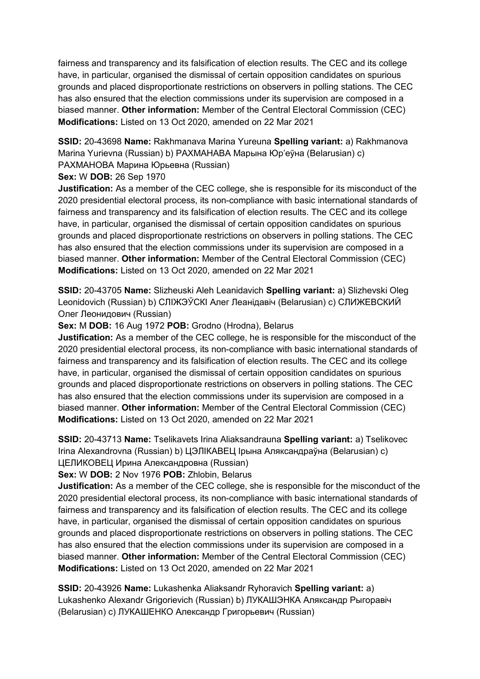fairness and transparency and its falsification of election results. The CEC and its college have, in particular, organised the dismissal of certain opposition candidates on spurious grounds and placed disproportionate restrictions on observers in polling stations. The CEC has also ensured that the election commissions under its supervision are composed in a biased manner. **Other information:** Member of the Central Electoral Commission (CEC) **Modifications:** Listed on 13 Oct 2020, amended on 22 Mar 2021

**SSID:** 20-43698 **Name:** Rakhmanava Marina Yureuna **Spelling variant:** a) Rakhmanova Marina Yurievna (Russian) b) РАХМАНАВА Марына Юр'еўна (Belarusian) c) РАХМАНОВА Марина Юрьевна (Russian)

## **Sex:** W **DOB:** 26 Sep 1970

**Justification:** As a member of the CEC college, she is responsible for its misconduct of the 2020 presidential electoral process, its non-compliance with basic international standards of fairness and transparency and its falsification of election results. The CEC and its college have, in particular, organised the dismissal of certain opposition candidates on spurious grounds and placed disproportionate restrictions on observers in polling stations. The CEC has also ensured that the election commissions under its supervision are composed in a biased manner. **Other information:** Member of the Central Electoral Commission (CEC) **Modifications:** Listed on 13 Oct 2020, amended on 22 Mar 2021

**SSID:** 20-43705 **Name:** Slizheuski Aleh Leanidavich **Spelling variant:** a) Slizhevski Oleg Leonidovich (Russian) b) СЛIЖЭЎСКI Алег Леанiдавiч (Belarusian) c) СЛИЖЕВСКИЙ Олег Леонидович (Russian)

## **Sex:** M **DOB:** 16 Aug 1972 **POB:** Grodno (Hrodna), Belarus

**Justification:** As a member of the CEC college, he is responsible for the misconduct of the 2020 presidential electoral process, its non-compliance with basic international standards of fairness and transparency and its falsification of election results. The CEC and its college have, in particular, organised the dismissal of certain opposition candidates on spurious grounds and placed disproportionate restrictions on observers in polling stations. The CEC has also ensured that the election commissions under its supervision are composed in a biased manner. **Other information:** Member of the Central Electoral Commission (CEC) **Modifications:** Listed on 13 Oct 2020, amended on 22 Mar 2021

**SSID:** 20-43713 **Name:** Tselikavets Irina Aliaksandrauna **Spelling variant:** a) Tselikovec Irina Alexandrovna (Russian) b) ЦЭЛIКАВЕЦ Iрына Аляксандраўна (Belarusian) c) ЦЕЛИКОВЕЦ Ирина Александровна (Russian)

**Sex:** W **DOB:** 2 Nov 1976 **POB:** Zhlobin, Belarus

**Justification:** As a member of the CEC college, she is responsible for the misconduct of the 2020 presidential electoral process, its non-compliance with basic international standards of fairness and transparency and its falsification of election results. The CEC and its college have, in particular, organised the dismissal of certain opposition candidates on spurious grounds and placed disproportionate restrictions on observers in polling stations. The CEC has also ensured that the election commissions under its supervision are composed in a biased manner. **Other information:** Member of the Central Electoral Commission (CEC) **Modifications:** Listed on 13 Oct 2020, amended on 22 Mar 2021

**SSID:** 20-43926 **Name:** Lukashenka Aliaksandr Ryhoravich **Spelling variant:** a) Lukashenko Alexandr Grigorievich (Russian) b) ЛУКАШЭНКА Аляксандр Рыгоравiч (Belarusian) c) ЛУКАШЕНКО Александр Григорьевич (Russian)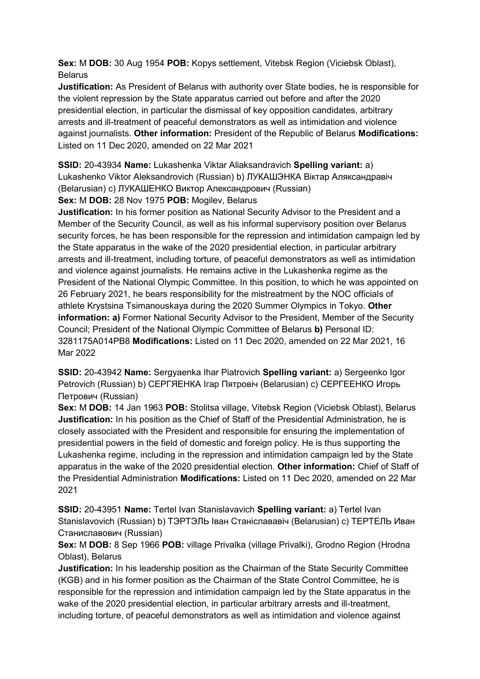**Sex:** M **DOB:** 30 Aug 1954 **POB:** Kopys settlement, Vitebsk Region (Viciebsk Oblast), Belarus

**Justification:** As President of Belarus with authority over State bodies, he is responsible for the violent repression by the State apparatus carried out before and after the 2020 presidential election, in particular the dismissal of key opposition candidates, arbitrary arrests and ill-treatment of peaceful demonstrators as well as intimidation and violence against journalists. **Other information:** President of the Republic of Belarus **Modifications:**  Listed on 11 Dec 2020, amended on 22 Mar 2021

**SSID:** 20-43934 **Name:** Lukashenka Viktar Aliaksandravich **Spelling variant:** a) Lukashenko Viktor Aleksandrovich (Russian) b) ЛУКАШЭНКА Вiктар Аляксандравiч (Belarusian) c) ЛУКАШЕНКО Виктор Александрович (Russian)

**Sex:** M **DOB:** 28 Nov 1975 **POB:** Mogilev, Belarus

**Justification:** In his former position as National Security Advisor to the President and a Member of the Security Council, as well as his informal supervisory position over Belarus security forces, he has been responsible for the repression and intimidation campaign led by the State apparatus in the wake of the 2020 presidential election, in particular arbitrary arrests and ill-treatment, including torture, of peaceful demonstrators as well as intimidation and violence against journalists. He remains active in the Lukashenka regime as the President of the National Olympic Committee. In this position, to which he was appointed on 26 February 2021, he bears responsibility for the mistreatment by the NOC officials of athlete Krystsina Tsimanouskaya during the 2020 Summer Olympics in Tokyo. **Other information: a)** Former National Security Advisor to the President, Member of the Security Council; President of the National Olympic Committee of Belarus **b)** Personal ID: 3281175A014PB8 **Modifications:** Listed on 11 Dec 2020, amended on 22 Mar 2021, 16 Mar 2022

**SSID:** 20-43942 **Name:** Sergyaenka Ihar Piatrovich **Spelling variant:** a) Sergeenko Igor Petrovich (Russian) b) СЕРГЯЕНКА Iгар Пятровiч (Belarusian) c) СЕРГЕЕНКО Игорь Петрович (Russian)

**Sex:** M **DOB:** 14 Jan 1963 **POB:** Stolitsa village, Vitebsk Region (Viciebsk Oblast), Belarus **Justification:** In his position as the Chief of Staff of the Presidential Administration, he is closely associated with the President and responsible for ensuring the implementation of presidential powers in the field of domestic and foreign policy. He is thus supporting the Lukashenka regime, including in the repression and intimidation campaign led by the State apparatus in the wake of the 2020 presidential election. **Other information:** Chief of Staff of the Presidential Administration **Modifications:** Listed on 11 Dec 2020, amended on 22 Mar 2021

**SSID:** 20-43951 **Name:** Tertel Ivan Stanislavavich **Spelling variant:** a) Tertel Ivan Stanislavovich (Russian) b) ТЭРТЭЛЬ Iван Станiслававiч (Belarusian) c) ТЕРТЕЛЬ Иван Станиславович (Russian)

**Sex:** M **DOB:** 8 Sep 1966 **POB:** village Privalka (village Privalki), Grodno Region (Hrodna Oblast), Belarus

**Justification:** In his leadership position as the Chairman of the State Security Committee (KGB) and in his former position as the Chairman of the State Control Committee, he is responsible for the repression and intimidation campaign led by the State apparatus in the wake of the 2020 presidential election, in particular arbitrary arrests and ill-treatment, including torture, of peaceful demonstrators as well as intimidation and violence against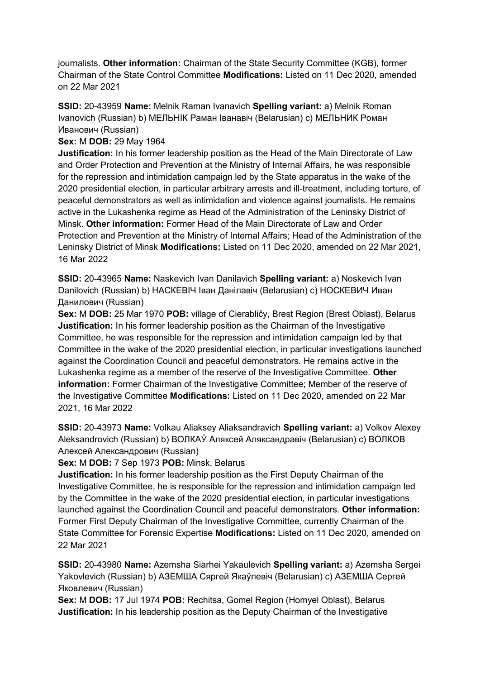journalists. **Other information:** Chairman of the State Security Committee (KGB), former Chairman of the State Control Committee **Modifications:** Listed on 11 Dec 2020, amended on 22 Mar 2021

**SSID:** 20-43959 **Name:** Melnik Raman Ivanavich **Spelling variant:** a) Melnik Roman Ivanovich (Russian) b) МЕЛЬНIК Раман Iванавiч (Belarusian) c) МЕЛЬНИК Роман Иванович (Russian)

**Sex:** M **DOB:** 29 May 1964

**Justification:** In his former leadership position as the Head of the Main Directorate of Law and Order Protection and Prevention at the Ministry of Internal Affairs, he was responsible for the repression and intimidation campaign led by the State apparatus in the wake of the 2020 presidential election, in particular arbitrary arrests and ill-treatment, including torture, of peaceful demonstrators as well as intimidation and violence against journalists. He remains active in the Lukashenka regime as Head of the Administration of the Leninsky District of Minsk. **Other information:** Former Head of the Main Directorate of Law and Order Protection and Prevention at the Ministry of Internal Affairs; Head of the Administration of the Leninsky District of Minsk **Modifications:** Listed on 11 Dec 2020, amended on 22 Mar 2021, 16 Mar 2022

**SSID:** 20-43965 **Name:** Naskevich Ivan Danilavich **Spelling variant:** a) Noskevich Ivan Danilovich (Russian) b) НАСКЕВIЧ Iван Данiлавiч (Belarusian) c) НОСКЕВИЧ Иван Данилович (Russian)

**Sex:** M **DOB:** 25 Mar 1970 **POB:** village of Cierabličy, Brest Region (Brest Oblast), Belarus **Justification:** In his former leadership position as the Chairman of the Investigative Committee, he was responsible for the repression and intimidation campaign led by that Committee in the wake of the 2020 presidential election, in particular investigations launched against the Coordination Council and peaceful demonstrators. He remains active in the Lukashenka regime as a member of the reserve of the Investigative Committee. **Other information:** Former Chairman of the Investigative Committee; Member of the reserve of the Investigative Committee **Modifications:** Listed on 11 Dec 2020, amended on 22 Mar 2021, 16 Mar 2022

**SSID:** 20-43973 **Name:** Volkau Aliaksey Aliaksandravich **Spelling variant:** a) Volkov Alexey Aleksandrovich (Russian) b) ВОЛКАЎ Аляксей Аляксандравiч (Belarusian) c) ВОЛКОВ Алексей Александрович (Russian)

**Sex:** M **DOB:** 7 Sep 1973 **POB:** Minsk, Belarus

**Justification:** In his former leadership position as the First Deputy Chairman of the Investigative Committee, he is responsible for the repression and intimidation campaign led by the Committee in the wake of the 2020 presidential election, in particular investigations launched against the Coordination Council and peaceful demonstrators. **Other information:** Former First Deputy Chairman of the Investigative Committee, currently Chairman of the State Committee for Forensic Expertise **Modifications:** Listed on 11 Dec 2020, amended on 22 Mar 2021

**SSID:** 20-43980 **Name:** Azemsha Siarhei Yakaulevich **Spelling variant:** a) Azemsha Sergei Yakovlevich (Russian) b) АЗЕМША Сяргей Якаўлевiч (Belarusian) c) АЗЕМША Сергей Яковлевич (Russian)

**Sex:** M **DOB:** 17 Jul 1974 **POB:** Rechitsa, Gomel Region (Homyel Oblast), Belarus **Justification:** In his leadership position as the Deputy Chairman of the Investigative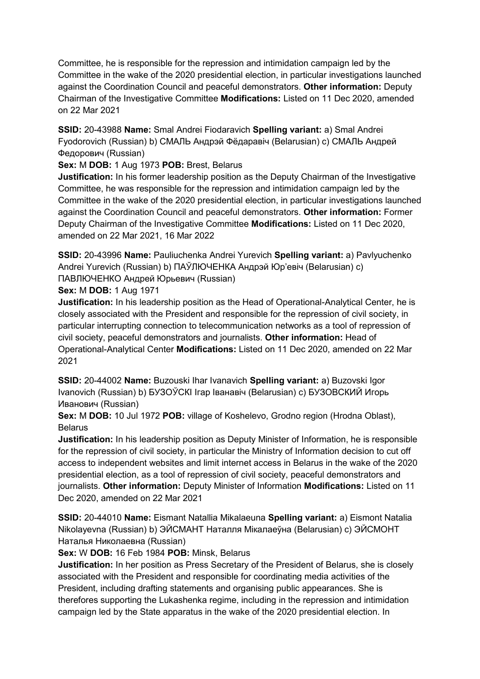Committee, he is responsible for the repression and intimidation campaign led by the Committee in the wake of the 2020 presidential election, in particular investigations launched against the Coordination Council and peaceful demonstrators. **Other information:** Deputy Chairman of the Investigative Committee **Modifications:** Listed on 11 Dec 2020, amended on 22 Mar 2021

**SSID:** 20-43988 **Name:** Smal Andrei Fiodaravich **Spelling variant:** a) Smal Andrei Fyodorovich (Russian) b) СМАЛЬ Андрэй Фёдаравiч (Belarusian) c) СМАЛЬ Андрей Федорович (Russian)

**Sex:** M **DOB:** 1 Aug 1973 **POB:** Brest, Belarus

**Justification:** In his former leadership position as the Deputy Chairman of the Investigative Committee, he was responsible for the repression and intimidation campaign led by the Committee in the wake of the 2020 presidential election, in particular investigations launched against the Coordination Council and peaceful demonstrators. **Other information:** Former Deputy Chairman of the Investigative Committee **Modifications:** Listed on 11 Dec 2020, amended on 22 Mar 2021, 16 Mar 2022

**SSID:** 20-43996 **Name:** Pauliuchenka Andrei Yurevich **Spelling variant:** a) Pavlyuchenko Andrei Yurevich (Russian) b) ПАЎЛЮЧЕНКА Андрэй Юр'евiч (Belarusian) c) ПАВЛЮЧЕНКО Андрей Юрьевич (Russian)

**Sex:** M **DOB:** 1 Aug 1971

**Justification:** In his leadership position as the Head of Operational-Analytical Center, he is closely associated with the President and responsible for the repression of civil society, in particular interrupting connection to telecommunication networks as a tool of repression of civil society, peaceful demonstrators and journalists. **Other information:** Head of Operational-Analytical Center **Modifications:** Listed on 11 Dec 2020, amended on 22 Mar 2021

**SSID:** 20-44002 **Name:** Buzouski Ihar Ivanavich **Spelling variant:** a) Buzovski Igor Ivanovich (Russian) b) БУЗОЎСКI Iгар Iванавiч (Belarusian) c) БУЗОВСКИЙ Игорь Иванович (Russian)

**Sex:** M **DOB:** 10 Jul 1972 **POB:** village of Koshelevo, Grodno region (Hrodna Oblast), Belarus

**Justification:** In his leadership position as Deputy Minister of Information, he is responsible for the repression of civil society, in particular the Ministry of Information decision to cut off access to independent websites and limit internet access in Belarus in the wake of the 2020 presidential election, as a tool of repression of civil society, peaceful demonstrators and journalists. **Other information:** Deputy Minister of Information **Modifications:** Listed on 11 Dec 2020, amended on 22 Mar 2021

**SSID:** 20-44010 **Name:** Eismant Natallia Mikalaeuna **Spelling variant:** a) Eismont Natalia Nikolayevna (Russian) b) ЭЙСМАНТ Наталля Мiкалаеўна (Belarusian) c) ЭЙСМОНТ Наталья Николаевна (Russian)

**Sex:** W **DOB:** 16 Feb 1984 **POB:** Minsk, Belarus

**Justification:** In her position as Press Secretary of the President of Belarus, she is closely associated with the President and responsible for coordinating media activities of the President, including drafting statements and organising public appearances. She is therefores supporting the Lukashenka regime, including in the repression and intimidation campaign led by the State apparatus in the wake of the 2020 presidential election. In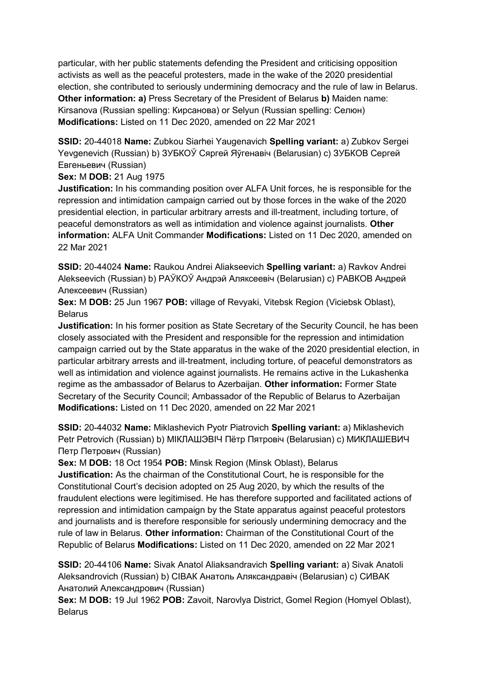particular, with her public statements defending the President and criticising opposition activists as well as the peaceful protesters, made in the wake of the 2020 presidential election, she contributed to seriously undermining democracy and the rule of law in Belarus. **Other information: a)** Press Secretary of the President of Belarus **b)** Maiden name: Kirsanova (Russian spelling: Кирсанова) or Selyun (Russian spelling: Селюн) **Modifications:** Listed on 11 Dec 2020, amended on 22 Mar 2021

**SSID:** 20-44018 **Name:** Zubkou Siarhei Yaugenavich **Spelling variant:** a) Zubkov Sergei Yevgenevich (Russian) b) ЗУБКОЎ Сяргей Яўгенавiч (Belarusian) c) ЗУБКОВ Сергей Евгеньевич (Russian)

**Sex:** M **DOB:** 21 Aug 1975

**Justification:** In his commanding position over ALFA Unit forces, he is responsible for the repression and intimidation campaign carried out by those forces in the wake of the 2020 presidential election, in particular arbitrary arrests and ill-treatment, including torture, of peaceful demonstrators as well as intimidation and violence against journalists. **Other information:** ALFA Unit Commander **Modifications:** Listed on 11 Dec 2020, amended on 22 Mar 2021

**SSID:** 20-44024 **Name:** Raukou Andrei Aliakseevich **Spelling variant:** a) Ravkov Andrei Alekseevich (Russian) b) РАЎКОЎ Андрэй Аляксеевiч (Belarusian) c) РАВКОВ Андрей Алексеевич (Russian)

**Sex:** M **DOB:** 25 Jun 1967 **POB:** village of Revyaki, Vitebsk Region (Viciebsk Oblast), **Belarus** 

**Justification:** In his former position as State Secretary of the Security Council, he has been closely associated with the President and responsible for the repression and intimidation campaign carried out by the State apparatus in the wake of the 2020 presidential election, in particular arbitrary arrests and ill-treatment, including torture, of peaceful demonstrators as well as intimidation and violence against journalists. He remains active in the Lukashenka regime as the ambassador of Belarus to Azerbaijan. **Other information:** Former State Secretary of the Security Council; Ambassador of the Republic of Belarus to Azerbaijan **Modifications:** Listed on 11 Dec 2020, amended on 22 Mar 2021

**SSID:** 20-44032 **Name:** Miklashevich Pyotr Piatrovich **Spelling variant:** a) Miklashevich Petr Petrovich (Russian) b) МIКЛАШЭВIЧ Пётр Пятровiч (Belarusian) c) МИКЛАШЕВИЧ Петр Петрович (Russian)

**Sex:** M **DOB:** 18 Oct 1954 **POB:** Minsk Region (Minsk Oblast), Belarus **Justification:** As the chairman of the Constitutional Court, he is responsible for the Constitutional Court's decision adopted on 25 Aug 2020, by which the results of the fraudulent elections were legitimised. He has therefore supported and facilitated actions of repression and intimidation campaign by the State apparatus against peaceful protestors and journalists and is therefore responsible for seriously undermining democracy and the rule of law in Belarus. **Other information:** Chairman of the Constitutional Court of the Republic of Belarus **Modifications:** Listed on 11 Dec 2020, amended on 22 Mar 2021

**SSID:** 20-44106 **Name:** Sivak Anatol Aliaksandravich **Spelling variant:** a) Sivak Anatoli Aleksandrovich (Russian) b) СIВАК Анатоль Аляксандравiч (Belarusian) c) СИВАК Анатолий Александрович (Russian)

**Sex:** M **DOB:** 19 Jul 1962 **POB:** Zavoit, Narovlya District, Gomel Region (Homyel Oblast), Belarus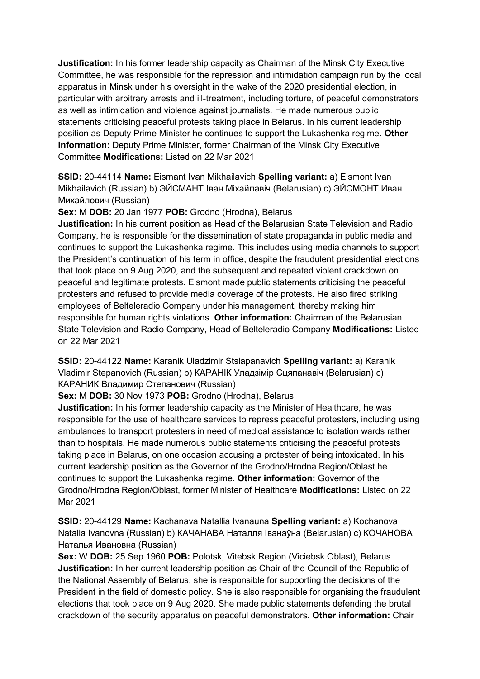**Justification:** In his former leadership capacity as Chairman of the Minsk City Executive Committee, he was responsible for the repression and intimidation campaign run by the local apparatus in Minsk under his oversight in the wake of the 2020 presidential election, in particular with arbitrary arrests and ill-treatment, including torture, of peaceful demonstrators as well as intimidation and violence against journalists. He made numerous public statements criticising peaceful protests taking place in Belarus. In his current leadership position as Deputy Prime Minister he continues to support the Lukashenka regime. **Other information:** Deputy Prime Minister, former Chairman of the Minsk City Executive Committee **Modifications:** Listed on 22 Mar 2021

**SSID:** 20-44114 **Name:** Eismant Ivan Mikhailavich **Spelling variant:** a) Eismont Ivan Mikhailavich (Russian) b) ЭЙСМАНТ Iван Мiхайлавiч (Belarusian) c) ЭЙСМОНТ Иван Михайлович (Russian)

**Sex:** M **DOB:** 20 Jan 1977 **POB:** Grodno (Hrodna), Belarus

**Justification:** In his current position as Head of the Belarusian State Television and Radio Company, he is responsible for the dissemination of state propaganda in public media and continues to support the Lukashenka regime. This includes using media channels to support the President's continuation of his term in office, despite the fraudulent presidential elections that took place on 9 Aug 2020, and the subsequent and repeated violent crackdown on peaceful and legitimate protests. Eismont made public statements criticising the peaceful protesters and refused to provide media coverage of the protests. He also fired striking employees of Belteleradio Company under his management, thereby making him responsible for human rights violations. **Other information:** Chairman of the Belarusian State Television and Radio Company, Head of Belteleradio Company **Modifications:** Listed on 22 Mar 2021

**SSID:** 20-44122 **Name:** Karanik Uladzimir Stsiapanavich **Spelling variant:** a) Karanik Vladimir Stepanovich (Russian) b) КАРАНIК Уладзiмiр Сцяпанавiч (Belarusian) c) КАРАНИК Владимир Степанович (Russian)

**Sex:** M **DOB:** 30 Nov 1973 **POB:** Grodno (Hrodna), Belarus

**Justification:** In his former leadership capacity as the Minister of Healthcare, he was responsible for the use of healthcare services to repress peaceful protesters, including using ambulances to transport protesters in need of medical assistance to isolation wards rather than to hospitals. He made numerous public statements criticising the peaceful protests taking place in Belarus, on one occasion accusing a protester of being intoxicated. In his current leadership position as the Governor of the Grodno/Hrodna Region/Oblast he continues to support the Lukashenka regime. **Other information:** Governor of the Grodno/Hrodna Region/Oblast, former Minister of Healthcare **Modifications:** Listed on 22 Mar 2021

**SSID:** 20-44129 **Name:** Kachanava Natallia Ivanauna **Spelling variant:** a) Kochanova Natalia Ivanovna (Russian) b) КАЧАНАВА Наталля Iванаўна (Belarusian) c) КОЧАНОВА Наталья Ивановна (Russian)

**Sex:** W **DOB:** 25 Sep 1960 **POB:** Polotsk, Vitebsk Region (Viciebsk Oblast), Belarus **Justification:** In her current leadership position as Chair of the Council of the Republic of the National Assembly of Belarus, she is responsible for supporting the decisions of the President in the field of domestic policy. She is also responsible for organising the fraudulent elections that took place on 9 Aug 2020. She made public statements defending the brutal crackdown of the security apparatus on peaceful demonstrators. **Other information:** Chair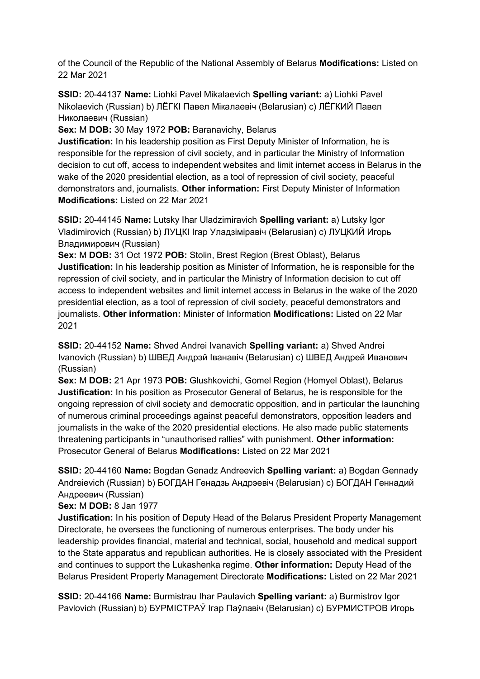of the Council of the Republic of the National Assembly of Belarus **Modifications:** Listed on 22 Mar 2021

**SSID:** 20-44137 **Name:** Liohki Pavel Mikalaevich **Spelling variant:** a) Liohki Pavel Nikolaevich (Russian) b) ЛЁГКI Павел Мiкалаевiч (Belarusian) c) ЛЁГКИЙ Павел Николаевич (Russian)

**Sex:** M **DOB:** 30 May 1972 **POB:** Baranavichy, Belarus

**Justification:** In his leadership position as First Deputy Minister of Information, he is responsible for the repression of civil society, and in particular the Ministry of Information decision to cut off, access to independent websites and limit internet access in Belarus in the wake of the 2020 presidential election, as a tool of repression of civil society, peaceful demonstrators and, journalists. **Other information:** First Deputy Minister of Information **Modifications:** Listed on 22 Mar 2021

**SSID:** 20-44145 **Name:** Lutsky Ihar Uladzimiravich **Spelling variant:** a) Lutsky Igor Vladimirovich (Russian) b) ЛУЦКI Iгар Уладзiмiравiч (Belarusian) c) ЛУЦКИЙ Игорь Владимирович (Russian)

**Sex:** M **DOB:** 31 Oct 1972 **POB:** Stolin, Brest Region (Brest Oblast), Belarus **Justification:** In his leadership position as Minister of Information, he is responsible for the repression of civil society, and in particular the Ministry of Information decision to cut off access to independent websites and limit internet access in Belarus in the wake of the 2020 presidential election, as a tool of repression of civil society, peaceful demonstrators and journalists. **Other information:** Minister of Information **Modifications:** Listed on 22 Mar 2021

**SSID:** 20-44152 **Name:** Shved Andrei Ivanavich **Spelling variant:** a) Shved Andrei Ivanovich (Russian) b) ШВЕД Андрэй Iванавiч (Belarusian) c) ШВЕД Андрей Иванович (Russian)

**Sex:** M **DOB:** 21 Apr 1973 **POB:** Glushkovichi, Gomel Region (Homyel Oblast), Belarus **Justification:** In his position as Prosecutor General of Belarus, he is responsible for the ongoing repression of civil society and democratic opposition, and in particular the launching of numerous criminal proceedings against peaceful demonstrators, opposition leaders and journalists in the wake of the 2020 presidential elections. He also made public statements threatening participants in "unauthorised rallies" with punishment. **Other information:** Prosecutor General of Belarus **Modifications:** Listed on 22 Mar 2021

**SSID:** 20-44160 **Name:** Bogdan Genadz Andreevich **Spelling variant:** a) Bogdan Gennady Andreievich (Russian) b) БОГДАН Генадзь Андрэевiч (Belarusian) c) БОГДАН Геннадий Андреевич (Russian)

**Sex:** M **DOB:** 8 Jan 1977

**Justification:** In his position of Deputy Head of the Belarus President Property Management Directorate, he oversees the functioning of numerous enterprises. The body under his leadership provides financial, material and technical, social, household and medical support to the State apparatus and republican authorities. He is closely associated with the President and continues to support the Lukashenka regime. **Other information:** Deputy Head of the Belarus President Property Management Directorate **Modifications:** Listed on 22 Mar 2021

**SSID:** 20-44166 **Name:** Burmistrau Ihar Paulavich **Spelling variant:** a) Burmistrov Igor Pavlovich (Russian) b) БУРМIСТРАЎ Iгар Паўлавiч (Belarusian) c) БУРМИСТРОВ Игорь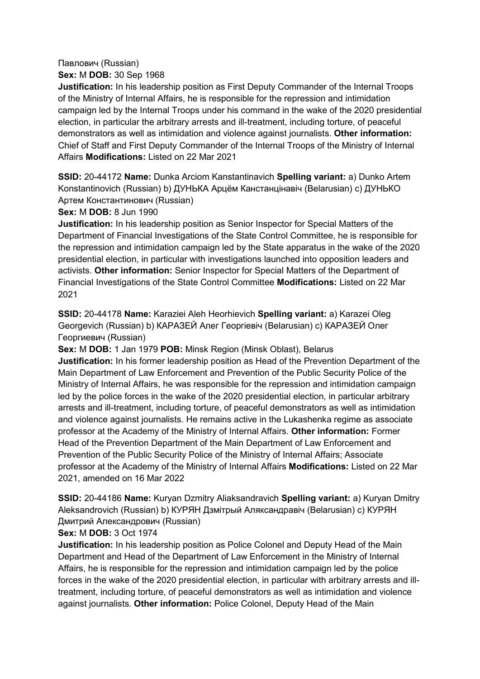## Павлович (Russian)

**Sex:** M **DOB:** 30 Sep 1968

**Justification:** In his leadership position as First Deputy Commander of the Internal Troops of the Ministry of Internal Affairs, he is responsible for the repression and intimidation campaign led by the Internal Troops under his command in the wake of the 2020 presidential election, in particular the arbitrary arrests and ill-treatment, including torture, of peaceful demonstrators as well as intimidation and violence against journalists. **Other information:** Chief of Staff and First Deputy Commander of the Internal Troops of the Ministry of Internal Affairs **Modifications:** Listed on 22 Mar 2021

**SSID:** 20-44172 **Name:** Dunka Arciom Kanstantinavich **Spelling variant:** a) Dunko Artem Konstantinovich (Russian) b) ДУНЬКА Арцём Канстанцiнавiч (Belarusian) c) ДУНЬКО Артем Константинович (Russian)

**Sex:** M **DOB:** 8 Jun 1990

**Justification:** In his leadership position as Senior Inspector for Special Matters of the Department of Financial Investigations of the State Control Committee, he is responsible for the repression and intimidation campaign led by the State apparatus in the wake of the 2020 presidential election, in particular with investigations launched into opposition leaders and activists. **Other information:** Senior Inspector for Special Matters of the Department of Financial Investigations of the State Control Committee **Modifications:** Listed on 22 Mar 2021

**SSID:** 20-44178 **Name:** Karaziei Aleh Heorhievich **Spelling variant:** a) Karazei Oleg Georgevich (Russian) b) КАРАЗЕЙ Алег Георгiевiч (Belarusian) c) КАРАЗЕЙ Олег Георгиевич (Russian)

**Sex:** M **DOB:** 1 Jan 1979 **POB:** Minsk Region (Minsk Oblast), Belarus **Justification:** In his former leadership position as Head of the Prevention Department of the Main Department of Law Enforcement and Prevention of the Public Security Police of the Ministry of Internal Affairs, he was responsible for the repression and intimidation campaign led by the police forces in the wake of the 2020 presidential election, in particular arbitrary arrests and ill-treatment, including torture, of peaceful demonstrators as well as intimidation and violence against journalists. He remains active in the Lukashenka regime as associate professor at the Academy of the Ministry of Internal Affairs. **Other information:** Former Head of the Prevention Department of the Main Department of Law Enforcement and Prevention of the Public Security Police of the Ministry of Internal Affairs; Associate professor at the Academy of the Ministry of Internal Affairs **Modifications:** Listed on 22 Mar 2021, amended on 16 Mar 2022

**SSID:** 20-44186 **Name:** Kuryan Dzmitry Aliaksandravich **Spelling variant:** a) Kuryan Dmitry Aleksandrovich (Russian) b) КУРЯН Дзмiтрый Аляксандравiч (Belarusian) c) КУРЯН Дмитрий Александрович (Russian)

**Sex:** M **DOB:** 3 Oct 1974

**Justification:** In his leadership position as Police Colonel and Deputy Head of the Main Department and Head of the Department of Law Enforcement in the Ministry of Internal Affairs, he is responsible for the repression and intimidation campaign led by the police forces in the wake of the 2020 presidential election, in particular with arbitrary arrests and illtreatment, including torture, of peaceful demonstrators as well as intimidation and violence against journalists. **Other information:** Police Colonel, Deputy Head of the Main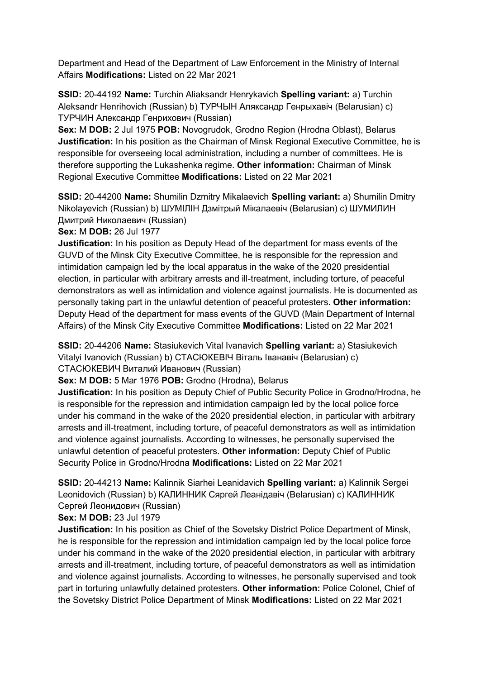Department and Head of the Department of Law Enforcement in the Ministry of Internal Affairs **Modifications:** Listed on 22 Mar 2021

**SSID:** 20-44192 **Name:** Turchin Aliaksandr Henrykavich **Spelling variant:** a) Turchin Aleksandr Henrihovich (Russian) b) ТУРЧЫН Аляксандр Генрыхавiч (Belarusian) c) ТУРЧИН Александр Генрихович (Russian)

**Sex:** M **DOB:** 2 Jul 1975 **POB:** Novogrudok, Grodno Region (Hrodna Oblast), Belarus **Justification:** In his position as the Chairman of Minsk Regional Executive Committee, he is responsible for overseeing local administration, including a number of committees. He is therefore supporting the Lukashenka regime. **Other information:** Chairman of Minsk Regional Executive Committee **Modifications:** Listed on 22 Mar 2021

**SSID:** 20-44200 **Name:** Shumilin Dzmitry Mikalaevich **Spelling variant:** a) Shumilin Dmitry Nikolayevich (Russian) b) ШУМIЛIН Дзмiтрый Мiкалаевiч (Belarusian) c) ШУМИЛИН Дмитрий Николаевич (Russian)

**Sex:** M **DOB:** 26 Jul 1977

**Justification:** In his position as Deputy Head of the department for mass events of the GUVD of the Minsk City Executive Committee, he is responsible for the repression and intimidation campaign led by the local apparatus in the wake of the 2020 presidential election, in particular with arbitrary arrests and ill-treatment, including torture, of peaceful demonstrators as well as intimidation and violence against journalists. He is documented as personally taking part in the unlawful detention of peaceful protesters. **Other information:** Deputy Head of the department for mass events of the GUVD (Main Department of Internal Affairs) of the Minsk City Executive Committee **Modifications:** Listed on 22 Mar 2021

**SSID:** 20-44206 **Name:** Stasiukevich Vital Ivanavich **Spelling variant:** a) Stasiukevich Vitalyi Ivanovich (Russian) b) СТАСЮКЕВIЧ Вiталь Iванавiч (Belarusian) c) СТАСЮКЕВИЧ Виталий Иванович (Russian)

**Sex:** M **DOB:** 5 Mar 1976 **POB:** Grodno (Hrodna), Belarus

**Justification:** In his position as Deputy Chief of Public Security Police in Grodno/Hrodna, he is responsible for the repression and intimidation campaign led by the local police force under his command in the wake of the 2020 presidential election, in particular with arbitrary arrests and ill-treatment, including torture, of peaceful demonstrators as well as intimidation and violence against journalists. According to witnesses, he personally supervised the unlawful detention of peaceful protesters. **Other information:** Deputy Chief of Public Security Police in Grodno/Hrodna **Modifications:** Listed on 22 Mar 2021

**SSID:** 20-44213 **Name:** Kalinnik Siarhei Leanidavich **Spelling variant:** a) Kalinnik Sergei Leonidovich (Russian) b) КАЛИННИК Сяргей Леанiдавiч (Belarusian) c) КАЛИННИК Сергей Леонидович (Russian)

**Sex:** M **DOB:** 23 Jul 1979

**Justification:** In his position as Chief of the Sovetsky District Police Department of Minsk, he is responsible for the repression and intimidation campaign led by the local police force under his command in the wake of the 2020 presidential election, in particular with arbitrary arrests and ill-treatment, including torture, of peaceful demonstrators as well as intimidation and violence against journalists. According to witnesses, he personally supervised and took part in torturing unlawfully detained protesters. **Other information:** Police Colonel, Chief of the Sovetsky District Police Department of Minsk **Modifications:** Listed on 22 Mar 2021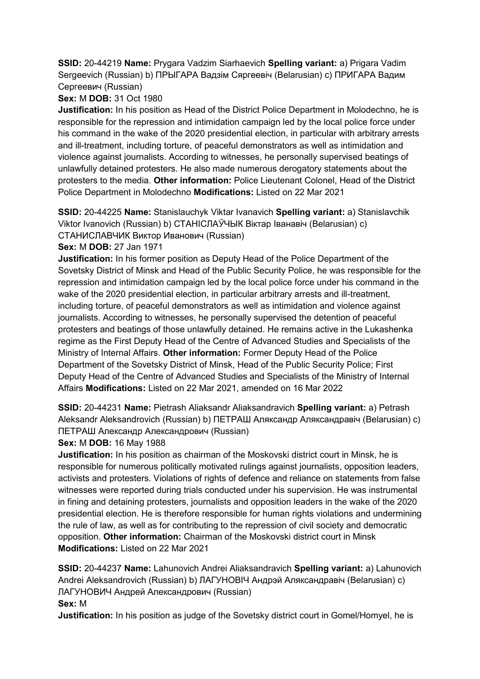**SSID:** 20-44219 **Name:** Prygara Vadzim Siarhaevich **Spelling variant:** a) Prigara Vadim Sergeevich (Russian) b) ПРЫГАРА Вадзiм Сяргеевiч (Belarusian) c) ПРИГАРА Вадим Сергеевич (Russian)

# **Sex:** M **DOB:** 31 Oct 1980

**Justification:** In his position as Head of the District Police Department in Molodechno, he is responsible for the repression and intimidation campaign led by the local police force under his command in the wake of the 2020 presidential election, in particular with arbitrary arrests and ill-treatment, including torture, of peaceful demonstrators as well as intimidation and violence against journalists. According to witnesses, he personally supervised beatings of unlawfully detained protesters. He also made numerous derogatory statements about the protesters to the media. **Other information:** Police Lieutenant Colonel, Head of the District Police Department in Molodechno **Modifications:** Listed on 22 Mar 2021

**SSID:** 20-44225 **Name:** Stanislauchyk Viktar Ivanavich **Spelling variant:** a) Stanislavchik Viktor Ivanovich (Russian) b) СТАНIСЛАЎЧЫК Вiктар Iванавiч (Belarusian) c) СТАНИСЛАВЧИК Виктор Иванович (Russian)

**Sex:** M **DOB:** 27 Jan 1971

**Justification:** In his former position as Deputy Head of the Police Department of the Sovetsky District of Minsk and Head of the Public Security Police, he was responsible for the repression and intimidation campaign led by the local police force under his command in the wake of the 2020 presidential election, in particular arbitrary arrests and ill-treatment, including torture, of peaceful demonstrators as well as intimidation and violence against journalists. According to witnesses, he personally supervised the detention of peaceful protesters and beatings of those unlawfully detained. He remains active in the Lukashenka regime as the First Deputy Head of the Centre of Advanced Studies and Specialists of the Ministry of Internal Affairs. **Other information:** Former Deputy Head of the Police Department of the Sovetsky District of Minsk, Head of the Public Security Police; First Deputy Head of the Centre of Advanced Studies and Specialists of the Ministry of Internal Affairs **Modifications:** Listed on 22 Mar 2021, amended on 16 Mar 2022

**SSID:** 20-44231 **Name:** Pietrash Aliaksandr Aliaksandravich **Spelling variant:** a) Petrash Aleksandr Aleksandrovich (Russian) b) ПЕТРАШ Аляксандр Аляксандравiч (Belarusian) c) ПЕТРАШ Александр Александрович (Russian)

**Sex:** M **DOB:** 16 May 1988

**Justification:** In his position as chairman of the Moskovski district court in Minsk, he is responsible for numerous politically motivated rulings against journalists, opposition leaders, activists and protesters. Violations of rights of defence and reliance on statements from false witnesses were reported during trials conducted under his supervision. He was instrumental in fining and detaining protesters, journalists and opposition leaders in the wake of the 2020 presidential election. He is therefore responsible for human rights violations and undermining the rule of law, as well as for contributing to the repression of civil society and democratic opposition. **Other information:** Chairman of the Moskovski district court in Minsk **Modifications:** Listed on 22 Mar 2021

**SSID:** 20-44237 **Name:** Lahunovich Andrei Aliaksandravich **Spelling variant:** a) Lahunovich Andrei Aleksandrovich (Russian) b) ЛАГУНОВIЧ Андрэй Аляксандравiч (Belarusian) c) ЛАГУНОВИЧ Андрей Александрович (Russian)

**Sex:** M

**Justification:** In his position as judge of the Sovetsky district court in Gomel/Homyel, he is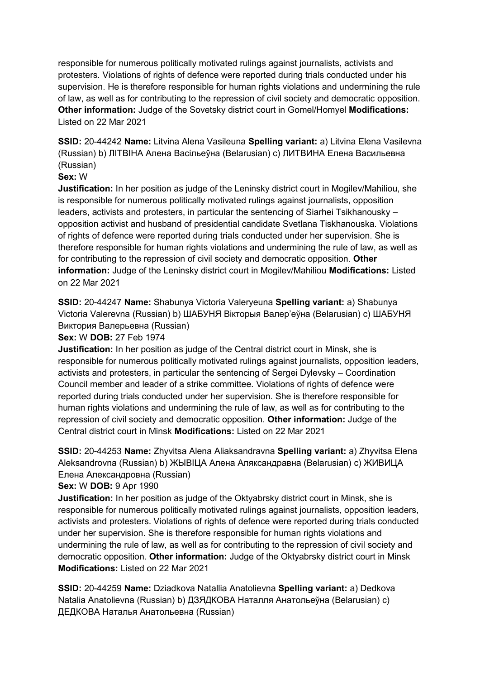responsible for numerous politically motivated rulings against journalists, activists and protesters. Violations of rights of defence were reported during trials conducted under his supervision. He is therefore responsible for human rights violations and undermining the rule of law, as well as for contributing to the repression of civil society and democratic opposition. **Other information:** Judge of the Sovetsky district court in Gomel/Homyel **Modifications:**  Listed on 22 Mar 2021

**SSID:** 20-44242 **Name:** Litvina Alena Vasileuna **Spelling variant:** a) Litvina Elena Vasilevna (Russian) b) ЛIТВIНА Алена Васiльеўна (Belarusian) c) ЛИТВИНА Елена Васильевна (Russian)

## **Sex:** W

**Justification:** In her position as judge of the Leninsky district court in Mogilev/Mahiliou, she is responsible for numerous politically motivated rulings against journalists, opposition leaders, activists and protesters, in particular the sentencing of Siarhei Tsikhanousky – opposition activist and husband of presidential candidate Svetlana Tiskhanouska. Violations of rights of defence were reported during trials conducted under her supervision. She is therefore responsible for human rights violations and undermining the rule of law, as well as for contributing to the repression of civil society and democratic opposition. **Other information:** Judge of the Leninsky district court in Mogilev/Mahiliou **Modifications:** Listed on 22 Mar 2021

**SSID:** 20-44247 **Name:** Shabunya Victoria Valeryeuna **Spelling variant:** a) Shabunya Victoria Valerevna (Russian) b) ШАБУНЯ Вiкторыя Валер'еўна (Belarusian) c) ШАБУНЯ Виктория Валерьевна (Russian)

**Sex:** W **DOB:** 27 Feb 1974

**Justification:** In her position as judge of the Central district court in Minsk, she is responsible for numerous politically motivated rulings against journalists, opposition leaders, activists and protesters, in particular the sentencing of Sergei Dylevsky – Coordination Council member and leader of a strike committee. Violations of rights of defence were reported during trials conducted under her supervision. She is therefore responsible for human rights violations and undermining the rule of law, as well as for contributing to the repression of civil society and democratic opposition. **Other information:** Judge of the Central district court in Minsk **Modifications:** Listed on 22 Mar 2021

**SSID:** 20-44253 **Name:** Zhyvitsa Alena Aliaksandravna **Spelling variant:** a) Zhyvitsa Elena Aleksandrovna (Russian) b) ЖЫВIЦА Алена Аляксандравна (Belarusian) c) ЖИВИЦА Елена Александровна (Russian)

**Sex:** W **DOB:** 9 Apr 1990

**Justification:** In her position as judge of the Oktyabrsky district court in Minsk, she is responsible for numerous politically motivated rulings against journalists, opposition leaders, activists and protesters. Violations of rights of defence were reported during trials conducted under her supervision. She is therefore responsible for human rights violations and undermining the rule of law, as well as for contributing to the repression of civil society and democratic opposition. **Other information:** Judge of the Oktyabrsky district court in Minsk **Modifications:** Listed on 22 Mar 2021

**SSID:** 20-44259 **Name:** Dziadkova Natallia Anatolievna **Spelling variant:** a) Dedkova Natalia Anatolievna (Russian) b) ДЗЯДКОВА Наталля Анатольеўна (Belarusian) c) ДЕДКОВА Наталья Анатольевна (Russian)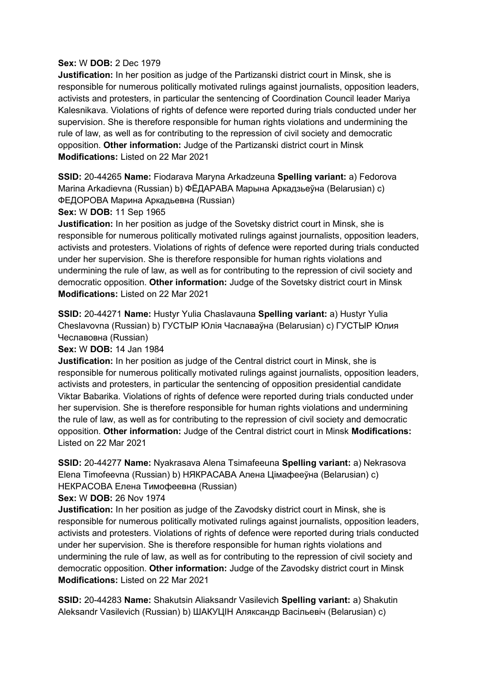## **Sex:** W **DOB:** 2 Dec 1979

**Justification:** In her position as judge of the Partizanski district court in Minsk, she is responsible for numerous politically motivated rulings against journalists, opposition leaders, activists and protesters, in particular the sentencing of Coordination Council leader Mariya Kalesnikava. Violations of rights of defence were reported during trials conducted under her supervision. She is therefore responsible for human rights violations and undermining the rule of law, as well as for contributing to the repression of civil society and democratic opposition. **Other information:** Judge of the Partizanski district court in Minsk **Modifications:** Listed on 22 Mar 2021

**SSID:** 20-44265 **Name:** Fiodarava Maryna Arkadzeuna **Spelling variant:** a) Fedorova Marina Arkadievna (Russian) b) ФЁДАРАВА Марына Аркадзьеўна (Belarusian) c) ФЕДОРОВА Марина Аркадьевна (Russian)

**Sex:** W **DOB:** 11 Sep 1965

**Justification:** In her position as judge of the Sovetsky district court in Minsk, she is responsible for numerous politically motivated rulings against journalists, opposition leaders, activists and protesters. Violations of rights of defence were reported during trials conducted under her supervision. She is therefore responsible for human rights violations and undermining the rule of law, as well as for contributing to the repression of civil society and democratic opposition. **Other information:** Judge of the Sovetsky district court in Minsk **Modifications:** Listed on 22 Mar 2021

**SSID:** 20-44271 **Name:** Hustyr Yulia Chaslavauna **Spelling variant:** a) Hustyr Yulia Cheslavovna (Russian) b) ГУСТЫР Юлiя Чаславаўна (Belarusian) c) ГУСТЫР Юлия Чеславовна (Russian)

**Sex:** W **DOB:** 14 Jan 1984

**Justification:** In her position as judge of the Central district court in Minsk, she is responsible for numerous politically motivated rulings against journalists, opposition leaders, activists and protesters, in particular the sentencing of opposition presidential candidate Viktar Babarika. Violations of rights of defence were reported during trials conducted under her supervision. She is therefore responsible for human rights violations and undermining the rule of law, as well as for contributing to the repression of civil society and democratic opposition. **Other information:** Judge of the Central district court in Minsk **Modifications:**  Listed on 22 Mar 2021

**SSID:** 20-44277 **Name:** Nyakrasava Alena Tsimafeeuna **Spelling variant:** a) Nekrasova Elena Timofeevna (Russian) b) НЯКРАСАВА Алена Цiмафееўна (Belarusian) c) НЕКРАСОВА Елена Тимофеевна (Russian)

**Sex:** W **DOB:** 26 Nov 1974

**Justification:** In her position as judge of the Zavodsky district court in Minsk, she is responsible for numerous politically motivated rulings against journalists, opposition leaders, activists and protesters. Violations of rights of defence were reported during trials conducted under her supervision. She is therefore responsible for human rights violations and undermining the rule of law, as well as for contributing to the repression of civil society and democratic opposition. **Other information:** Judge of the Zavodsky district court in Minsk **Modifications:** Listed on 22 Mar 2021

**SSID:** 20-44283 **Name:** Shakutsin Aliaksandr Vasilevich **Spelling variant:** a) Shakutin Aleksandr Vasilevich (Russian) b) ШАКУЦIН Аляксандр Васiльевiч (Belarusian) c)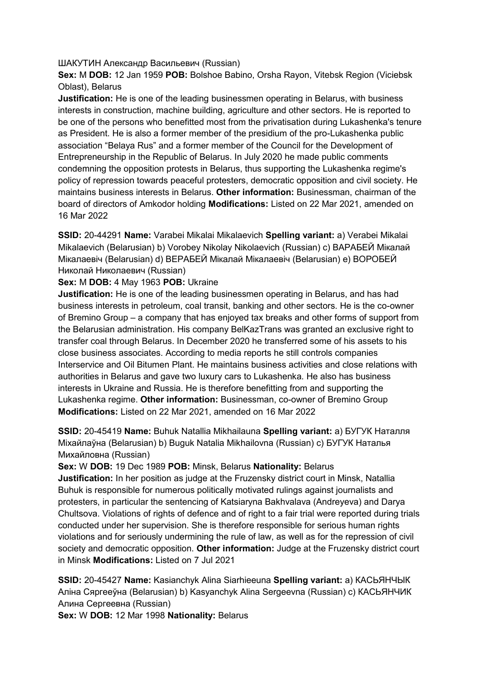### ШАКУТИН Александр Васильевич (Russian)

**Sex:** M **DOB:** 12 Jan 1959 **POB:** Bolshoe Babino, Orsha Rayon, Vitebsk Region (Viciebsk Oblast), Belarus

**Justification:** He is one of the leading businessmen operating in Belarus, with business interests in construction, machine building, agriculture and other sectors. He is reported to be one of the persons who benefitted most from the privatisation during Lukashenka's tenure as President. He is also a former member of the presidium of the pro-Lukashenka public association "Belaya Rus" and a former member of the Council for the Development of Entrepreneurship in the Republic of Belarus. In July 2020 he made public comments condemning the opposition protests in Belarus, thus supporting the Lukashenka regime's policy of repression towards peaceful protesters, democratic opposition and civil society. He maintains business interests in Belarus. **Other information:** Businessman, chairman of the board of directors of Amkodor holding **Modifications:** Listed on 22 Mar 2021, amended on 16 Mar 2022

**SSID:** 20-44291 **Name:** Varabei Mikalai Mikalaevich **Spelling variant:** a) Verabei Mikalai Mikalaevich (Belarusian) b) Vorobey Nikolay Nikolaevich (Russian) c) ВАРАБЕЙ Мiкалай Мiкалаевiч (Belarusian) d) ВЕРАБЕЙ Мiкалай Мiкалаевiч (Belarusian) e) ВОРОБЕЙ Николай Николаевич (Russian)

**Sex:** M **DOB:** 4 May 1963 **POB:** Ukraine

**Justification:** He is one of the leading businessmen operating in Belarus, and has had business interests in petroleum, coal transit, banking and other sectors. He is the co-owner of Bremino Group – a company that has enjoyed tax breaks and other forms of support from the Belarusian administration. His company BelKazTrans was granted an exclusive right to transfer coal through Belarus. In December 2020 he transferred some of his assets to his close business associates. According to media reports he still controls companies Interservice and Oil Bitumen Plant. He maintains business activities and close relations with authorities in Belarus and gave two luxury cars to Lukashenka. He also has business interests in Ukraine and Russia. He is therefore benefitting from and supporting the Lukashenka regime. **Other information:** Businessman, co-owner of Bremino Group **Modifications:** Listed on 22 Mar 2021, amended on 16 Mar 2022

**SSID:** 20-45419 **Name:** Buhuk Natallia Mikhailauna **Spelling variant:** a) БУГУК Наталля Мiхайлаўна (Belarusian) b) Buguk Natalia Mikhailovna (Russian) c) БУГУК Наталья Михайловна (Russian)

**Sex:** W **DOB:** 19 Dec 1989 **POB:** Minsk, Belarus **Nationality:** Belarus **Justification:** In her position as judge at the Fruzensky district court in Minsk, Natallia Buhuk is responsible for numerous politically motivated rulings against journalists and protesters, in particular the sentencing of Katsiaryna Bakhvalava (Andreyeva) and Darya Chultsova. Violations of rights of defence and of right to a fair trial were reported during trials conducted under her supervision. She is therefore responsible for serious human rights violations and for seriously undermining the rule of law, as well as for the repression of civil society and democratic opposition. **Other information:** Judge at the Fruzensky district court in Minsk **Modifications:** Listed on 7 Jul 2021

**SSID:** 20-45427 **Name:** Kasianchyk Alina Siarhieeuna **Spelling variant:** a) КАСЬЯНЧЫК Алiна Сяргееўна (Belarusian) b) Kasyanchyk Alina Sergeevna (Russian) c) КАСЬЯНЧИК Алина Сергеевна (Russian)

**Sex:** W **DOB:** 12 Mar 1998 **Nationality:** Belarus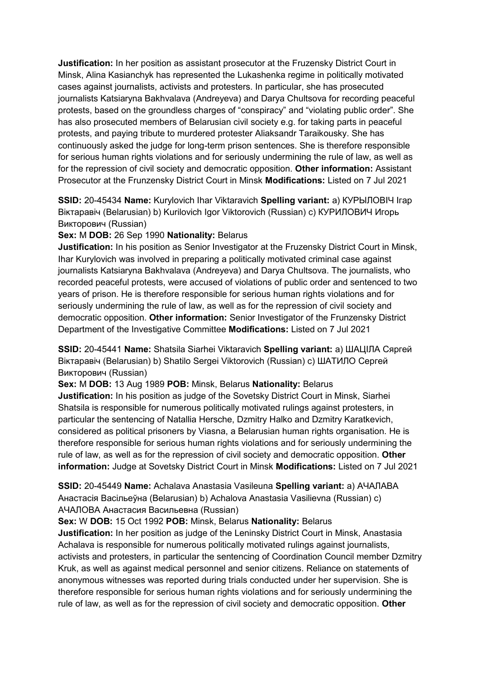**Justification:** In her position as assistant prosecutor at the Fruzensky District Court in Minsk, Alina Kasianchyk has represented the Lukashenka regime in politically motivated cases against journalists, activists and protesters. In particular, she has prosecuted journalists Katsiaryna Bakhvalava (Andreyeva) and Darya Chultsova for recording peaceful protests, based on the groundless charges of "conspiracy" and "violating public order". She has also prosecuted members of Belarusian civil society e.g. for taking parts in peaceful protests, and paying tribute to murdered protester Aliaksandr Taraikousky. She has continuously asked the judge for long-term prison sentences. She is therefore responsible for serious human rights violations and for seriously undermining the rule of law, as well as for the repression of civil society and democratic opposition. **Other information:** Assistant Prosecutor at the Frunzensky District Court in Minsk **Modifications:** Listed on 7 Jul 2021

**SSID:** 20-45434 **Name:** Kurylovich Ihar Viktaravich **Spelling variant:** a) КУРЫЛОВIЧ Iгар Bikтаравіч (Belarusian) b) Kurilovich Igor Viktorovich (Russian) с) КУРИЛОВИЧ Игорь Викторович (Russian)

## **Sex:** M **DOB:** 26 Sep 1990 **Nationality:** Belarus

**Justification:** In his position as Senior Investigator at the Fruzensky District Court in Minsk, Ihar Kurylovich was involved in preparing a politically motivated criminal case against journalists Katsiaryna Bakhvalava (Andreyeva) and Darya Chultsova. The journalists, who recorded peaceful protests, were accused of violations of public order and sentenced to two years of prison. He is therefore responsible for serious human rights violations and for seriously undermining the rule of law, as well as for the repression of civil society and democratic opposition. **Other information:** Senior Investigator of the Frunzensky District Department of the Investigative Committee **Modifications:** Listed on 7 Jul 2021

**SSID:** 20-45441 **Name:** Shatsila Siarhei Viktaravich **Spelling variant:** a) ШАЦIЛА Сяргей Віктаравіч (Belarusian) b) Shatilo Sergei Viktorovich (Russian) с) ШАТИЛО Сергей Викторович (Russian)

**Sex:** M **DOB:** 13 Aug 1989 **POB:** Minsk, Belarus **Nationality:** Belarus **Justification:** In his position as judge of the Sovetsky District Court in Minsk, Siarhei Shatsila is responsible for numerous politically motivated rulings against protesters, in particular the sentencing of Natallia Hersche, Dzmitry Halko and Dzmitry Karatkevich, considered as political prisoners by Viasna, a Belarusian human rights organisation. He is therefore responsible for serious human rights violations and for seriously undermining the rule of law, as well as for the repression of civil society and democratic opposition. **Other information:** Judge at Sovetsky District Court in Minsk **Modifications:** Listed on 7 Jul 2021

**SSID:** 20-45449 **Name:** Achalava Anastasia Vasileuna **Spelling variant:** a) АЧАЛАВА Анастасiя Васiльеўна (Belarusian) b) Achalova Anastasia Vasilievna (Russian) c) АЧАЛОВА Анастасия Васильевна (Russian)

**Sex:** W **DOB:** 15 Oct 1992 **POB:** Minsk, Belarus **Nationality:** Belarus

**Justification:** In her position as judge of the Leninsky District Court in Minsk, Anastasia Achalava is responsible for numerous politically motivated rulings against journalists, activists and protesters, in particular the sentencing of Coordination Council member Dzmitry Kruk, as well as against medical personnel and senior citizens. Reliance on statements of anonymous witnesses was reported during trials conducted under her supervision. She is therefore responsible for serious human rights violations and for seriously undermining the rule of law, as well as for the repression of civil society and democratic opposition. **Other**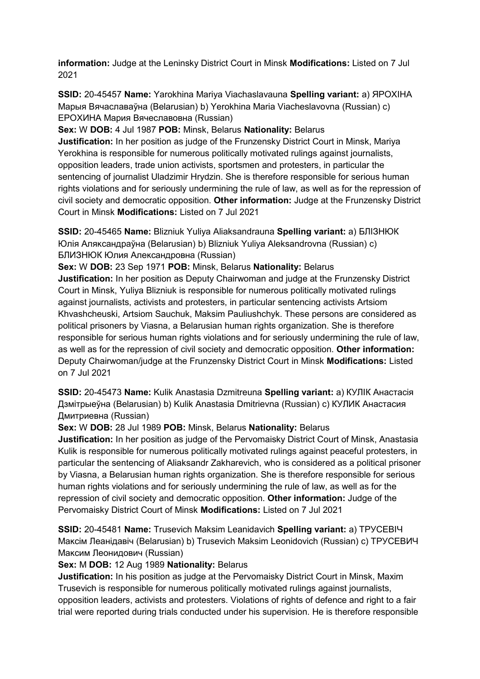**information:** Judge at the Leninsky District Court in Minsk **Modifications:** Listed on 7 Jul 2021

**SSID:** 20-45457 **Name:** Yarokhina Mariya Viachaslavauna **Spelling variant:** a) ЯРОХIНА Марыя Вячаславаўна (Belarusian) b) Yerokhina Maria Viacheslavovna (Russian) c) ЕРОХИНА Мария Вячеславовна (Russian)

**Sex:** W **DOB:** 4 Jul 1987 **POB:** Minsk, Belarus **Nationality:** Belarus

**Justification:** In her position as judge of the Frunzensky District Court in Minsk, Mariya Yerokhina is responsible for numerous politically motivated rulings against journalists, opposition leaders, trade union activists, sportsmen and protesters, in particular the sentencing of journalist Uladzimir Hrydzin. She is therefore responsible for serious human rights violations and for seriously undermining the rule of law, as well as for the repression of civil society and democratic opposition. **Other information:** Judge at the Frunzensky District Court in Minsk **Modifications:** Listed on 7 Jul 2021

**SSID:** 20-45465 **Name:** Blizniuk Yuliya Aliaksandrauna **Spelling variant:** a) БЛIЗНЮК Юлiя Аляĸсандраўна (Belarusian) b) Blizniuk Yuliya Aleksandrovna (Russian) c) БЛИЗНЮК Юлия Алеĸсандровна (Russian)

**Sex:** W **DOB:** 23 Sep 1971 **POB:** Minsk, Belarus **Nationality:** Belarus

**Justification:** In her position as Deputy Chairwoman and judge at the Frunzensky District Court in Minsk, Yuliya Blizniuk is responsible for numerous politically motivated rulings against journalists, activists and protesters, in particular sentencing activists Artsiom Khvashcheuski, Artsiom Sauchuk, Maksim Pauliushchyk. These persons are considered as political prisoners by Viasna, a Belarusian human rights organization. She is therefore responsible for serious human rights violations and for seriously undermining the rule of law, as well as for the repression of civil society and democratic opposition. **Other information:** Deputy Chairwoman/judge at the Frunzensky District Court in Minsk **Modifications:** Listed on 7 Jul 2021

**SSID:** 20-45473 **Name:** Kulik Anastasia Dzmitreuna **Spelling variant:** a) КУЛIК Анастасiя Дзмiтрыеўна (Belarusian) b) Kulik Anastasia Dmitrievna (Russian) c) КУЛИК Анастасия Дмитриевна (Russian)

**Sex:** W **DOB:** 28 Jul 1989 **POB:** Minsk, Belarus **Nationality:** Belarus

**Justification:** In her position as judge of the Pervomaisky District Court of Minsk, Anastasia Kulik is responsible for numerous politically motivated rulings against peaceful protesters, in particular the sentencing of Aliaksandr Zakharevich, who is considered as a political prisoner by Viasna, a Belarusian human rights organization. She is therefore responsible for serious human rights violations and for seriously undermining the rule of law, as well as for the repression of civil society and democratic opposition. **Other information:** Judge of the Pervomaisky District Court of Minsk **Modifications:** Listed on 7 Jul 2021

**SSID:** 20-45481 **Name:** Trusevich Maksim Leanidavich **Spelling variant:** a) ТРУСЕВIЧ Маĸсiм Леанiдавiч (Belarusian) b) Trusevich Maksim Leonidovich (Russian) c) ТРУСЕВИЧ Максим Леонидович (Russian)

**Sex:** M **DOB:** 12 Aug 1989 **Nationality:** Belarus

**Justification:** In his position as judge at the Pervomaisky District Court in Minsk, Maxim Trusevich is responsible for numerous politically motivated rulings against journalists, opposition leaders, activists and protesters. Violations of rights of defence and right to a fair trial were reported during trials conducted under his supervision. He is therefore responsible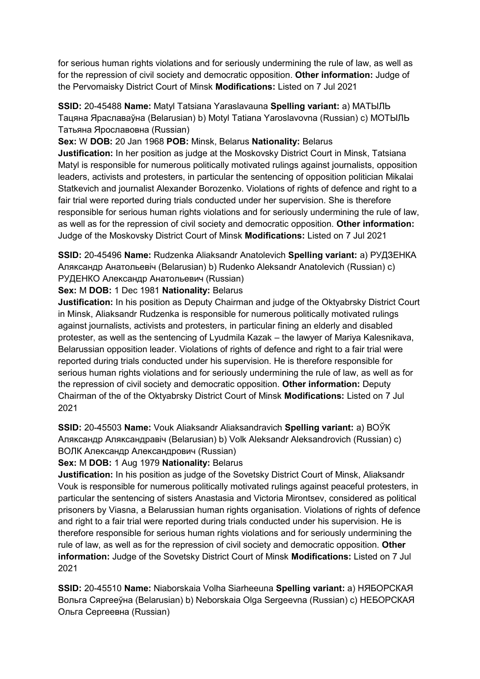for serious human rights violations and for seriously undermining the rule of law, as well as for the repression of civil society and democratic opposition. **Other information:** Judge of the Pervomaisky District Court of Minsk **Modifications:** Listed on 7 Jul 2021

**SSID:** 20-45488 **Name:** Matyl Tatsiana Yaraslavauna **Spelling variant:** a) МАТЫЛЬ Тацяна Яраславаўна (Belarusian) b) Motyl Tatiana Yaroslavovna (Russian) c) МОТЫЛЬ Татьяна Ярославовна (Russian)

**Sex:** W **DOB:** 20 Jan 1968 **POB:** Minsk, Belarus **Nationality:** Belarus

**Justification:** In her position as judge at the Moskovsky District Court in Minsk, Tatsiana Matyl is responsible for numerous politically motivated rulings against journalists, opposition leaders, activists and protesters, in particular the sentencing of opposition politician Mikalai Statkevich and journalist Alexander Borozenko. Violations of rights of defence and right to a fair trial were reported during trials conducted under her supervision. She is therefore responsible for serious human rights violations and for seriously undermining the rule of law, as well as for the repression of civil society and democratic opposition. **Other information:** Judge of the Moskovsky District Court of Minsk **Modifications:** Listed on 7 Jul 2021

**SSID:** 20-45496 **Name:** Rudzenka Aliaksandr Anatolevich **Spelling variant:** a) РУДЗЕНКА Аляĸсандр Анатольевiч (Belarusian) b) Rudenko Aleksandr Anatolevich (Russian) c) РУДЕНКО Александр Анатольевич (Russian)

# **Sex:** M **DOB:** 1 Dec 1981 **Nationality:** Belarus

**Justification:** In his position as Deputy Chairman and judge of the Oktyabrsky District Court in Minsk, Aliaksandr Rudzenka is responsible for numerous politically motivated rulings against journalists, activists and protesters, in particular fining an elderly and disabled protester, as well as the sentencing of Lyudmila Kazak – the lawyer of Mariya Kalesnikava, Belarussian opposition leader. Violations of rights of defence and right to a fair trial were reported during trials conducted under his supervision. He is therefore responsible for serious human rights violations and for seriously undermining the rule of law, as well as for the repression of civil society and democratic opposition. **Other information:** Deputy Chairman of the of the Oktyabrsky District Court of Minsk **Modifications:** Listed on 7 Jul 2021

**SSID:** 20-45503 **Name:** Vouk Aliaksandr Aliaksandravich **Spelling variant:** a) ВОЎК Аляĸсандр Аляĸсандравiч (Belarusian) b) Volk Aleksandr Aleksandrovich (Russian) c) ВОЛК Александр Александрович (Russian)

## **Sex:** M **DOB:** 1 Aug 1979 **Nationality:** Belarus

**Justification:** In his position as judge of the Sovetsky District Court of Minsk, Aliaksandr Vouk is responsible for numerous politically motivated rulings against peaceful protesters, in particular the sentencing of sisters Anastasia and Victoria Mirontsev, considered as political prisoners by Viasna, a Belarussian human rights organisation. Violations of rights of defence and right to a fair trial were reported during trials conducted under his supervision. He is therefore responsible for serious human rights violations and for seriously undermining the rule of law, as well as for the repression of civil society and democratic opposition. **Other information:** Judge of the Sovetsky District Court of Minsk **Modifications:** Listed on 7 Jul 2021

**SSID:** 20-45510 **Name:** Niaborskaia Volha Siarheeuna **Spelling variant:** a) НЯБОРСКАЯ Вольга Сяргееўна (Belarusian) b) Neborskaia Olga Sergeevna (Russian) c) НЕБОРСКАЯ Ольга Сергеевна (Russian)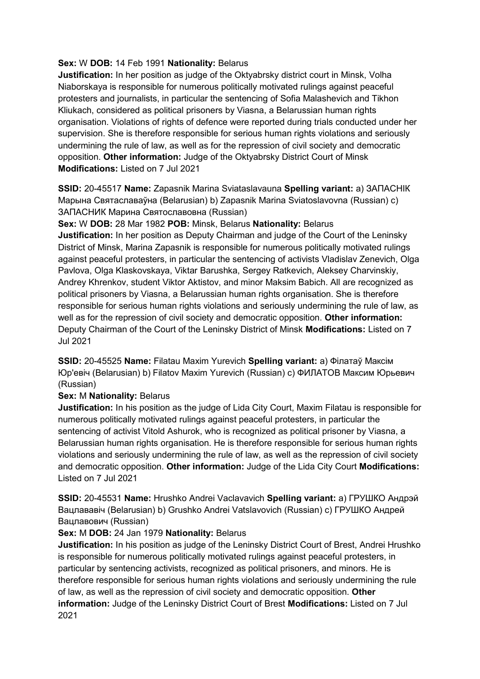# **Sex:** W **DOB:** 14 Feb 1991 **Nationality:** Belarus

**Justification:** In her position as judge of the Oktyabrsky district court in Minsk, Volha Niaborskaya is responsible for numerous politically motivated rulings against peaceful protesters and journalists, in particular the sentencing of Sofia Malashevich and Tikhon Kliukach, considered as political prisoners by Viasna, a Belarussian human rights organisation. Violations of rights of defence were reported during trials conducted under her supervision. She is therefore responsible for serious human rights violations and seriously undermining the rule of law, as well as for the repression of civil society and democratic opposition. **Other information:** Judge of the Oktyabrsky District Court of Minsk **Modifications:** Listed on 7 Jul 2021

**SSID:** 20-45517 **Name:** Zapasnik Marina Sviataslavauna **Spelling variant:** a) ЗАПАСНIК Марына Святаславаўна (Belarusian) b) Zapasnik Marina Sviatoslavovna (Russian) c) ЗАПАСНИК Марина Святославовна (Russian)

## **Sex:** W **DOB:** 28 Mar 1982 **POB:** Minsk, Belarus **Nationality:** Belarus

**Justification:** In her position as Deputy Chairman and judge of the Court of the Leninsky District of Minsk, Marina Zapasnik is responsible for numerous politically motivated rulings against peaceful protesters, in particular the sentencing of activists Vladislav Zenevich, Olga Pavlova, Olga Klaskovskaya, Viktar Barushka, Sergey Ratkevich, Aleksey Charvinskiy, Andrey Khrenkov, student Viktor Aktistov, and minor Maksim Babich. All are recognized as political prisoners by Viasna, a Belarussian human rights organisation. She is therefore responsible for serious human rights violations and seriously undermining the rule of law, as well as for the repression of civil society and democratic opposition. **Other information:** Deputy Chairman of the Court of the Leninsky District of Minsk **Modifications:** Listed on 7 Jul 2021

**SSID:** 20-45525 **Name:** Filatau Maxim Yurevich **Spelling variant:** a) Фiлатаў Максiм Юр'евiч (Belarusian) b) Filatov Maxim Yurevich (Russian) c) ФИЛАТОВ Максим Юрьевич (Russian)

## **Sex:** M **Nationality:** Belarus

**Justification:** In his position as the judge of Lida City Court, Maxim Filatau is responsible for numerous politically motivated rulings against peaceful protesters, in particular the sentencing of activist Vitold Ashurok, who is recognized as political prisoner by Viasna, a Belarussian human rights organisation. He is therefore responsible for serious human rights violations and seriously undermining the rule of law, as well as the repression of civil society and democratic opposition. **Other information:** Judge of the Lida City Court **Modifications:**  Listed on 7 Jul 2021

**SSID:** 20-45531 **Name:** Hrushko Andrei Vaclavavich **Spelling variant:** a) ГРУШКО Андрэй Вацлававiч (Belarusian) b) Grushko Andrei Vatslavovich (Russian) c) ГРУШКО Андрей Вацлавович (Russian)

## **Sex:** M **DOB:** 24 Jan 1979 **Nationality:** Belarus

**Justification:** In his position as judge of the Leninsky District Court of Brest, Andrei Hrushko is responsible for numerous politically motivated rulings against peaceful protesters, in particular by sentencing activists, recognized as political prisoners, and minors. He is therefore responsible for serious human rights violations and seriously undermining the rule of law, as well as the repression of civil society and democratic opposition. **Other information:** Judge of the Leninsky District Court of Brest **Modifications:** Listed on 7 Jul 2021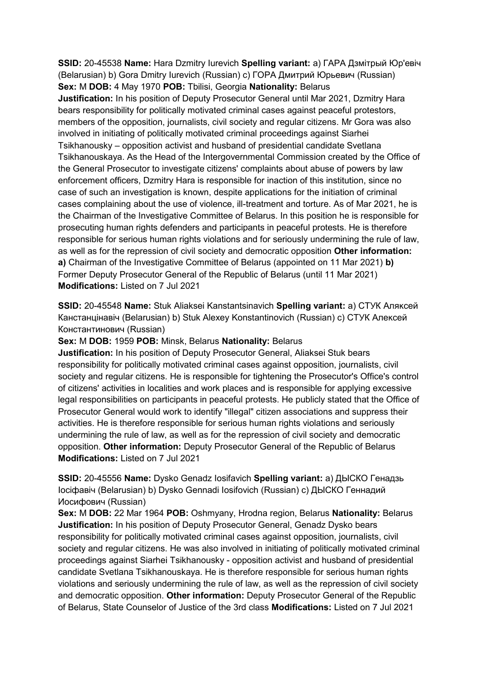**SSID:** 20-45538 **Name:** Hara Dzmitry Iurevich **Spelling variant:** a) ГАРА Дзмiтрый Юр'евiч (Belarusian) b) Gora Dmitry Iurevich (Russian) c) ГОРА Дмитрий Юрьевич (Russian) **Sex:** M **DOB:** 4 May 1970 **POB:** Tbilisi, Georgia **Nationality:** Belarus **Justification:** In his position of Deputy Prosecutor General until Mar 2021, Dzmitry Hara bears responsibility for politically motivated criminal cases against peaceful protestors, members of the opposition, journalists, civil society and regular citizens. Mr Gora was also involved in initiating of politically motivated criminal proceedings against Siarhei Tsikhanousky – opposition activist and husband of presidential candidate Svetlana Tsikhanouskaya. As the Head of the Intergovernmental Commission created by the Office of the General Prosecutor to investigate citizens' complaints about abuse of powers by law enforcement officers, Dzmitry Hara is responsible for inaction of this institution, since no case of such an investigation is known, despite applications for the initiation of criminal cases complaining about the use of violence, ill-treatment and torture. As of Mar 2021, he is the Chairman of the Investigative Committee of Belarus. In this position he is responsible for prosecuting human rights defenders and participants in peaceful protests. He is therefore responsible for serious human rights violations and for seriously undermining the rule of law, as well as for the repression of civil society and democratic opposition **Other information: a)** Chairman of the Investigative Committee of Belarus (appointed on 11 Mar 2021) **b)**  Former Deputy Prosecutor General of the Republic of Belarus (until 11 Mar 2021) **Modifications:** Listed on 7 Jul 2021

**SSID:** 20-45548 **Name:** Stuk Aliaksei Kanstantsinavich **Spelling variant:** a) СТУК Аляĸсей Канстанцiнавiч (Belarusian) b) Stuk Alexey Konstantinovich (Russian) c) СТУК Алеĸсей Константинович (Russian)

**Sex:** M **DOB:** 1959 **POB:** Minsk, Belarus **Nationality:** Belarus

**Justification:** In his position of Deputy Prosecutor General, Aliaksei Stuk bears responsibility for politically motivated criminal cases against opposition, journalists, civil society and regular citizens. He is responsible for tightening the Prosecutor's Office's control of citizens' activities in localities and work places and is responsible for applying excessive legal responsibilities on participants in peaceful protests. He publicly stated that the Office of Prosecutor General would work to identify "illegal" citizen associations and suppress their activities. He is therefore responsible for serious human rights violations and seriously undermining the rule of law, as well as for the repression of civil society and democratic opposition. **Other information:** Deputy Prosecutor General of the Republic of Belarus **Modifications:** Listed on 7 Jul 2021

**SSID:** 20-45556 **Name:** Dysko Genadz Iosifavich **Spelling variant:** a) ДЫСКО Генадзь Iосiфавiч (Belarusian) b) Dysko Gennadi Iosifovich (Russian) c) ДЫСКО Геннадий Иосифович (Russian)

**Sex:** M **DOB:** 22 Mar 1964 **POB:** Oshmyany, Hrodna region, Belarus **Nationality:** Belarus **Justification:** In his position of Deputy Prosecutor General, Genadz Dysko bears responsibility for politically motivated criminal cases against opposition, journalists, civil society and regular citizens. He was also involved in initiating of politically motivated criminal proceedings against Siarhei Tsikhanousky - opposition activist and husband of presidential candidate Svetlana Tsikhanouskaya. He is therefore responsible for serious human rights violations and seriously undermining the rule of law, as well as the repression of civil society and democratic opposition. **Other information:** Deputy Prosecutor General of the Republic of Belarus, State Counselor of Justice of the 3rd class **Modifications:** Listed on 7 Jul 2021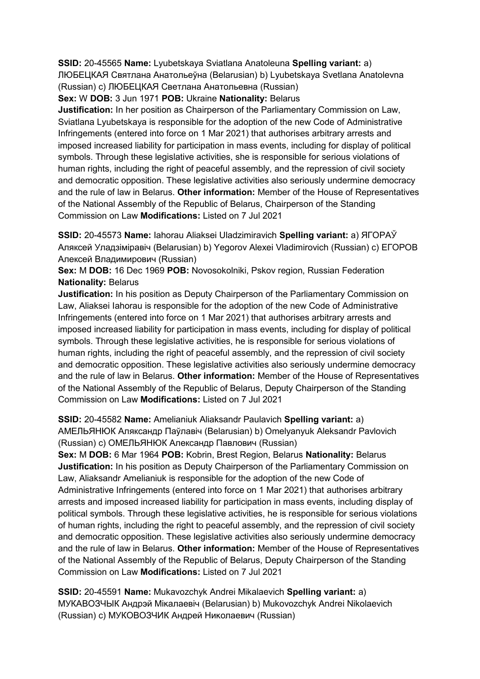**SSID:** 20-45565 **Name:** Lyubetskaya Sviatlana Anatoleuna **Spelling variant:** a) ЛЮБЕЦКАЯ Святлана Анатольеўна (Belarusian) b) Lyubetskaya Svetlana Anatolevna (Russian) c) ЛЮБЕЦКАЯ Светлана Анатольевна (Russian)

**Sex:** W **DOB:** 3 Jun 1971 **POB:** Ukraine **Nationality:** Belarus

**Justification:** In her position as Chairperson of the Parliamentary Commission on Law, Sviatlana Lyubetskaya is responsible for the adoption of the new Code of Administrative Infringements (entered into force on 1 Mar 2021) that authorises arbitrary arrests and imposed increased liability for participation in mass events, including for display of political symbols. Through these legislative activities, she is responsible for serious violations of human rights, including the right of peaceful assembly, and the repression of civil society and democratic opposition. These legislative activities also seriously undermine democracy and the rule of law in Belarus. **Other information:** Member of the House of Representatives of the National Assembly of the Republic of Belarus, Chairperson of the Standing Commission on Law **Modifications:** Listed on 7 Jul 2021

**SSID:** 20-45573 **Name:** Iahorau Aliaksei Uladzimiravich **Spelling variant:** a) ЯГОРАЎ Аляксей Уладзiмiравiч (Belarusian) b) Yegorov Alexei Vladimirovich (Russian) c) ЕГОРОВ Алексей Владимирович (Russian)

**Sex:** M **DOB:** 16 Dec 1969 **POB:** Novosokolniki, Pskov region, Russian Federation **Nationality:** Belarus

**Justification:** In his position as Deputy Chairperson of the Parliamentary Commission on Law, Aliaksei Iahorau is responsible for the adoption of the new Code of Administrative Infringements (entered into force on 1 Mar 2021) that authorises arbitrary arrests and imposed increased liability for participation in mass events, including for display of political symbols. Through these legislative activities, he is responsible for serious violations of human rights, including the right of peaceful assembly, and the repression of civil society and democratic opposition. These legislative activities also seriously undermine democracy and the rule of law in Belarus. **Other information:** Member of the House of Representatives of the National Assembly of the Republic of Belarus, Deputy Chairperson of the Standing Commission on Law **Modifications:** Listed on 7 Jul 2021

**SSID:** 20-45582 **Name:** Amelianiuk Aliaksandr Paulavich **Spelling variant:** a) АМЕЛЬЯНЮК Аляксандр Паўлавiч (Belarusian) b) Omelyanyuk Aleksandr Pavlovich (Russian) c) ОМЕЛЬЯНЮК Александр Павлович (Russian)

**Sex:** M **DOB:** 6 Mar 1964 **POB:** Kobrin, Brest Region, Belarus **Nationality:** Belarus **Justification:** In his position as Deputy Chairperson of the Parliamentary Commission on Law, Aliaksandr Amelianiuk is responsible for the adoption of the new Code of Administrative Infringements (entered into force on 1 Mar 2021) that authorises arbitrary arrests and imposed increased liability for participation in mass events, including display of political symbols. Through these legislative activities, he is responsible for serious violations of human rights, including the right to peaceful assembly, and the repression of civil society and democratic opposition. These legislative activities also seriously undermine democracy and the rule of law in Belarus. **Other information:** Member of the House of Representatives of the National Assembly of the Republic of Belarus, Deputy Chairperson of the Standing Commission on Law **Modifications:** Listed on 7 Jul 2021

**SSID:** 20-45591 **Name:** Mukavozchyk Andrei Mikalaevich **Spelling variant:** a) МУКАВОЗЧЫК Андрэй Мiĸалаевiч (Belarusian) b) Mukovozchyk Andrei Nikolaevich (Russian) c) МУКОВОЗЧИК Андрей Ниĸолаевич (Russian)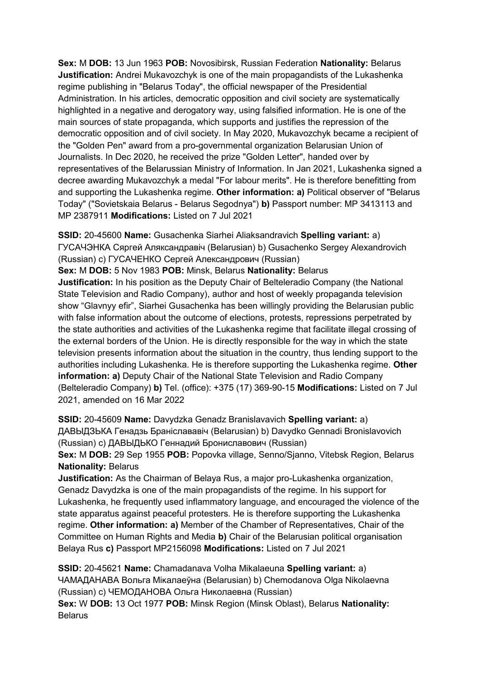**Sex:** M **DOB:** 13 Jun 1963 **POB:** Novosibirsk, Russian Federation **Nationality:** Belarus **Justification:** Andrei Mukavozchyk is one of the main propagandists of the Lukashenka regime publishing in "Belarus Today", the official newspaper of the Presidential Administration. In his articles, democratic opposition and civil society are systematically highlighted in a negative and derogatory way, using falsified information. He is one of the main sources of state propaganda, which supports and justifies the repression of the democratic opposition and of civil society. In May 2020, Mukavozchyk became a recipient of the "Golden Pen" award from a pro-governmental organization Belarusian Union of Journalists. In Dec 2020, he received the prize "Golden Letter", handed over by representatives of the Belarussian Ministry of Information. In Jan 2021, Lukashenka signed a decree awarding Mukavozchyk a medal "For labour merits". He is therefore benefitting from and supporting the Lukashenka regime. **Other information: a)** Political observer of "Belarus Today" ("Sovietskaia Belarus - Belarus Segodnya") **b)** Passport number: MP 3413113 and MP 2387911 **Modifications:** Listed on 7 Jul 2021

**SSID:** 20-45600 **Name:** Gusachenka Siarhei Aliaksandravich **Spelling variant:** a) ГУСАЧЭНКА Сяргей Аляксандравiч (Belarusian) b) Gusachenko Sergey Alexandrovich (Russian) c) ГУСАЧЕНКО Сергей Александрович (Russian)

**Sex:** M **DOB:** 5 Nov 1983 **POB:** Minsk, Belarus **Nationality:** Belarus

**Justification:** In his position as the Deputy Chair of Belteleradio Company (the National State Television and Radio Company), author and host of weekly propaganda television show "Glavnyy efir", Siarhei Gusachenka has been willingly providing the Belarusian public with false information about the outcome of elections, protests, repressions perpetrated by the state authorities and activities of the Lukashenka regime that facilitate illegal crossing of the external borders of the Union. He is directly responsible for the way in which the state television presents information about the situation in the country, thus lending support to the authorities including Lukashenka. He is therefore supporting the Lukashenka regime. **Other information: a)** Deputy Chair of the National State Television and Radio Company (Belteleradio Company) **b)** Tel. (office): +375 (17) 369-90-15 **Modifications:** Listed on 7 Jul 2021, amended on 16 Mar 2022

**SSID:** 20-45609 **Name:** Davydzka Genadz Branislavavich **Spelling variant:** a) ДАВЫДЗЬКА Генадзь Бранiслававiч (Belarusian) b) Davydko Gennadi Bronislavovich (Russian) c) ДАВЫДЬКO Геннадий Брониславович (Russian) **Sex:** M **DOB:** 29 Sep 1955 **POB:** Popovka village, Senno/Sjanno, Vitebsk Region, Belarus

**Nationality:** Belarus

**Justification:** As the Chairman of Belaya Rus, a major pro-Lukashenka organization, Genadz Davydzka is one of the main propagandists of the regime. In his support for Lukashenka, he frequently used inflammatory language, and encouraged the violence of the state apparatus against peaceful protesters. He is therefore supporting the Lukashenka regime. **Other information: a)** Member of the Chamber of Representatives, Chair of the Committee on Human Rights and Media **b)** Chair of the Belarusian political organisation Belaya Rus **c)** Passport MP2156098 **Modifications:** Listed on 7 Jul 2021

**SSID:** 20-45621 **Name:** Chamadanava Volha Mikalaeuna **Spelling variant:** a) ЧАМАДАНАВА Вольга Мiĸалаеўна (Belarusian) b) Chemodanova Olga Nikolaevna (Russian) c) ЧЕМОДАНОВА Ольга Ниĸолаевна (Russian) **Sex:** W **DOB:** 13 Oct 1977 **POB:** Minsk Region (Minsk Oblast), Belarus **Nationality: Belarus**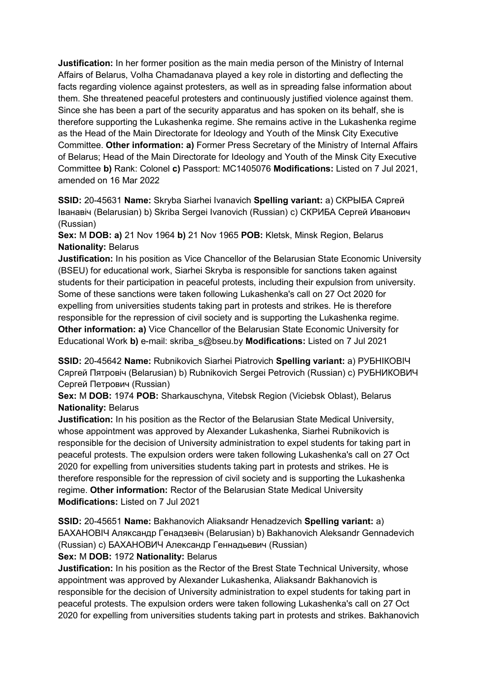**Justification:** In her former position as the main media person of the Ministry of Internal Affairs of Belarus, Volha Chamadanava played a key role in distorting and deflecting the facts regarding violence against protesters, as well as in spreading false information about them. She threatened peaceful protesters and continuously justified violence against them. Since she has been a part of the security apparatus and has spoken on its behalf, she is therefore supporting the Lukashenka regime. She remains active in the Lukashenka regime as the Head of the Main Directorate for Ideology and Youth of the Minsk City Executive Committee. **Other information: a)** Former Press Secretary of the Ministry of Internal Affairs of Belarus; Head of the Main Directorate for Ideology and Youth of the Minsk City Executive Committee **b)** Rank: Colonel **c)** Passport: MC1405076 **Modifications:** Listed on 7 Jul 2021, amended on 16 Mar 2022

**SSID:** 20-45631 **Name:** Skryba Siarhei Ivanavich **Spelling variant:** a) СКРЫБА Сяргей Iванавiч (Belarusian) b) Skriba Sergei Ivanovich (Russian) c) СКРИБА Сергей Иванович (Russian)

**Sex:** M **DOB: a)** 21 Nov 1964 **b)** 21 Nov 1965 **POB:** Kletsk, Minsk Region, Belarus **Nationality:** Belarus

**Justification:** In his position as Vice Chancellor of the Belarusian State Economic University (BSEU) for educational work, Siarhei Skryba is responsible for sanctions taken against students for their participation in peaceful protests, including their expulsion from university. Some of these sanctions were taken following Lukashenka's call on 27 Oct 2020 for expelling from universities students taking part in protests and strikes. He is therefore responsible for the repression of civil society and is supporting the Lukashenka regime. **Other information: a)** Vice Chancellor of the Belarusian State Economic University for Educational Work **b)** e-mail: skriba\_s@bseu.by **Modifications:** Listed on 7 Jul 2021

**SSID:** 20-45642 **Name:** Rubnikovich Siarhei Piatrovich **Spelling variant:** a) РУБНIКОВIЧ Сяргей Пятровiч (Belarusian) b) Rubnikovich Sergei Petrovich (Russian) c) РУБНИКОВИЧ Сергей Петрович (Russian)

**Sex:** M **DOB:** 1974 **POB:** Sharkauschyna, Vitebsk Region (Viciebsk Oblast), Belarus **Nationality:** Belarus

**Justification:** In his position as the Rector of the Belarusian State Medical University, whose appointment was approved by Alexander Lukashenka, Siarhei Rubnikovich is responsible for the decision of University administration to expel students for taking part in peaceful protests. The expulsion orders were taken following Lukashenka's call on 27 Oct 2020 for expelling from universities students taking part in protests and strikes. He is therefore responsible for the repression of civil society and is supporting the Lukashenka regime. **Other information:** Rector of the Belarusian State Medical University **Modifications:** Listed on 7 Jul 2021

**SSID:** 20-45651 **Name:** Bakhanovich Aliaksandr Henadzevich **Spelling variant:** a) БАХАНОВIЧ Аляĸсандр Генадзевiч (Belarusian) b) Bakhanovich Aleksandr Gennadevich (Russian) с) БАХАНОВИЧ Александр Геннадьевич (Russian)

## **Sex:** M **DOB:** 1972 **Nationality:** Belarus

**Justification:** In his position as the Rector of the Brest State Technical University, whose appointment was approved by Alexander Lukashenka, Aliaksandr Bakhanovich is responsible for the decision of University administration to expel students for taking part in peaceful protests. The expulsion orders were taken following Lukashenka's call on 27 Oct 2020 for expelling from universities students taking part in protests and strikes. Bakhanovich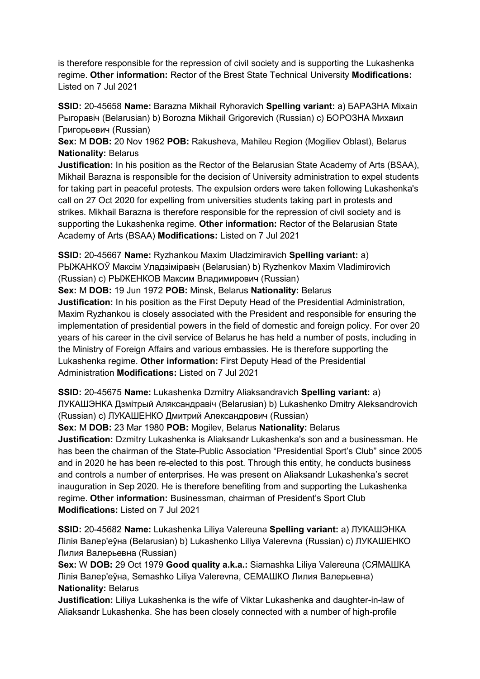is therefore responsible for the repression of civil society and is supporting the Lukashenka regime. **Other information:** Rector of the Brest State Technical University **Modifications:**  Listed on 7 Jul 2021

**SSID:** 20-45658 **Name:** Barazna Mikhail Ryhoravich **Spelling variant:** a) БАРАЗНА Мiхаiл Рыгоравiч (Belarusian) b) Borozna Mikhail Grigorevich (Russian) c) БОРОЗНА Михаил Григорьевич (Russian)

**Sex:** M **DOB:** 20 Nov 1962 **POB:** Rakusheva, Mahileu Region (Mogiliev Oblast), Belarus **Nationality:** Belarus

**Justification:** In his position as the Rector of the Belarusian State Academy of Arts (BSAA), Mikhail Barazna is responsible for the decision of University administration to expel students for taking part in peaceful protests. The expulsion orders were taken following Lukashenka's call on 27 Oct 2020 for expelling from universities students taking part in protests and strikes. Mikhail Barazna is therefore responsible for the repression of civil society and is supporting the Lukashenka regime. **Other information:** Rector of the Belarusian State Academy of Arts (BSAA) **Modifications:** Listed on 7 Jul 2021

**SSID:** 20-45667 **Name:** Ryzhankou Maxim Uladzimiravich **Spelling variant:** a) РЫЖАНКОЎ Максiм Уладзiмiравiч (Belarusian) b) Ryzhenkov Maxim Vladimirovich (Russian) c) РЫЖЕНКОВ Максим Владимирович (Russian) **Sex:** M **DOB:** 19 Jun 1972 **POB:** Minsk, Belarus **Nationality:** Belarus **Justification:** In his position as the First Deputy Head of the Presidential Administration, Maxim Ryzhankou is closely associated with the President and responsible for ensuring the implementation of presidential powers in the field of domestic and foreign policy. For over 20 years of his career in the civil service of Belarus he has held a number of posts, including in the Ministry of Foreign Affairs and various embassies. He is therefore supporting the Lukashenka regime. **Other information:** First Deputy Head of the Presidential Administration **Modifications:** Listed on 7 Jul 2021

**SSID:** 20-45675 **Name:** Lukashenka Dzmitry Aliaksandravich **Spelling variant:** a) ЛУКАШЭНКА Дзмiтрый Аляксандравiч (Belarusian) b) Lukashenko Dmitry Aleksandrovich (Russian) c) ЛУКАШЕНКО Дмитрий Александрович (Russian)

**Sex:** M **DOB:** 23 Mar 1980 **POB:** Mogilev, Belarus **Nationality:** Belarus

**Justification:** Dzmitry Lukashenka is Aliaksandr Lukashenka's son and a businessman. He has been the chairman of the State-Public Association "Presidential Sport's Club" since 2005 and in 2020 he has been re-elected to this post. Through this entity, he conducts business and controls a number of enterprises. He was present on Aliaksandr Lukashenka's secret inauguration in Sep 2020. He is therefore benefiting from and supporting the Lukashenka regime. **Other information:** Businessman, chairman of President's Sport Club **Modifications:** Listed on 7 Jul 2021

**SSID:** 20-45682 **Name:** Lukashenka Liliya Valereuna **Spelling variant:** a) ЛУКАШЭНКА Лiлiя Валер'еўна (Belarusian) b) Lukashenko Liliya Valerevna (Russian) c) ЛУКАШЕНКО Лилия Валерьевна (Russian)

**Sex:** W **DOB:** 29 Oct 1979 **Good quality a.k.a.:** Siamashka Liliya Valereuna (СЯМАШКА Лiлiя Валер'еўна, Semashko Liliya Valerevna, СЕМАШКО Лилия Валерьевна) **Nationality:** Belarus

**Justification:** Liliya Lukashenka is the wife of Viktar Lukashenka and daughter-in-law of Aliaksandr Lukashenka. She has been closely connected with a number of high-profile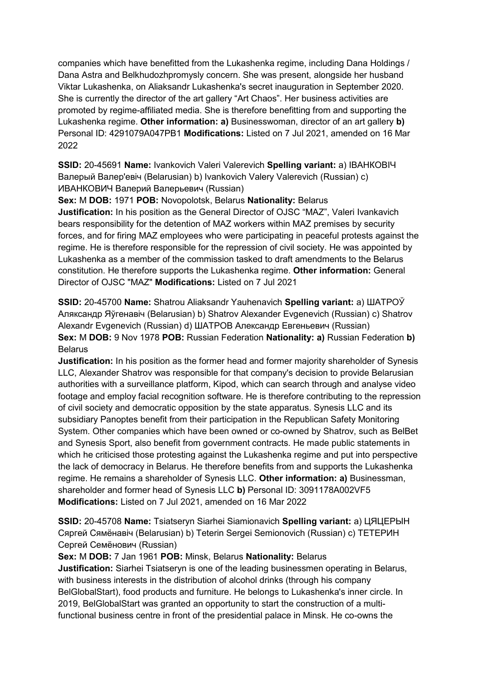companies which have benefitted from the Lukashenka regime, including Dana Holdings / Dana Astra and Belkhudozhpromysly concern. She was present, alongside her husband Viktar Lukashenka, on Aliaksandr Lukashenka's secret inauguration in September 2020. She is currently the director of the art gallery "Art Chaos". Her business activities are promoted by regime-affiliated media. She is therefore benefitting from and supporting the Lukashenka regime. **Other information: a)** Businesswoman, director of an art gallery **b)**  Personal ID: 4291079A047PB1 **Modifications:** Listed on 7 Jul 2021, amended on 16 Mar 2022

**SSID:** 20-45691 **Name:** Ivankovich Valeri Valerevich **Spelling variant:** a) IВАНКОВIЧ Валерый Валер'евiч (Belarusian) b) Ivankovich Valery Valerevich (Russian) c) ИВАНКОВИЧ Валерий Валерьевич (Russian)

**Sex:** M **DOB:** 1971 **POB:** Novopolotsk, Belarus **Nationality:** Belarus

**Justification:** In his position as the General Director of OJSC "MAZ", Valeri Ivankavich bears responsibility for the detention of MAZ workers within MAZ premises by security forces, and for firing MAZ employees who were participating in peaceful protests against the regime. He is therefore responsible for the repression of civil society. He was appointed by Lukashenka as a member of the commission tasked to draft amendments to the Belarus constitution. He therefore supports the Lukashenka regime. **Other information:** General Director of OJSC "MAZ" **Modifications:** Listed on 7 Jul 2021

**SSID:** 20-45700 **Name:** Shatrou Aliaksandr Yauhenavich **Spelling variant:** a) ШАТРОЎ Аляксандр Яўгенавiч (Belarusian) b) Shatrov Alexander Evgenevich (Russian) c) Shatrov Alexandr Evgenevich (Russian) d) ШАТРОВ Александр Евгеньевич (Russian) **Sex:** M **DOB:** 9 Nov 1978 **POB:** Russian Federation **Nationality: a)** Russian Federation **b)**  Belarus

**Justification:** In his position as the former head and former majority shareholder of Synesis LLC, Alexander Shatrov was responsible for that company's decision to provide Belarusian authorities with a surveillance platform, Kipod, which can search through and analyse video footage and employ facial recognition software. He is therefore contributing to the repression of civil society and democratic opposition by the state apparatus. Synesis LLC and its subsidiary Panoptes benefit from their participation in the Republican Safety Monitoring System. Other companies which have been owned or co-owned by Shatrov, such as BelBet and Synesis Sport, also benefit from government contracts. He made public statements in which he criticised those protesting against the Lukashenka regime and put into perspective the lack of democracy in Belarus. He therefore benefits from and supports the Lukashenka regime. He remains a shareholder of Synesis LLC. **Other information: a)** Businessman, shareholder and former head of Synesis LLC **b)** Personal ID: 3091178A002VF5 **Modifications:** Listed on 7 Jul 2021, amended on 16 Mar 2022

**SSID:** 20-45708 **Name:** Tsiatseryn Siarhei Siamionavich **Spelling variant:** a) ЦЯЦЕРЫН Сяргей Сямёнавiч (Belarusian) b) Teterin Sergei Semionovich (Russian) c) ТЕТЕРИН Сергей Семёнович (Russian)

**Sex:** M **DOB:** 7 Jan 1961 **POB:** Minsk, Belarus **Nationality:** Belarus

**Justification:** Siarhei Tsiatseryn is one of the leading businessmen operating in Belarus, with business interests in the distribution of alcohol drinks (through his company BelGlobalStart), food products and furniture. He belongs to Lukashenka's inner circle. In 2019, BelGlobalStart was granted an opportunity to start the construction of a multifunctional business centre in front of the presidential palace in Minsk. He co-owns the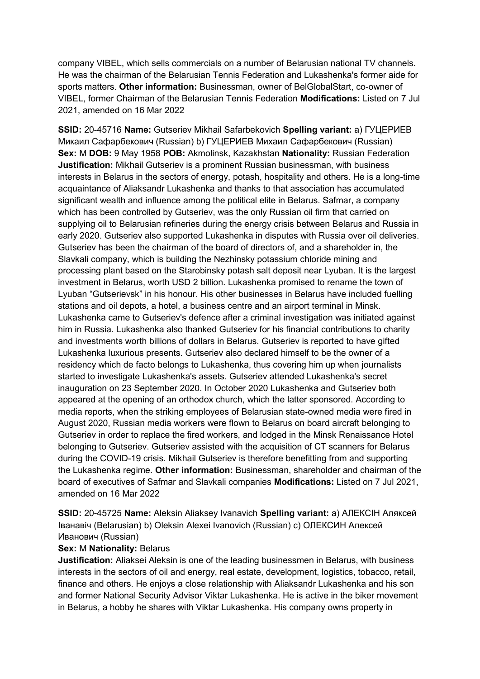company VIBEL, which sells commercials on a number of Belarusian national TV channels. He was the chairman of the Belarusian Tennis Federation and Lukashenka's former aide for sports matters. **Other information:** Businessman, owner of BelGlobalStart, co-owner of VIBEL, former Chairman of the Belarusian Tennis Federation **Modifications:** Listed on 7 Jul 2021, amended on 16 Mar 2022

**SSID:** 20-45716 **Name:** Gutseriev Mikhail Safarbekovich **Spelling variant:** a) ГУЦЕРИЕВ Микаил Сафарбекович (Russian) b) ГУЦЕРИЕВ Михаил Сафарбекович (Russian) **Sex:** M **DOB:** 9 May 1958 **POB:** Akmolinsk, Kazakhstan **Nationality:** Russian Federation **Justification:** Mikhail Gutseriev is a prominent Russian businessman, with business interests in Belarus in the sectors of energy, potash, hospitality and others. He is a long-time acquaintance of Aliaksandr Lukashenka and thanks to that association has accumulated significant wealth and influence among the political elite in Belarus. Safmar, a company which has been controlled by Gutseriev, was the only Russian oil firm that carried on supplying oil to Belarusian refineries during the energy crisis between Belarus and Russia in early 2020. Gutseriev also supported Lukashenka in disputes with Russia over oil deliveries. Gutseriev has been the chairman of the board of directors of, and a shareholder in, the Slavkali company, which is building the Nezhinsky potassium chloride mining and processing plant based on the Starobinsky potash salt deposit near Lyuban. It is the largest investment in Belarus, worth USD 2 billion. Lukashenka promised to rename the town of Lyuban "Gutserievsk" in his honour. His other businesses in Belarus have included fuelling stations and oil depots, a hotel, a business centre and an airport terminal in Minsk. Lukashenka came to Gutseriev's defence after a criminal investigation was initiated against him in Russia. Lukashenka also thanked Gutseriev for his financial contributions to charity and investments worth billions of dollars in Belarus. Gutseriev is reported to have gifted Lukashenka luxurious presents. Gutseriev also declared himself to be the owner of a residency which de facto belongs to Lukashenka, thus covering him up when journalists started to investigate Lukashenka's assets. Gutseriev attended Lukashenka's secret inauguration on 23 September 2020. In October 2020 Lukashenka and Gutseriev both appeared at the opening of an orthodox church, which the latter sponsored. According to media reports, when the striking employees of Belarusian state-owned media were fired in August 2020, Russian media workers were flown to Belarus on board aircraft belonging to Gutseriev in order to replace the fired workers, and lodged in the Minsk Renaissance Hotel belonging to Gutseriev. Gutseriev assisted with the acquisition of CT scanners for Belarus during the COVID-19 crisis. Mikhail Gutseriev is therefore benefitting from and supporting the Lukashenka regime. **Other information:** Businessman, shareholder and chairman of the board of executives of Safmar and Slavkali companies **Modifications:** Listed on 7 Jul 2021, amended on 16 Mar 2022

**SSID:** 20-45725 **Name:** Aleksin Aliaksey Ivanavich **Spelling variant:** a) АЛЕКСIН Аляксей Iванавiч (Belarusian) b) Oleksin Alexei Ivanovich (Russian) c) ОЛЕКСИН Алексей Иванович (Russian)

#### **Sex:** M **Nationality:** Belarus

**Justification:** Aliaksei Aleksin is one of the leading businessmen in Belarus, with business interests in the sectors of oil and energy, real estate, development, logistics, tobacco, retail, finance and others. He enjoys a close relationship with Aliaksandr Lukashenka and his son and former National Security Advisor Viktar Lukashenka. He is active in the biker movement in Belarus, a hobby he shares with Viktar Lukashenka. His company owns property in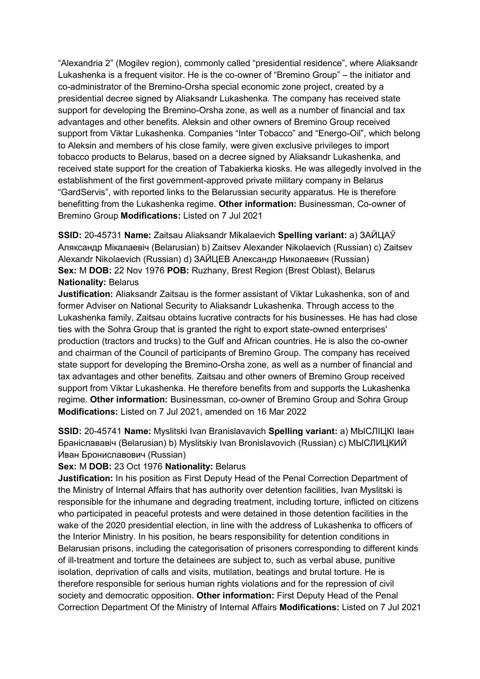"Alexandria 2" (Mogilev region), commonly called "presidential residence", where Aliaksandr Lukashenka is a frequent visitor. He is the co-owner of "Bremino Group" – the initiator and co-administrator of the Bremino-Orsha special economic zone project, created by a presidential decree signed by Aliaksandr Lukashenka. The company has received state support for developing the Bremino-Orsha zone, as well as a number of financial and tax advantages and other benefits. Aleksin and other owners of Bremino Group received support from Viktar Lukashenka. Companies "Inter Tobacco" and "Energo-Oil", which belong to Aleksin and members of his close family, were given exclusive privileges to import tobacco products to Belarus, based on a decree signed by Aliaksandr Lukashenka, and received state support for the creation of Tabakierka kiosks. He was allegedly involved in the establishment of the first government-approved private military company in Belarus "GardServis", with reported links to the Belarussian security apparatus. He is therefore benefitting from the Lukashenka regime. **Other information:** Businessman, Co-owner of Bremino Group **Modifications:** Listed on 7 Jul 2021

**SSID:** 20-45731 **Name:** Zaitsau Aliaksandr Mikalaevich **Spelling variant:** a) ЗАЙЦАЎ Аляксандр Мiкалаевiч (Belarusian) b) Zaitsev Alexander Nikolaevich (Russian) c) Zaitsev Alexandr Nikolaevich (Russian) d) ЗАЙЦЕВ Александр Николаевич (Russian) **Sex:** M **DOB:** 22 Nov 1976 **POB:** Ruzhany, Brest Region (Brest Oblast), Belarus **Nationality:** Belarus

**Justification:** Aliaksandr Zaitsau is the former assistant of Viktar Lukashenka, son of and former Adviser on National Security to Aliaksandr Lukashenka. Through access to the Lukashenka family, Zaitsau obtains lucrative contracts for his businesses. He has had close ties with the Sohra Group that is granted the right to export state-owned enterprises' production (tractors and trucks) to the Gulf and African countries. He is also the co-owner and chairman of the Council of participants of Bremino Group. The company has received state support for developing the Bremino-Orsha zone, as well as a number of financial and tax advantages and other benefits. Zaitsau and other owners of Bremino Group received support from Viktar Lukashenka. He therefore benefits from and supports the Lukashenka regime. **Other information:** Businessman, co-owner of Bremino Group and Sohra Group **Modifications:** Listed on 7 Jul 2021, amended on 16 Mar 2022

**SSID:** 20-45741 **Name:** Myslitski Ivan Branislavavich **Spelling variant:** a) МЫСЛIЦКI Iван Бранiслававiч (Belarusian) b) Myslitskiy Ivan Bronislavovich (Russian) c) МЫСЛИЦКИЙ Иван Брониславович (Russian)

#### **Sex:** M **DOB:** 23 Oct 1976 **Nationality:** Belarus

**Justification:** In his position as First Deputy Head of the Penal Correction Department of the Ministry of Internal Affairs that has authority over detention facilities, Ivan Myslitski is responsible for the inhumane and degrading treatment, including torture, inflicted on citizens who participated in peaceful protests and were detained in those detention facilities in the wake of the 2020 presidential election, in line with the address of Lukashenka to officers of the Interior Ministry. In his position, he bears responsibility for detention conditions in Belarusian prisons, including the categorisation of prisoners corresponding to different kinds of ill-treatment and torture the detainees are subject to, such as verbal abuse, punitive isolation, deprivation of calls and visits, mutilation, beatings and brutal torture. He is therefore responsible for serious human rights violations and for the repression of civil society and democratic opposition. **Other information:** First Deputy Head of the Penal Correction Department Of the Ministry of Internal Affairs **Modifications:** Listed on 7 Jul 2021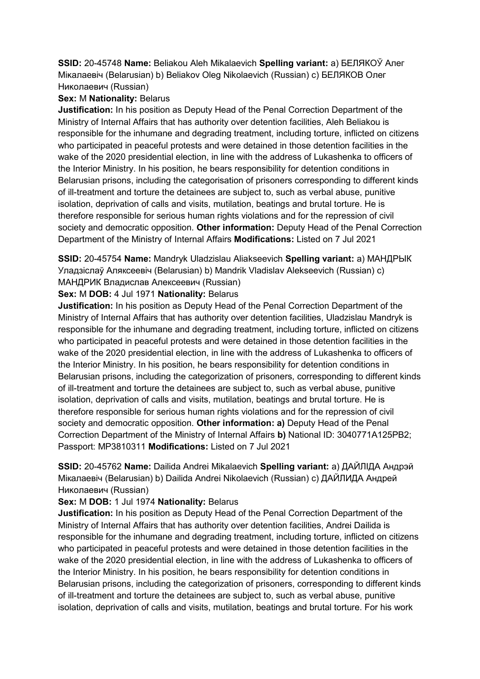**SSID:** 20-45748 **Name:** Beliakou Aleh Mikalaevich **Spelling variant:** a) БЕЛЯКОЎ Алег Мiĸалаевiч (Belarusian) b) Beliakov Oleg Nikolaevich (Russian) c) БЕЛЯКОВ Олег Николаевич (Russian)

## **Sex:** M **Nationality:** Belarus

**Justification:** In his position as Deputy Head of the Penal Correction Department of the Ministry of Internal Affairs that has authority over detention facilities, Aleh Beliakou is responsible for the inhumane and degrading treatment, including torture, inflicted on citizens who participated in peaceful protests and were detained in those detention facilities in the wake of the 2020 presidential election, in line with the address of Lukashenka to officers of the Interior Ministry. In his position, he bears responsibility for detention conditions in Belarusian prisons, including the categorisation of prisoners corresponding to different kinds of ill-treatment and torture the detainees are subject to, such as verbal abuse, punitive isolation, deprivation of calls and visits, mutilation, beatings and brutal torture. He is therefore responsible for serious human rights violations and for the repression of civil society and democratic opposition. **Other information:** Deputy Head of the Penal Correction Department of the Ministry of Internal Affairs **Modifications:** Listed on 7 Jul 2021

**SSID:** 20-45754 **Name:** Mandryk Uladzislau Aliakseevich **Spelling variant:** a) МАНДРЫК Уладзiслаў Аляксеевiч (Belarusian) b) Mandrik Vladislav Alekseevich (Russian) c) МАНДРИК Владислав Алексеевич (Russian)

# **Sex:** M **DOB:** 4 Jul 1971 **Nationality:** Belarus

**Justification:** In his position as Deputy Head of the Penal Correction Department of the Ministry of Internal Affairs that has authority over detention facilities, Uladzislau Mandryk is responsible for the inhumane and degrading treatment, including torture, inflicted on citizens who participated in peaceful protests and were detained in those detention facilities in the wake of the 2020 presidential election, in line with the address of Lukashenka to officers of the Interior Ministry. In his position, he bears responsibility for detention conditions in Belarusian prisons, including the categorization of prisoners, corresponding to different kinds of ill-treatment and torture the detainees are subject to, such as verbal abuse, punitive isolation, deprivation of calls and visits, mutilation, beatings and brutal torture. He is therefore responsible for serious human rights violations and for the repression of civil society and democratic opposition. **Other information: a)** Deputy Head of the Penal Correction Department of the Ministry of Internal Affairs **b)** National ID: 3040771A125PB2; Passport: MP3810311 **Modifications:** Listed on 7 Jul 2021

**SSID:** 20-45762 **Name:** Dailida Andrei Mikalaevich **Spelling variant:** a) ДАЙЛIДА Андрэй Мiкалаевiч (Belarusian) b) Dailida Andrei Nikolaevich (Russian) c) ДАЙЛИДА Андрей Николаевич (Russian)

# **Sex:** M **DOB:** 1 Jul 1974 **Nationality:** Belarus

**Justification:** In his position as Deputy Head of the Penal Correction Department of the Ministry of Internal Affairs that has authority over detention facilities, Andrei Dailida is responsible for the inhumane and degrading treatment, including torture, inflicted on citizens who participated in peaceful protests and were detained in those detention facilities in the wake of the 2020 presidential election, in line with the address of Lukashenka to officers of the Interior Ministry. In his position, he bears responsibility for detention conditions in Belarusian prisons, including the categorization of prisoners, corresponding to different kinds of ill-treatment and torture the detainees are subject to, such as verbal abuse, punitive isolation, deprivation of calls and visits, mutilation, beatings and brutal torture. For his work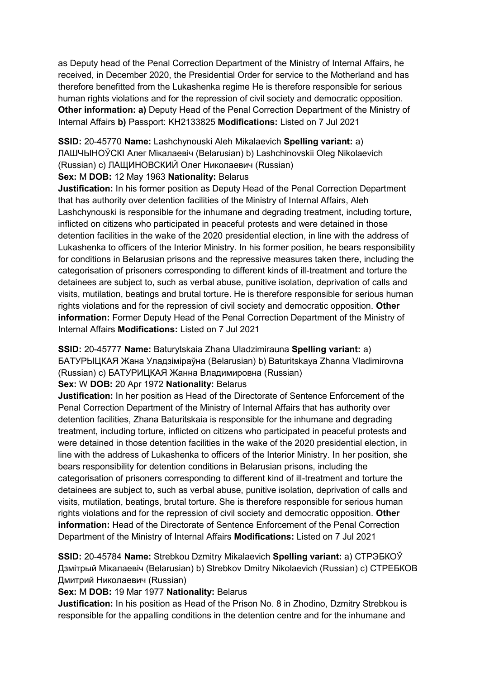as Deputy head of the Penal Correction Department of the Ministry of Internal Affairs, he received, in December 2020, the Presidential Order for service to the Motherland and has therefore benefitted from the Lukashenka regime He is therefore responsible for serious human rights violations and for the repression of civil society and democratic opposition. **Other information: a)** Deputy Head of the Penal Correction Department of the Ministry of Internal Affairs **b)** Passport: KH2133825 **Modifications:** Listed on 7 Jul 2021

**SSID:** 20-45770 **Name:** Lashchynouski Aleh Mikalaevich **Spelling variant:** a) ЛАШЧЫНОЎСКI Алег Мiкалаевiч (Belarusian) b) Lashchinovskii Oleg Nikolaevich (Russian) c) ЛАЩИНОВСКИЙ Олег Николаевич (Russian)

## **Sex:** M **DOB:** 12 May 1963 **Nationality:** Belarus

**Justification:** In his former position as Deputy Head of the Penal Correction Department that has authority over detention facilities of the Ministry of Internal Affairs, Aleh Lashchynouski is responsible for the inhumane and degrading treatment, including torture, inflicted on citizens who participated in peaceful protests and were detained in those detention facilities in the wake of the 2020 presidential election, in line with the address of Lukashenka to officers of the Interior Ministry. In his former position, he bears responsibility for conditions in Belarusian prisons and the repressive measures taken there, including the categorisation of prisoners corresponding to different kinds of ill-treatment and torture the detainees are subject to, such as verbal abuse, punitive isolation, deprivation of calls and visits, mutilation, beatings and brutal torture. He is therefore responsible for serious human rights violations and for the repression of civil society and democratic opposition. **Other information:** Former Deputy Head of the Penal Correction Department of the Ministry of Internal Affairs **Modifications:** Listed on 7 Jul 2021

**SSID:** 20-45777 **Name:** Baturytskaia Zhana Uladzimirauna **Spelling variant:** a) БАТУРЫЦКАЯ Жана Уладзiмiраўна (Belarusian) b) Baturitskaya Zhanna Vladimirovna (Russian) c) БАТУРИЦКАЯ Жанна Владимировна (Russian)

# **Sex:** W **DOB:** 20 Apr 1972 **Nationality:** Belarus

**Justification:** In her position as Head of the Directorate of Sentence Enforcement of the Penal Correction Department of the Ministry of Internal Affairs that has authority over detention facilities, Zhana Baturitskaia is responsible for the inhumane and degrading treatment, including torture, inflicted on citizens who participated in peaceful protests and were detained in those detention facilities in the wake of the 2020 presidential election, in line with the address of Lukashenka to officers of the Interior Ministry. In her position, she bears responsibility for detention conditions in Belarusian prisons, including the categorisation of prisoners corresponding to different kind of ill-treatment and torture the detainees are subject to, such as verbal abuse, punitive isolation, deprivation of calls and visits, mutilation, beatings, brutal torture. She is therefore responsible for serious human rights violations and for the repression of civil society and democratic opposition. **Other information:** Head of the Directorate of Sentence Enforcement of the Penal Correction Department of the Ministry of Internal Affairs **Modifications:** Listed on 7 Jul 2021

**SSID:** 20-45784 **Name:** Strebkou Dzmitry Mikalaevich **Spelling variant:** a) СТРЭБКОЎ Дзмiтрый Мiкалаевiч (Belarusian) b) Strebkov Dmitry Nikolaevich (Russian) c) СТРЕБКОВ Дмитрий Николаевич (Russian)

# **Sex:** M **DOB:** 19 Mar 1977 **Nationality:** Belarus

**Justification:** In his position as Head of the Prison No. 8 in Zhodino, Dzmitry Strebkou is responsible for the appalling conditions in the detention centre and for the inhumane and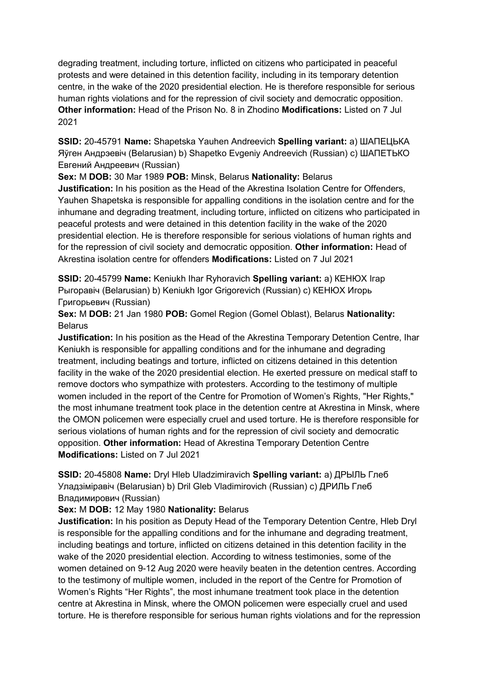degrading treatment, including torture, inflicted on citizens who participated in peaceful protests and were detained in this detention facility, including in its temporary detention centre, in the wake of the 2020 presidential election. He is therefore responsible for serious human rights violations and for the repression of civil society and democratic opposition. **Other information:** Head of the Prison No. 8 in Zhodino **Modifications:** Listed on 7 Jul 2021

**SSID:** 20-45791 **Name:** Shapetska Yauhen Andreevich **Spelling variant:** a) ШАПЕЦЬКА Яўген Андрэевiч (Belarusian) b) Shapetko Evgeniy Andreevich (Russian) c) ШАПЕТЬКО Евгений Андреевич (Russian)

**Sex:** M **DOB:** 30 Mar 1989 **POB:** Minsk, Belarus **Nationality:** Belarus

**Justification:** In his position as the Head of the Akrestina Isolation Centre for Offenders, Yauhen Shapetska is responsible for appalling conditions in the isolation centre and for the inhumane and degrading treatment, including torture, inflicted on citizens who participated in peaceful protests and were detained in this detention facility in the wake of the 2020 presidential election. He is therefore responsible for serious violations of human rights and for the repression of civil society and democratic opposition. **Other information:** Head of Akrestina isolation centre for offenders **Modifications:** Listed on 7 Jul 2021

**SSID:** 20-45799 **Name:** Keniukh Ihar Ryhoravich **Spelling variant:** a) КЕНЮХ Iгар Рыгоравiч (Belarusian) b) Keniukh Igor Grigorevich (Russian) c) КЕНЮХ Игорь Григорьевич (Russian)

**Sex:** M **DOB:** 21 Jan 1980 **POB:** Gomel Region (Gomel Oblast), Belarus **Nationality:** Belarus

**Justification:** In his position as the Head of the Akrestina Temporary Detention Centre, Ihar Keniukh is responsible for appalling conditions and for the inhumane and degrading treatment, including beatings and torture, inflicted on citizens detained in this detention facility in the wake of the 2020 presidential election. He exerted pressure on medical staff to remove doctors who sympathize with protesters. According to the testimony of multiple women included in the report of the Centre for Promotion of Women's Rights, "Her Rights," the most inhumane treatment took place in the detention centre at Akrestina in Minsk, where the OMON policemen were especially cruel and used torture. He is therefore responsible for serious violations of human rights and for the repression of civil society and democratic opposition. **Other information:** Head of Akrestina Temporary Detention Centre **Modifications:** Listed on 7 Jul 2021

**SSID:** 20-45808 **Name:** Dryl Hleb Uladzimiravich **Spelling variant:** a) ДРЫЛЬ Глеб Уладзiмiравiч (Belarusian) b) Dril Gleb Vladimirovich (Russian) c) ДРИЛЬ Глеб Владимирович (Russian)

# **Sex:** M **DOB:** 12 May 1980 **Nationality:** Belarus

**Justification:** In his position as Deputy Head of the Temporary Detention Centre, Hleb Dryl is responsible for the appalling conditions and for the inhumane and degrading treatment, including beatings and torture, inflicted on citizens detained in this detention facility in the wake of the 2020 presidential election. According to witness testimonies, some of the women detained on 9-12 Aug 2020 were heavily beaten in the detention centres. According to the testimony of multiple women, included in the report of the Centre for Promotion of Women's Rights "Her Rights", the most inhumane treatment took place in the detention centre at Akrestina in Minsk, where the OMON policemen were especially cruel and used torture. He is therefore responsible for serious human rights violations and for the repression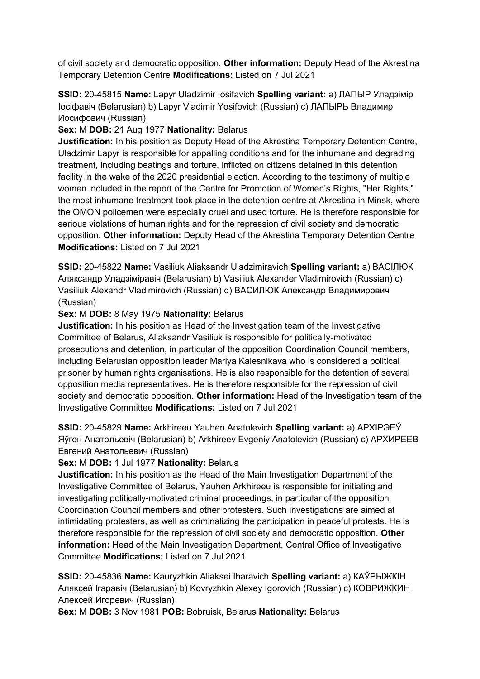of civil society and democratic opposition. **Other information:** Deputy Head of the Akrestina Temporary Detention Centre **Modifications:** Listed on 7 Jul 2021

**SSID:** 20-45815 **Name:** Lapyr Uladzimir Iosifavich **Spelling variant:** a) ЛАПЫР Уладзiмiр Iосiфавiч (Belarusian) b) Lapyr Vladimir Yosifovich (Russian) c) ЛАПЫРЬ Владимир Иосифович (Russian)

**Sex:** M **DOB:** 21 Aug 1977 **Nationality:** Belarus

**Justification:** In his position as Deputy Head of the Akrestina Temporary Detention Centre, Uladzimir Lapyr is responsible for appalling conditions and for the inhumane and degrading treatment, including beatings and torture, inflicted on citizens detained in this detention facility in the wake of the 2020 presidential election. According to the testimony of multiple women included in the report of the Centre for Promotion of Women's Rights, "Her Rights," the most inhumane treatment took place in the detention centre at Akrestina in Minsk, where the OMON policemen were especially cruel and used torture. He is therefore responsible for serious violations of human rights and for the repression of civil society and democratic opposition. **Other information:** Deputy Head of the Akrestina Temporary Detention Centre **Modifications:** Listed on 7 Jul 2021

**SSID:** 20-45822 **Name:** Vasiliuk Aliaksandr Uladzimiravich **Spelling variant:** a) ВАСIЛЮК Аляксандр Уладзiмiравiч (Belarusian) b) Vasiliuk Alexander Vladimirovich (Russian) c) Vasiliuk Alexandr Vladimirovich (Russian) d) ВАСИЛЮК Александр Владимирович (Russian)

**Sex:** M **DOB:** 8 May 1975 **Nationality:** Belarus

**Justification:** In his position as Head of the Investigation team of the Investigative Committee of Belarus, Aliaksandr Vasiliuk is responsible for politically-motivated prosecutions and detention, in particular of the opposition Coordination Council members, including Belarusian opposition leader Mariya Kalesnikava who is considered a political prisoner by human rights organisations. He is also responsible for the detention of several opposition media representatives. He is therefore responsible for the repression of civil society and democratic opposition. **Other information:** Head of the Investigation team of the Investigative Committee **Modifications:** Listed on 7 Jul 2021

**SSID:** 20-45829 **Name:** Arkhireeu Yauhen Anatolevich **Spelling variant:** a) АРХIРЭЕЎ Яўген Анатольевiч (Belarusian) b) Arkhireev Evgeniy Anatolevich (Russian) c) АРХИРЕЕВ Евгений Анатольевич (Russian)

## **Sex:** M **DOB:** 1 Jul 1977 **Nationality:** Belarus

**Justification:** In his position as the Head of the Main Investigation Department of the Investigative Committee of Belarus, Yauhen Arkhireeu is responsible for initiating and investigating politically-motivated criminal proceedings, in particular of the opposition Coordination Council members and other protesters. Such investigations are aimed at intimidating protesters, as well as criminalizing the participation in peaceful protests. He is therefore responsible for the repression of civil society and democratic opposition. **Other information:** Head of the Main Investigation Department, Central Office of Investigative Committee **Modifications:** Listed on 7 Jul 2021

**SSID:** 20-45836 **Name:** Kauryzhkin Aliaksei Iharavich **Spelling variant:** a) КАЎРЫЖКIН Аляĸсей Iгаравiч (Belarusian) b) Kovryzhkin Alexey Igorovich (Russian) c) КОВРИЖКИН Алексей Игоревич (Russian)

**Sex:** M **DOB:** 3 Nov 1981 **POB:** Bobruisk, Belarus **Nationality:** Belarus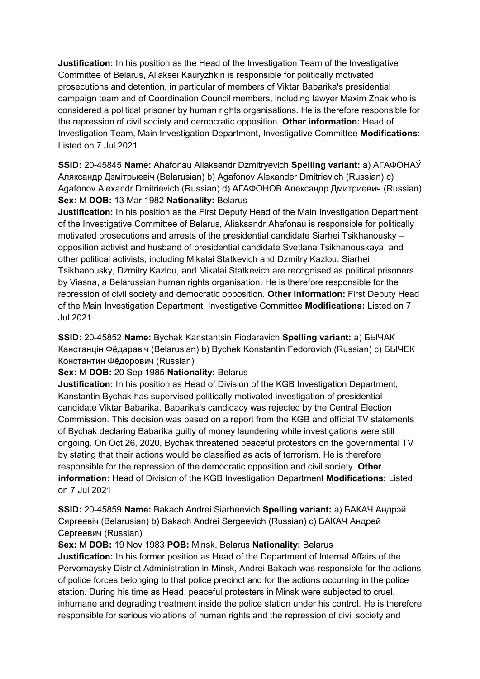**Justification:** In his position as the Head of the Investigation Team of the Investigative Committee of Belarus, Aliaksei Kauryzhkin is responsible for politically motivated prosecutions and detention, in particular of members of Viktar Babarika's presidential campaign team and of Coordination Council members, including lawyer Maxim Znak who is considered a political prisoner by human rights organisations. He is therefore responsible for the repression of civil society and democratic opposition. **Other information:** Head of Investigation Team, Main Investigation Department, Investigative Committee **Modifications:**  Listed on 7 Jul 2021

**SSID:** 20-45845 **Name:** Ahafonau Aliaksandr Dzmitryevich **Spelling variant:** a) АГАФОНАЎ Аляксандр Дзмiтрыевiч (Belarusian) b) Agafonov Alexander Dmitrievich (Russian) c) Agafonov Alexandr Dmitrievich (Russian) d) АГАФОНОВ Александр Дмитриевич (Russian) **Sex:** M **DOB:** 13 Mar 1982 **Nationality:** Belarus

**Justification:** In his position as the First Deputy Head of the Main Investigation Department of the Investigative Committee of Belarus, Aliaksandr Ahafonau is responsible for politically motivated prosecutions and arrests of the presidential candidate Siarhei Tsikhanousky – opposition activist and husband of presidential candidate Svetlana Tsikhanouskaya. and other political activists, including Mikalai Statkevich and Dzmitry Kazlou. Siarhei Tsikhanousky, Dzmitry Kazlou, and Mikalai Statkevich are recognised as political prisoners by Viasna, a Belarussian human rights organisation. He is therefore responsible for the repression of civil society and democratic opposition. **Other information:** First Deputy Head of the Main Investigation Department, Investigative Committee **Modifications:** Listed on 7 Jul 2021

**SSID:** 20-45852 **Name:** Bychak Kanstantsin Fiodaravich **Spelling variant:** a) БЫЧАК Канстанцiн Фёдаравiч (Belarusian) b) Bychek Konstantin Fedorovich (Russian) c) БЫЧЕК Константин Фёдорович (Russian)

## **Sex:** M **DOB:** 20 Sep 1985 **Nationality:** Belarus

**Justification:** In his position as Head of Division of the KGB Investigation Department, Kanstantin Bychak has supervised politically motivated investigation of presidential candidate Viktar Babarika. Babarika's candidacy was rejected by the Central Election Commission. This decision was based on a report from the KGB and official TV statements of Bychak declaring Babarika guilty of money laundering while investigations were still ongoing. On Oct 26, 2020, Bychak threatened peaceful protestors on the governmental TV by stating that their actions would be classified as acts of terrorism. He is therefore responsible for the repression of the democratic opposition and civil society. **Other information:** Head of Division of the KGB Investigation Department **Modifications:** Listed on 7 Jul 2021

**SSID:** 20-45859 **Name:** Bakach Andrei Siarheevich **Spelling variant:** a) БАКАЧ Андрэй Сяргеевiч (Belarusian) b) Bakach Andrei Sergeevich (Russian) c) БАКАЧ Андрей Сергеевич (Russian)

## **Sex:** M **DOB:** 19 Nov 1983 **POB:** Minsk, Belarus **Nationality:** Belarus

**Justification:** In his former position as Head of the Department of Internal Affairs of the Pervomaysky District Administration in Minsk, Andrei Bakach was responsible for the actions of police forces belonging to that police precinct and for the actions occurring in the police station. During his time as Head, peaceful protesters in Minsk were subjected to cruel, inhumane and degrading treatment inside the police station under his control. He is therefore responsible for serious violations of human rights and the repression of civil society and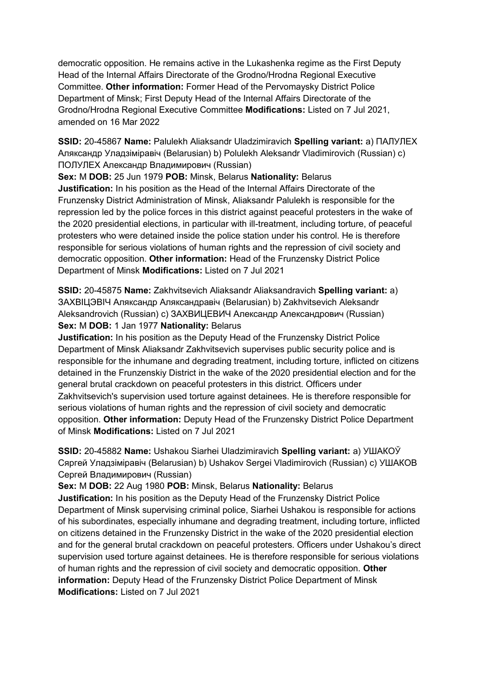democratic opposition. He remains active in the Lukashenka regime as the First Deputy Head of the Internal Affairs Directorate of the Grodno/Hrodna Regional Executive Committee. **Other information:** Former Head of the Pervomaysky District Police Department of Minsk; First Deputy Head of the Internal Affairs Directorate of the Grodno/Hrodna Regional Executive Committee **Modifications:** Listed on 7 Jul 2021, amended on 16 Mar 2022

**SSID:** 20-45867 **Name:** Palulekh Aliaksandr Uladzimiravich **Spelling variant:** a) ПАЛУЛЕХ Аляксандр Уладзiмiравiч (Belarusian) b) Polulekh Aleksandr Vladimirovich (Russian) c) ПОЛУЛЕХ Александр Владимирович (Russian)

**Sex:** M **DOB:** 25 Jun 1979 **POB:** Minsk, Belarus **Nationality:** Belarus **Justification:** In his position as the Head of the Internal Affairs Directorate of the Frunzensky District Administration of Minsk, Aliaksandr Palulekh is responsible for the repression led by the police forces in this district against peaceful protesters in the wake of the 2020 presidential elections, in particular with ill-treatment, including torture, of peaceful protesters who were detained inside the police station under his control. He is therefore responsible for serious violations of human rights and the repression of civil society and democratic opposition. **Other information:** Head of the Frunzensky District Police Department of Minsk **Modifications:** Listed on 7 Jul 2021

**SSID:** 20-45875 **Name:** Zakhvitsevich Aliaksandr Aliaksandravich **Spelling variant:** a) ЗАХВIЦЭВIЧ Аляксандр Аляксандравiч (Belarusian) b) Zakhvitsevich Aleksandr Aleksandrovich (Russian) c) ЗАХВИЦЕВИЧ Александр Александрович (Russian) **Sex:** M **DOB:** 1 Jan 1977 **Nationality:** Belarus

**Justification:** In his position as the Deputy Head of the Frunzensky District Police Department of Minsk Aliaksandr Zakhvitsevich supervises public security police and is responsible for the inhumane and degrading treatment, including torture, inflicted on citizens detained in the Frunzenskiy District in the wake of the 2020 presidential election and for the general brutal crackdown on peaceful protesters in this district. Officers under Zakhvitsevich's supervision used torture against detainees. He is therefore responsible for serious violations of human rights and the repression of civil society and democratic opposition. **Other information:** Deputy Head of the Frunzensky District Police Department of Minsk **Modifications:** Listed on 7 Jul 2021

**SSID:** 20-45882 **Name:** Ushakou Siarhei Uladzimiravich **Spelling variant:** a) УШАКОЎ Сяргей Уладзiмiравiч (Belarusian) b) Ushakov Sergei Vladimirovich (Russian) c) УШАКОВ Сергей Владимирович (Russian)

**Sex:** M **DOB:** 22 Aug 1980 **POB:** Minsk, Belarus **Nationality:** Belarus

**Justification:** In his position as the Deputy Head of the Frunzensky District Police Department of Minsk supervising criminal police, Siarhei Ushakou is responsible for actions of his subordinates, especially inhumane and degrading treatment, including torture, inflicted on citizens detained in the Frunzensky District in the wake of the 2020 presidential election and for the general brutal crackdown on peaceful protesters. Officers under Ushakou's direct supervision used torture against detainees. He is therefore responsible for serious violations of human rights and the repression of civil society and democratic opposition. **Other information:** Deputy Head of the Frunzensky District Police Department of Minsk **Modifications:** Listed on 7 Jul 2021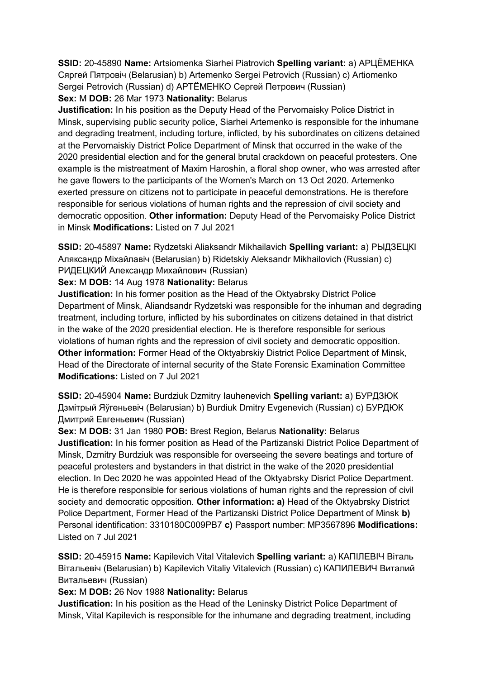**SSID:** 20-45890 **Name:** Artsiomenka Siarhei Piatrovich **Spelling variant:** a) АРЦЁМЕНКА Сяргей Пятровiч (Belarusian) b) Artemenko Sergei Petrovich (Russian) c) Artiomenko Sergei Petrovich (Russian) d) АРТЁМЕНКО Сергей Петрович (Russian)

# **Sex:** M **DOB:** 26 Mar 1973 **Nationality:** Belarus

**Justification:** In his position as the Deputy Head of the Pervomaisky Police District in Minsk, supervising public security police, Siarhei Artemenko is responsible for the inhumane and degrading treatment, including torture, inflicted, by his subordinates on citizens detained at the Pervomaiskiy District Police Department of Minsk that occurred in the wake of the 2020 presidential election and for the general brutal crackdown on peaceful protesters. One example is the mistreatment of Maxim Haroshin, a floral shop owner, who was arrested after he gave flowers to the participants of the Women's March on 13 Oct 2020. Artemenko exerted pressure on citizens not to participate in peaceful demonstrations. He is therefore responsible for serious violations of human rights and the repression of civil society and democratic opposition. **Other information:** Deputy Head of the Pervomaisky Police District in Minsk **Modifications:** Listed on 7 Jul 2021

**SSID:** 20-45897 **Name:** Rydzetski Aliaksandr Mikhailavich **Spelling variant:** a) РЫДЗЕЦКI Аляксандр Мiхайлавiч (Belarusian) b) Ridetskiy Aleksandr Mikhailovich (Russian) c) РИДЕЦКИЙ Александр Михайлович (Russian)

## **Sex:** M **DOB:** 14 Aug 1978 **Nationality:** Belarus

**Justification:** In his former position as the Head of the Oktyabrsky District Police Department of Minsk, Aliandsandr Rydzetski was responsible for the inhuman and degrading treatment, including torture, inflicted by his subordinates on citizens detained in that district in the wake of the 2020 presidential election. He is therefore responsible for serious violations of human rights and the repression of civil society and democratic opposition. **Other information:** Former Head of the Oktyabrskiy District Police Department of Minsk, Head of the Directorate of internal security of the State Forensic Examination Committee **Modifications:** Listed on 7 Jul 2021

**SSID:** 20-45904 **Name:** Burdziuk Dzmitry Iauhenevich **Spelling variant:** a) БУРДЗЮК Дзмiтрый Яўгеньевiч (Belarusian) b) Burdiuk Dmitry Evgenevich (Russian) c) БУРДЮК Дмитрий Евгеньевич (Russian)

**Sex:** M **DOB:** 31 Jan 1980 **POB:** Brest Region, Belarus **Nationality:** Belarus **Justification:** In his former position as Head of the Partizanski District Police Department of Minsk, Dzmitry Burdziuk was responsible for overseeing the severe beatings and torture of peaceful protesters and bystanders in that district in the wake of the 2020 presidential election. In Dec 2020 he was appointed Head of the Oktyabrsky Disrict Police Department. He is therefore responsible for serious violations of human rights and the repression of civil society and democratic opposition. **Other information: a)** Head of the Oktyabrsky District Police Department, Former Head of the Partizanski District Police Department of Minsk **b)**  Personal identification: 3310180C009PB7 **c)** Passport number: MP3567896 **Modifications:**  Listed on 7 Jul 2021

**SSID:** 20-45915 **Name:** Kapilevich Vital Vitalevich **Spelling variant:** a) КАПIЛЕВIЧ Вiталь Вiтальевiч (Belarusian) b) Kapilevich Vitaliy Vitalevich (Russian) c) КАПИЛЕВИЧ Виталий Витальевич (Russian)

# **Sex:** M **DOB:** 26 Nov 1988 **Nationality:** Belarus

**Justification:** In his position as the Head of the Leninsky District Police Department of Minsk, Vital Kapilevich is responsible for the inhumane and degrading treatment, including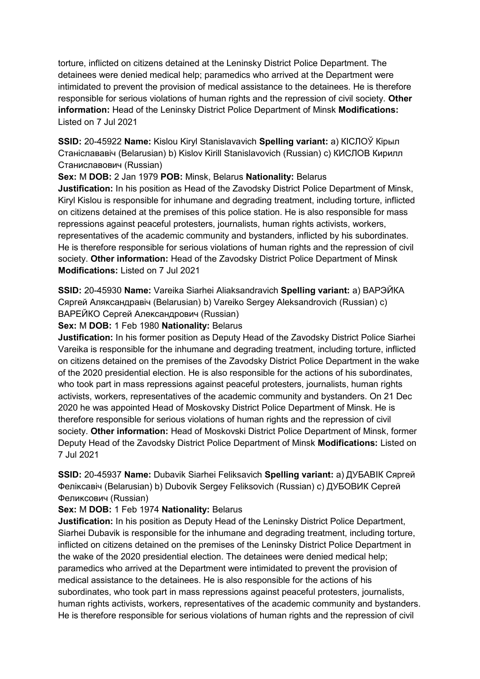torture, inflicted on citizens detained at the Leninsky District Police Department. The detainees were denied medical help; paramedics who arrived at the Department were intimidated to prevent the provision of medical assistance to the detainees. He is therefore responsible for serious violations of human rights and the repression of civil society. **Other information:** Head of the Leninsky District Police Department of Minsk **Modifications:**  Listed on 7 Jul 2021

**SSID:** 20-45922 **Name:** Kislou Kiryl Stanislavavich **Spelling variant:** a) КIСЛОЎ Кiрыл Станiслававiч (Belarusian) b) Kislov Kirill Stanislavovich (Russian) c) КИСЛОВ Кирилл Станиславович (Russian)

**Sex:** M **DOB:** 2 Jan 1979 **POB:** Minsk, Belarus **Nationality:** Belarus

**Justification:** In his position as Head of the Zavodsky District Police Department of Minsk, Kiryl Kislou is responsible for inhumane and degrading treatment, including torture, inflicted on citizens detained at the premises of this police station. He is also responsible for mass repressions against peaceful protesters, journalists, human rights activists, workers, representatives of the academic community and bystanders, inflicted by his subordinates. He is therefore responsible for serious violations of human rights and the repression of civil society. **Other information:** Head of the Zavodsky District Police Department of Minsk **Modifications:** Listed on 7 Jul 2021

**SSID:** 20-45930 **Name:** Vareika Siarhei Aliaksandravich **Spelling variant:** a) ВАРЭЙКА Сяргей Аляĸсандравiч (Belarusian) b) Vareiko Sergey Aleksandrovich (Russian) c) **ВАРЕЙКО Сергей Александрович (Russian)** 

## **Sex:** M **DOB:** 1 Feb 1980 **Nationality:** Belarus

**Justification:** In his former position as Deputy Head of the Zavodsky District Police Siarhei Vareika is responsible for the inhumane and degrading treatment, including torture, inflicted on citizens detained on the premises of the Zavodsky District Police Department in the wake of the 2020 presidential election. He is also responsible for the actions of his subordinates, who took part in mass repressions against peaceful protesters, journalists, human rights activists, workers, representatives of the academic community and bystanders. On 21 Dec 2020 he was appointed Head of Moskovsky District Police Department of Minsk. He is therefore responsible for serious violations of human rights and the repression of civil society. **Other information:** Head of Moskovski District Police Department of Minsk, former Deputy Head of the Zavodsky District Police Department of Minsk **Modifications:** Listed on 7 Jul 2021

**SSID:** 20-45937 **Name:** Dubavik Siarhei Feliksavich **Spelling variant:** a) ДУБАВIК Сяргей Фелiĸсавiч (Belarusian) b) Dubovik Sergey Feliksovich (Russian) c) ДУБОВИК Сергей Феликсович (Russian)

# **Sex:** M **DOB:** 1 Feb 1974 **Nationality:** Belarus

**Justification:** In his position as Deputy Head of the Leninsky District Police Department, Siarhei Dubavik is responsible for the inhumane and degrading treatment, including torture, inflicted on citizens detained on the premises of the Leninsky District Police Department in the wake of the 2020 presidential election. The detainees were denied medical help; paramedics who arrived at the Department were intimidated to prevent the provision of medical assistance to the detainees. He is also responsible for the actions of his subordinates, who took part in mass repressions against peaceful protesters, journalists, human rights activists, workers, representatives of the academic community and bystanders. He is therefore responsible for serious violations of human rights and the repression of civil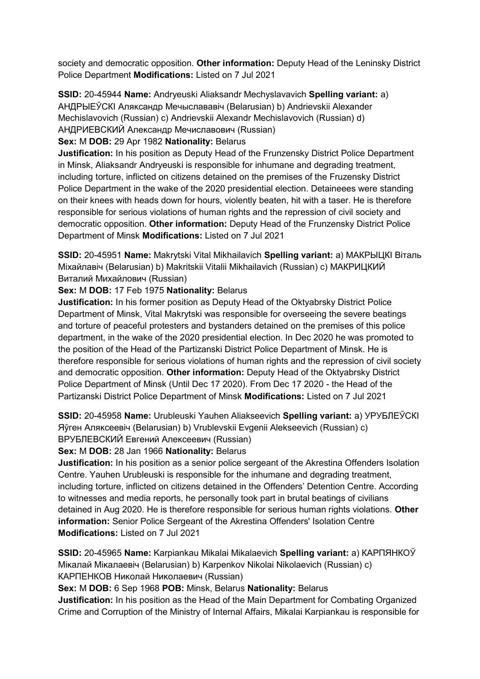society and democratic opposition. **Other information:** Deputy Head of the Leninsky District Police Department **Modifications:** Listed on 7 Jul 2021

**SSID:** 20-45944 **Name:** Andryeuski Aliaksandr Mechyslavavich **Spelling variant:** a) АНДРЫЕЎСКI Аляĸсандр Мечыслававiч (Belarusian) b) Andrievskii Alexander Mechislavovich (Russian) c) Andrievskii Alexandr Mechislavovich (Russian) d) АНДРИЕВСКИЙ Александр Мечиславович (Russian)

**Sex:** M **DOB:** 29 Apr 1982 **Nationality:** Belarus

**Justification:** In his position as Deputy Head of the Frunzensky District Police Department in Minsk, Aliaksandr Andryeuski is responsible for inhumane and degrading treatment, including torture, inflicted on citizens detained on the premises of the Fruzensky District Police Department in the wake of the 2020 presidential election. Detaineees were standing on their knees with heads down for hours, violently beaten, hit with a taser. He is therefore responsible for serious violations of human rights and the repression of civil society and democratic opposition. **Other information:** Deputy Head of the Frunzensky District Police Department of Minsk **Modifications:** Listed on 7 Jul 2021

**SSID:** 20-45951 **Name:** Makrytski Vital Mikhailavich **Spelling variant:** a) МАКРЫЦКI Вiталь Мiхайлавiч (Belarusian) b) Makritskii Vitalii Mikhailavich (Russian) c) МАКРИЦКИЙ Виталий Михайлович (Russian)

**Sex:** M **DOB:** 17 Feb 1975 **Nationality:** Belarus

**Justification:** In his former position as Deputy Head of the Oktyabrsky District Police Department of Minsk, Vital Makrytski was responsible for overseeing the severe beatings and torture of peaceful protesters and bystanders detained on the premises of this police department, in the wake of the 2020 presidential election. In Dec 2020 he was promoted to the position of the Head of the Partizanski District Police Department of Minsk. He is therefore responsible for serious violations of human rights and the repression of civil society and democratic opposition. **Other information:** Deputy Head of the Oktyabrsky District Police Department of Minsk (Until Dec 17 2020). From Dec 17 2020 - the Head of the Partizanski District Police Department of Minsk **Modifications:** Listed on 7 Jul 2021

**SSID:** 20-45958 **Name:** Urubleuski Yauhen Aliakseevich **Spelling variant:** a) УРУБЛЕЎСКI Яўген Аляĸсеевiч (Belarusian) b) Vrublevskii Evgenii Alekseevich (Russian) c) ВРУБЛЕВСКИЙ Евгений Алексеевич (Russian)

**Sex:** M **DOB:** 28 Jan 1966 **Nationality:** Belarus

**Justification:** In his position as a senior police sergeant of the Akrestina Offenders Isolation Centre. Yauhen Urubleuski is responsible for the inhumane and degrading treatment, including torture, inflicted on citizens detained in the Offenders' Detention Centre. According to witnesses and media reports, he personally took part in brutal beatings of civilians detained in Aug 2020. He is therefore responsible for serious human rights violations. **Other information:** Senior Police Sergeant of the Akrestina Offenders' Isolation Centre **Modifications:** Listed on 7 Jul 2021

**SSID:** 20-45965 **Name:** Karpiankau Mikalai Mikalaevich **Spelling variant:** a) КАРПЯНКОЎ Мікалай Мікалаевіч (Belarusian) b) Karpenkov Nikolai Nikolaevich (Russian) c) КАРПЕНКОВ Ниĸолай Ниĸолаевич (Russian)

**Sex:** M **DOB:** 6 Sep 1968 **POB:** Minsk, Belarus **Nationality:** Belarus

**Justification:** In his position as the Head of the Main Department for Combating Organized Crime and Corruption of the Ministry of Internal Affairs, Mikalai Karpiankau is responsible for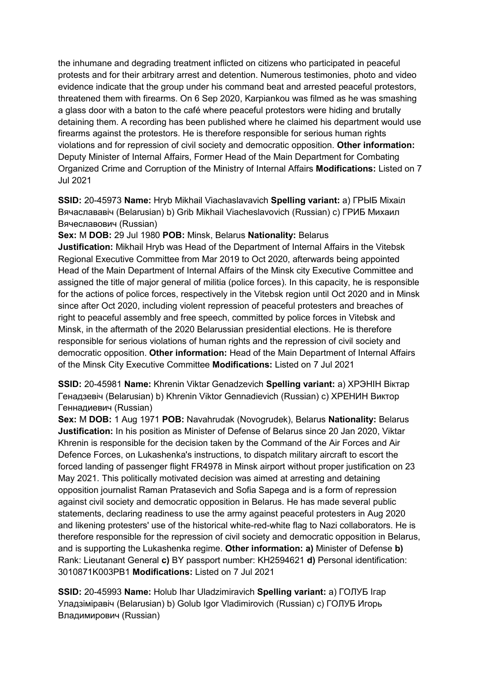the inhumane and degrading treatment inflicted on citizens who participated in peaceful protests and for their arbitrary arrest and detention. Numerous testimonies, photo and video evidence indicate that the group under his command beat and arrested peaceful protestors, threatened them with firearms. On 6 Sep 2020, Karpiankou was filmed as he was smashing a glass door with a baton to the café where peaceful protestors were hiding and brutally detaining them. A recording has been published where he claimed his department would use firearms against the protestors. He is therefore responsible for serious human rights violations and for repression of civil society and democratic opposition. **Other information:** Deputy Minister of Internal Affairs, Former Head of the Main Department for Combating Organized Crime and Corruption of the Ministry of Internal Affairs **Modifications:** Listed on 7 Jul 2021

**SSID:** 20-45973 **Name:** Hryb Mikhail Viachaslavavich **Spelling variant:** a) ГРЫБ Мiхаiл Вячаслававiч (Belarusian) b) Grib Mikhail Viacheslavovich (Russian) c) ГРИБ Михаил Вячеславович (Russian)

**Sex:** M **DOB:** 29 Jul 1980 **POB:** Minsk, Belarus **Nationality:** Belarus **Justification:** Mikhail Hryb was Head of the Department of Internal Affairs in the Vitebsk Regional Executive Committee from Mar 2019 to Oct 2020, afterwards being appointed Head of the Main Department of Internal Affairs of the Minsk city Executive Committee and assigned the title of major general of militia (police forces). In this capacity, he is responsible for the actions of police forces, respectively in the Vitebsk region until Oct 2020 and in Minsk since after Oct 2020, including violent repression of peaceful protesters and breaches of right to peaceful assembly and free speech, committed by police forces in Vitebsk and Minsk, in the aftermath of the 2020 Belarussian presidential elections. He is therefore responsible for serious violations of human rights and the repression of civil society and democratic opposition. **Other information:** Head of the Main Department of Internal Affairs of the Minsk City Executive Committee **Modifications:** Listed on 7 Jul 2021

**SSID:** 20-45981 **Name:** Khrenin Viktar Genadzevich **Spelling variant:** a) ХРЭНIН Вiктар Генадзевiч (Belarusian) b) Khrenin Viktor Gennadievich (Russian) c) ХРЕНИН Виктор Геннадиевич (Russian)

**Sex:** M **DOB:** 1 Aug 1971 **POB:** Navahrudak (Novogrudek), Belarus **Nationality:** Belarus **Justification:** In his position as Minister of Defense of Belarus since 20 Jan 2020, Viktar Khrenin is responsible for the decision taken by the Command of the Air Forces and Air Defence Forces, on Lukashenka's instructions, to dispatch military aircraft to escort the forced landing of passenger flight FR4978 in Minsk airport without proper justification on 23 May 2021. This politically motivated decision was aimed at arresting and detaining opposition journalist Raman Pratasevich and Sofia Sapega and is a form of repression against civil society and democratic opposition in Belarus. He has made several public statements, declaring readiness to use the army against peaceful protesters in Aug 2020 and likening protesters' use of the historical white-red-white flag to Nazi collaborators. He is therefore responsible for the repression of civil society and democratic opposition in Belarus, and is supporting the Lukashenka regime. **Other information: a)** Minister of Defense **b)**  Rank: Lieutanant General **c)** BY passport number: KH2594621 **d)** Personal identification: 3010871K003PB1 **Modifications:** Listed on 7 Jul 2021

**SSID:** 20-45993 **Name:** Holub Ihar Uladzimiravich **Spelling variant:** a) ГОЛУБ Iгар Уладзiмiравiч (Belarusian) b) Golub Igor Vladimirovich (Russian) c) ГОЛУБ Игорь Владимирович (Russian)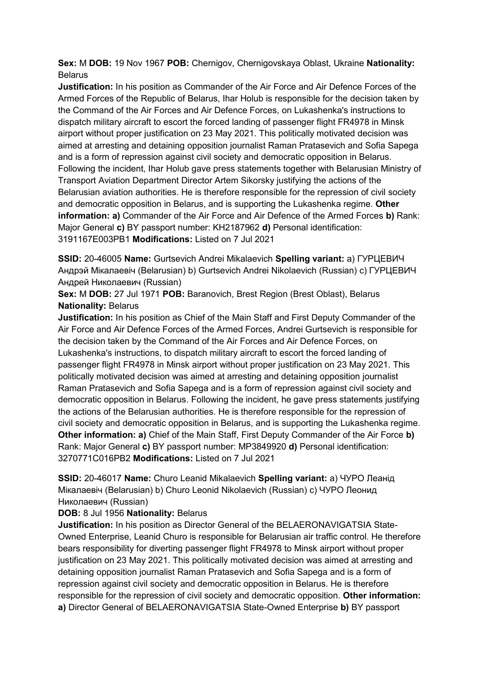**Sex:** M **DOB:** 19 Nov 1967 **POB:** Chernigov, Chernigovskaya Oblast, Ukraine **Nationality:** Belarus

**Justification:** In his position as Commander of the Air Force and Air Defence Forces of the Armed Forces of the Republic of Belarus, Ihar Holub is responsible for the decision taken by the Command of the Air Forces and Air Defence Forces, on Lukashenka's instructions to dispatch military aircraft to escort the forced landing of passenger flight FR4978 in Minsk airport without proper justification on 23 May 2021. This politically motivated decision was aimed at arresting and detaining opposition journalist Raman Pratasevich and Sofia Sapega and is a form of repression against civil society and democratic opposition in Belarus. Following the incident, Ihar Holub gave press statements together with Belarusian Ministry of Transport Aviation Department Director Artem Sikorsky justifying the actions of the Belarusian aviation authorities. He is therefore responsible for the repression of civil society and democratic opposition in Belarus, and is supporting the Lukashenka regime. **Other information: a)** Commander of the Air Force and Air Defence of the Armed Forces **b)** Rank: Major General **c)** BY passport number: KH2187962 **d)** Personal identification: 3191167E003PB1 **Modifications:** Listed on 7 Jul 2021

**SSID:** 20-46005 **Name:** Gurtsevich Andrei Mikalaevich **Spelling variant:** a) ГУРЦЕВИЧ Андрэй Мiкалаевiч (Belarusian) b) Gurtsevich Andrei Nikolaevich (Russian) c) ГУРЦЕВИЧ Андрей Николаевич (Russian)

**Sex:** M **DOB:** 27 Jul 1971 **POB:** Baranovich, Brest Region (Brest Oblast), Belarus **Nationality:** Belarus

**Justification:** In his position as Chief of the Main Staff and First Deputy Commander of the Air Force and Air Defence Forces of the Armed Forces, Andrei Gurtsevich is responsible for the decision taken by the Command of the Air Forces and Air Defence Forces, on Lukashenka's instructions, to dispatch military aircraft to escort the forced landing of passenger flight FR4978 in Minsk airport without proper justification on 23 May 2021. This politically motivated decision was aimed at arresting and detaining opposition journalist Raman Pratasevich and Sofia Sapega and is a form of repression against civil society and democratic opposition in Belarus. Following the incident, he gave press statements justifying the actions of the Belarusian authorities. He is therefore responsible for the repression of civil society and democratic opposition in Belarus, and is supporting the Lukashenka regime. **Other information: a)** Chief of the Main Staff, First Deputy Commander of the Air Force **b)**  Rank: Major General **c)** BY passport number: MP3849920 **d)** Personal identification: 3270771C016PB2 **Modifications:** Listed on 7 Jul 2021

**SSID:** 20-46017 **Name:** Churo Leanid Mikalaevich **Spelling variant:** a) ЧУРО Леанiд Мiкалаевiч (Belarusian) b) Churo Leonid Nikolaevich (Russian) c) ЧУРО Леонид Николаевич (Russian)

# **DOB:** 8 Jul 1956 **Nationality:** Belarus

**Justification:** In his position as Director General of the BELAERONAVIGATSIA State-Owned Enterprise, Leanid Churo is responsible for Belarusian air traffic control. He therefore bears responsibility for diverting passenger flight FR4978 to Minsk airport without proper justification on 23 May 2021. This politically motivated decision was aimed at arresting and detaining opposition journalist Raman Pratasevich and Sofia Sapega and is a form of repression against civil society and democratic opposition in Belarus. He is therefore responsible for the repression of civil society and democratic opposition. **Other information: a)** Director General of BELAERONAVIGATSIA State-Owned Enterprise **b)** BY passport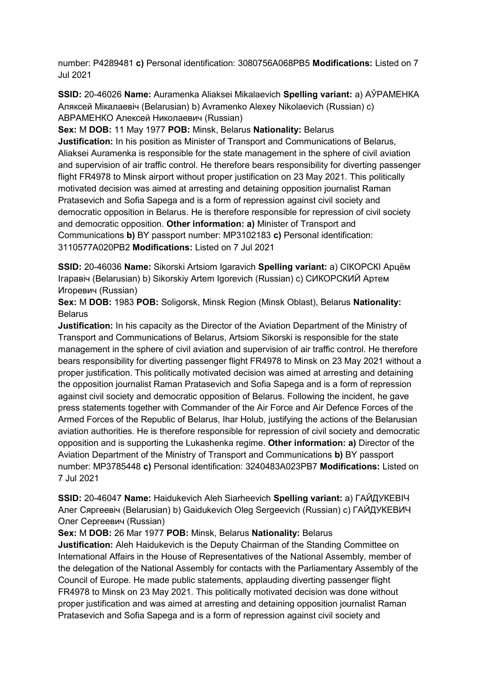number: P4289481 **c)** Personal identification: 3080756A068PB5 **Modifications:** Listed on 7 Jul 2021

**SSID:** 20-46026 **Name:** Auramenka Aliaksei Mikalaevich **Spelling variant:** a) АЎРАМЕНКА Аляксей Мiкалаевiч (Belarusian) b) Avramenko Alexey Nikolaevich (Russian) c) АВРАМЕНКО Алексей Николаевич (Russian)

**Sex:** M **DOB:** 11 May 1977 **POB:** Minsk, Belarus **Nationality:** Belarus

**Justification:** In his position as Minister of Transport and Communications of Belarus, Aliaksei Auramenka is responsible for the state management in the sphere of civil aviation and supervision of air traffic control. He therefore bears responsibility for diverting passenger flight FR4978 to Minsk airport without proper justification on 23 May 2021. This politically motivated decision was aimed at arresting and detaining opposition journalist Raman Pratasevich and Sofia Sapega and is a form of repression against civil society and democratic opposition in Belarus. He is therefore responsible for repression of civil society and democratic opposition. **Other information: a)** Minister of Transport and Communications **b)** BY passport number: MP3102183 **c)** Personal identification: 3110577A020PB2 **Modifications:** Listed on 7 Jul 2021

**SSID:** 20-46036 **Name:** Sikorski Artsiom Igaravich **Spelling variant:** a) СIКОРСКI Арцём Iгаравiч (Belarusian) b) Sikorskiy Artem Igorevich (Russian) c) СИКОРСКИЙ Артем Игоревич (Russian)

**Sex:** M **DOB:** 1983 **POB:** Soligorsk, Minsk Region (Minsk Oblast), Belarus **Nationality:** Belarus

**Justification:** In his capacity as the Director of the Aviation Department of the Ministry of Transport and Communications of Belarus, Artsiom Sikorski is responsible for the state management in the sphere of civil aviation and supervision of air traffic control. He therefore bears responsibility for diverting passenger flight FR4978 to Minsk on 23 May 2021 without a proper justification. This politically motivated decision was aimed at arresting and detaining the opposition journalist Raman Pratasevich and Sofia Sapega and is a form of repression against civil society and democratic opposition of Belarus. Following the incident, he gave press statements together with Commander of the Air Force and Air Defence Forces of the Armed Forces of the Republic of Belarus, Ihar Holub, justifying the actions of the Belarusian aviation authorities. He is therefore responsible for repression of civil society and democratic opposition and is supporting the Lukashenka regime. **Other information: a)** Director of the Aviation Department of the Ministry of Transport and Communications **b)** BY passport number: MP3785448 **c)** Personal identification: 3240483A023PB7 **Modifications:** Listed on 7 Jul 2021

**SSID:** 20-46047 **Name:** Haidukevich Aleh Siarheevich **Spelling variant:** a) ГАЙДУКЕВIЧ Алег Сяргеевiч (Belarusian) b) Gaidukevich Oleg Sergeevich (Russian) c) ГАЙДУКЕВИЧ Олег Сергеевич (Russian)

**Sex:** M **DOB:** 26 Mar 1977 **POB:** Minsk, Belarus **Nationality:** Belarus **Justification:** Aleh Haidukevich is the Deputy Chairman of the Standing Committee on International Affairs in the House of Representatives of the National Assembly, member of the delegation of the National Assembly for contacts with the Parliamentary Assembly of the Council of Europe. He made public statements, applauding diverting passenger flight FR4978 to Minsk on 23 May 2021. This politically motivated decision was done without proper justification and was aimed at arresting and detaining opposition journalist Raman Pratasevich and Sofia Sapega and is a form of repression against civil society and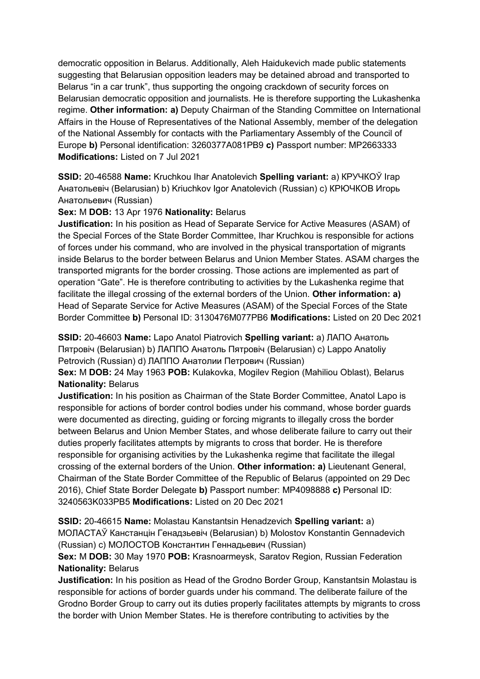democratic opposition in Belarus. Additionally, Aleh Haidukevich made public statements suggesting that Belarusian opposition leaders may be detained abroad and transported to Belarus "in a car trunk", thus supporting the ongoing crackdown of security forces on Belarusian democratic opposition and journalists. He is therefore supporting the Lukashenka regime. **Other information: a)** Deputy Chairman of the Standing Committee on International Affairs in the House of Representatives of the National Assembly, member of the delegation of the National Assembly for contacts with the Parliamentary Assembly of the Council of Europe **b)** Personal identification: 3260377A081PB9 **c)** Passport number: MP2663333 **Modifications:** Listed on 7 Jul 2021

**SSID:** 20-46588 **Name:** Kruchkou Ihar Anatolevich **Spelling variant:** a) КРУЧКОЎ Iгар Анатольевiч (Belarusian) b) Kriuchkov Igor Anatolevich (Russian) c) КРЮЧКОВ Игорь Анатольевич (Russian)

## **Sex:** M **DOB:** 13 Apr 1976 **Nationality:** Belarus

**Justification:** In his position as Head of Separate Service for Active Measures (ASAM) of the Special Forces of the State Border Committee, Ihar Kruchkou is responsible for actions of forces under his command, who are involved in the physical transportation of migrants inside Belarus to the border between Belarus and Union Member States. ASAM charges the transported migrants for the border crossing. Those actions are implemented as part of operation "Gate". He is therefore contributing to activities by the Lukashenka regime that facilitate the illegal crossing of the external borders of the Union. **Other information: a)**  Head of Separate Service for Active Measures (ASAM) of the Special Forces of the State Border Committee **b)** Personal ID: 3130476M077PB6 **Modifications:** Listed on 20 Dec 2021

**SSID:** 20-46603 **Name:** Lapo Anatol Piatrovich **Spelling variant:** a) ЛАПО Анатоль Пятровiч (Belarusian) b) ЛАППО Анатоль Пятровiч (Belarusian) c) Lappo Anatoliy Petrovich (Russian) d) ЛАППО Анатолии Петрович (Russian)

**Sex:** M **DOB:** 24 May 1963 **POB:** Kulakovka, Mogilev Region (Mahiliou Oblast), Belarus **Nationality:** Belarus

**Justification:** In his position as Chairman of the State Border Committee, Anatol Lapo is responsible for actions of border control bodies under his command, whose border guards were documented as directing, guiding or forcing migrants to illegally cross the border between Belarus and Union Member States, and whose deliberate failure to carry out their duties properly facilitates attempts by migrants to cross that border. He is therefore responsible for organising activities by the Lukashenka regime that facilitate the illegal crossing of the external borders of the Union. **Other information: a)** Lieutenant General, Chairman of the State Border Committee of the Republic of Belarus (appointed on 29 Dec 2016), Chief State Border Delegate **b)** Passport number: MP4098888 **c)** Personal ID: 3240563K033PB5 **Modifications:** Listed on 20 Dec 2021

**SSID:** 20-46615 **Name:** Molastau Kanstantsin Henadzevich **Spelling variant:** a) МОЛАСТАЎ Канстанцiн Генадзьевiч (Belarusian) b) Molostov Konstantin Gennadevich (Russian) c) МОЛОСТОВ Константин Геннадьевич (Russian)

**Sex:** M **DOB:** 30 May 1970 **POB:** Krasnoarmeysk, Saratov Region, Russian Federation **Nationality:** Belarus

**Justification:** In his position as Head of the Grodno Border Group, Kanstantsin Molastau is responsible for actions of border guards under his command. The deliberate failure of the Grodno Border Group to carry out its duties properly facilitates attempts by migrants to cross the border with Union Member States. He is therefore contributing to activities by the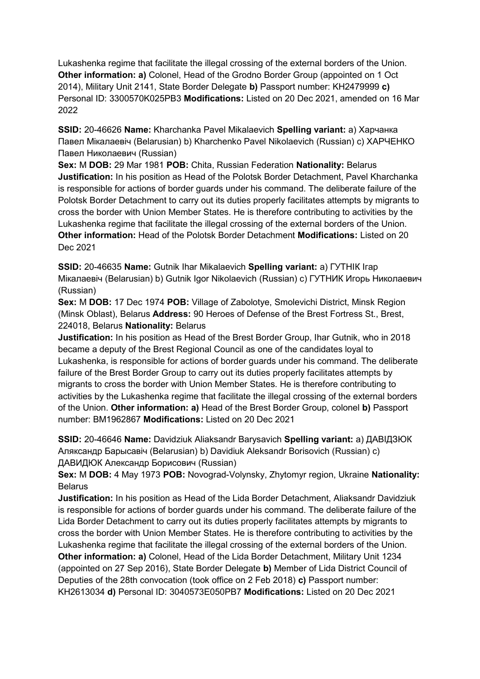Lukashenka regime that facilitate the illegal crossing of the external borders of the Union. **Other information: a)** Colonel, Head of the Grodno Border Group (appointed on 1 Oct 2014), Military Unit 2141, State Border Delegate **b)** Passport number: KH2479999 **c)**  Personal ID: 3300570K025PB3 **Modifications:** Listed on 20 Dec 2021, amended on 16 Mar 2022

**SSID:** 20-46626 **Name:** Kharchanka Pavel Mikalaevich **Spelling variant:** a) Харчанка Павел Мiкалаевiч (Belarusian) b) Kharchenko Pavel Nikolaevich (Russian) c) ХАРЧЕНКО Павел Николаевич (Russian)

**Sex:** M **DOB:** 29 Mar 1981 **POB:** Chita, Russian Federation **Nationality:** Belarus **Justification:** In his position as Head of the Polotsk Border Detachment, Pavel Kharchanka is responsible for actions of border guards under his command. The deliberate failure of the Polotsk Border Detachment to carry out its duties properly facilitates attempts by migrants to cross the border with Union Member States. He is therefore contributing to activities by the Lukashenka regime that facilitate the illegal crossing of the external borders of the Union. **Other information:** Head of the Polotsk Border Detachment **Modifications:** Listed on 20 Dec 2021

**SSID:** 20-46635 **Name:** Gutnik Ihar Mikalaevich **Spelling variant:** a) ГУТНIК Iгар Мiкалаевiч (Belarusian) b) Gutnik Igor Nikolaevich (Russian) c) ГУТНИК Игорь Николаевич (Russian)

**Sex:** M **DOB:** 17 Dec 1974 **POB:** Village of Zabolotye, Smolevichi District, Minsk Region (Minsk Oblast), Belarus **Address:** 90 Heroes of Defense of the Brest Fortress St., Brest, 224018, Belarus **Nationality:** Belarus

**Justification:** In his position as Head of the Brest Border Group, Ihar Gutnik, who in 2018 became a deputy of the Brest Regional Council as one of the candidates loyal to Lukashenka, is responsible for actions of border guards under his command. The deliberate failure of the Brest Border Group to carry out its duties properly facilitates attempts by migrants to cross the border with Union Member States. He is therefore contributing to activities by the Lukashenka regime that facilitate the illegal crossing of the external borders of the Union. **Other information: a)** Head of the Brest Border Group, colonel **b)** Passport number: BM1962867 **Modifications:** Listed on 20 Dec 2021

**SSID:** 20-46646 **Name:** Davidziuk Aliaksandr Barysavich **Spelling variant:** a) ДАВIДЗЮК Аляксандр Барысавiч (Belarusian) b) Davidiuk Aleksandr Borisovich (Russian) c) ДАВИДЮК Александр Борисович (Russian)

**Sex:** M **DOB:** 4 May 1973 **POB:** Novograd-Volynsky, Zhytomyr region, Ukraine **Nationality:** Belarus

**Justification:** In his position as Head of the Lida Border Detachment, Aliaksandr Davidziuk is responsible for actions of border guards under his command. The deliberate failure of the Lida Border Detachment to carry out its duties properly facilitates attempts by migrants to cross the border with Union Member States. He is therefore contributing to activities by the Lukashenka regime that facilitate the illegal crossing of the external borders of the Union. **Other information: a)** Colonel, Head of the Lida Border Detachment, Military Unit 1234

(appointed on 27 Sep 2016), State Border Delegate **b)** Member of Lida District Council of Deputies of the 28th convocation (took office on 2 Feb 2018) **c)** Passport number: KH2613034 **d)** Personal ID: 3040573E050PB7 **Modifications:** Listed on 20 Dec 2021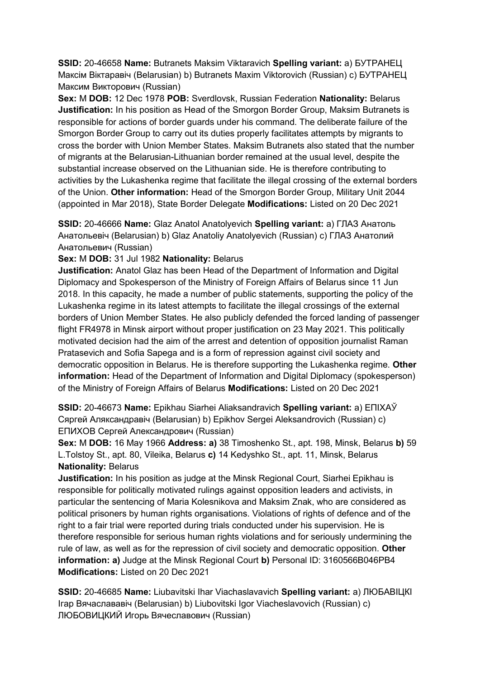**SSID:** 20-46658 **Name:** Butranets Maksim Viktaravich **Spelling variant:** a) БУТРАНЕЦ Максiм Вiктаравiч (Belarusian) b) Butranets Maxim Viktorovich (Russian) c) БУТРАНЕЦ Максим Викторович (Russian)

**Sex:** M **DOB:** 12 Dec 1978 **POB:** Sverdlovsk, Russian Federation **Nationality:** Belarus **Justification:** In his position as Head of the Smorgon Border Group, Maksim Butranets is responsible for actions of border guards under his command. The deliberate failure of the Smorgon Border Group to carry out its duties properly facilitates attempts by migrants to cross the border with Union Member States. Maksim Butranets also stated that the number of migrants at the Belarusian-Lithuanian border remained at the usual level, despite the substantial increase observed on the Lithuanian side. He is therefore contributing to activities by the Lukashenka regime that facilitate the illegal crossing of the external borders of the Union. **Other information:** Head of the Smorgon Border Group, Military Unit 2044 (appointed in Mar 2018), State Border Delegate **Modifications:** Listed on 20 Dec 2021

**SSID:** 20-46666 **Name:** Glaz Anatol Anatolyevich **Spelling variant:** a) ГЛАЗ Анатоль Анатольевiч (Belarusian) b) Glaz Anatoliy Anatolyevich (Russian) c) ГЛАЗ Анатолий Анатольевич (Russian)

**Sex:** M **DOB:** 31 Jul 1982 **Nationality:** Belarus

**Justification:** Anatol Glaz has been Head of the Department of Information and Digital Diplomacy and Spokesperson of the Ministry of Foreign Affairs of Belarus since 11 Jun 2018. In this capacity, he made a number of public statements, supporting the policy of the Lukashenka regime in its latest attempts to facilitate the illegal crossings of the external borders of Union Member States. He also publicly defended the forced landing of passenger flight FR4978 in Minsk airport without proper justification on 23 May 2021. This politically motivated decision had the aim of the arrest and detention of opposition journalist Raman Pratasevich and Sofia Sapega and is a form of repression against civil society and democratic opposition in Belarus. He is therefore supporting the Lukashenka regime. **Other information:** Head of the Department of Information and Digital Diplomacy (spokesperson) of the Ministry of Foreign Affairs of Belarus **Modifications:** Listed on 20 Dec 2021

**SSID:** 20-46673 **Name:** Epikhau Siarhei Aliaksandravich **Spelling variant:** a) ЕПIХАЎ Сяргей Аляксандравiч (Belarusian) b) Epikhov Sergei Aleksandrovich (Russian) c) ЕПИХОВ Сергей Александрович (Russian)

**Sex:** M **DOB:** 16 May 1966 **Address: a)** 38 Timoshenko St., apt. 198, Minsk, Belarus **b)** 59 L.Tolstoy St., apt. 80, Vileika, Belarus **c)** 14 Kedyshko St., apt. 11, Minsk, Belarus **Nationality:** Belarus

**Justification:** In his position as judge at the Minsk Regional Court, Siarhei Epikhau is responsible for politically motivated rulings against opposition leaders and activists, in particular the sentencing of Maria Kolesnikova and Maksim Znak, who are considered as political prisoners by human rights organisations. Violations of rights of defence and of the right to a fair trial were reported during trials conducted under his supervision. He is therefore responsible for serious human rights violations and for seriously undermining the rule of law, as well as for the repression of civil society and democratic opposition. **Other information: a)** Judge at the Minsk Regional Court **b)** Personal ID: 3160566B046PB4 **Modifications:** Listed on 20 Dec 2021

**SSID:** 20-46685 **Name:** Liubavitski Ihar Viachaslavavich **Spelling variant:** a) ЛЮБАВIЦКI Iгар Вячаслававiч (Belarusian) b) Liubovitski Igor Viacheslavovich (Russian) c) ЛЮБОВИЦКИЙ Игорь Вячеславович (Russian)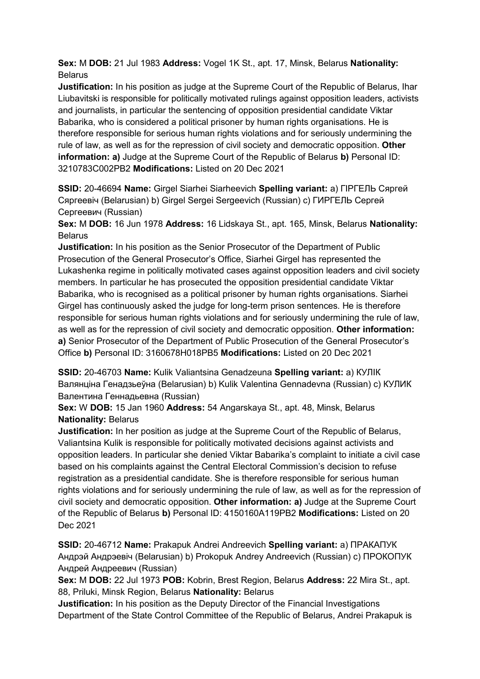**Sex:** M **DOB:** 21 Jul 1983 **Address:** Vogel 1K St., apt. 17, Minsk, Belarus **Nationality:** Belarus

**Justification:** In his position as judge at the Supreme Court of the Republic of Belarus, Ihar Liubavitski is responsible for politically motivated rulings against opposition leaders, activists and journalists, in particular the sentencing of opposition presidential candidate Viktar Babarika, who is considered a political prisoner by human rights organisations. He is therefore responsible for serious human rights violations and for seriously undermining the rule of law, as well as for the repression of civil society and democratic opposition. **Other information: a)** Judge at the Supreme Court of the Republic of Belarus **b)** Personal ID: 3210783C002PB2 **Modifications:** Listed on 20 Dec 2021

**SSID:** 20-46694 **Name:** Girgel Siarhei Siarheevich **Spelling variant:** a) ГIРГЕЛЬ Сяргей Сяргеевiч (Belarusian) b) Girgel Sergei Sergeevich (Russian) c) ГИРГЕЛЬ Сергей Сергеевич (Russian)

**Sex:** M **DOB:** 16 Jun 1978 **Address:** 16 Lidskaya St., apt. 165, Minsk, Belarus **Nationality:** Belarus

**Justification:** In his position as the Senior Prosecutor of the Department of Public Prosecution of the General Prosecutor's Office, Siarhei Girgel has represented the Lukashenka regime in politically motivated cases against opposition leaders and civil society members. In particular he has prosecuted the opposition presidential candidate Viktar Babarika, who is recognised as a political prisoner by human rights organisations. Siarhei Girgel has continuously asked the judge for long-term prison sentences. He is therefore responsible for serious human rights violations and for seriously undermining the rule of law, as well as for the repression of civil society and democratic opposition. **Other information: a)** Senior Prosecutor of the Department of Public Prosecution of the General Prosecutor's Office **b)** Personal ID: 3160678H018PB5 **Modifications:** Listed on 20 Dec 2021

**SSID:** 20-46703 **Name:** Kulik Valiantsina Genadzeuna **Spelling variant:** a) КУЛIК Валянцiна Генадзьеўна (Belarusian) b) Kulik Valentina Gennadevna (Russian) c) КУЛИК Валентина Геннадьевна (Russian)

**Sex:** W **DOB:** 15 Jan 1960 **Address:** 54 Angarskaya St., apt. 48, Minsk, Belarus **Nationality:** Belarus

**Justification:** In her position as judge at the Supreme Court of the Republic of Belarus, Valiantsina Kulik is responsible for politically motivated decisions against activists and opposition leaders. In particular she denied Viktar Babarika's complaint to initiate a civil case based on his complaints against the Central Electoral Commission's decision to refuse registration as a presidential candidate. She is therefore responsible for serious human rights violations and for seriously undermining the rule of law, as well as for the repression of civil society and democratic opposition. **Other information: a)** Judge at the Supreme Court of the Republic of Belarus **b)** Personal ID: 4150160A119PB2 **Modifications:** Listed on 20 Dec 2021

**SSID:** 20-46712 **Name:** Prakapuk Andrei Andreevich **Spelling variant:** a) ПРАКАПУК Андрэй Андрэевiч (Belarusian) b) Prokopuk Andrey Andreevich (Russian) c) ПРОКОПУК Андрей Андреевич (Russian)

**Sex:** M **DOB:** 22 Jul 1973 **POB:** Kobrin, Brest Region, Belarus **Address:** 22 Mira St., apt. 88, Priluki, Minsk Region, Belarus **Nationality:** Belarus

**Justification:** In his position as the Deputy Director of the Financial Investigations Department of the State Control Committee of the Republic of Belarus, Andrei Prakapuk is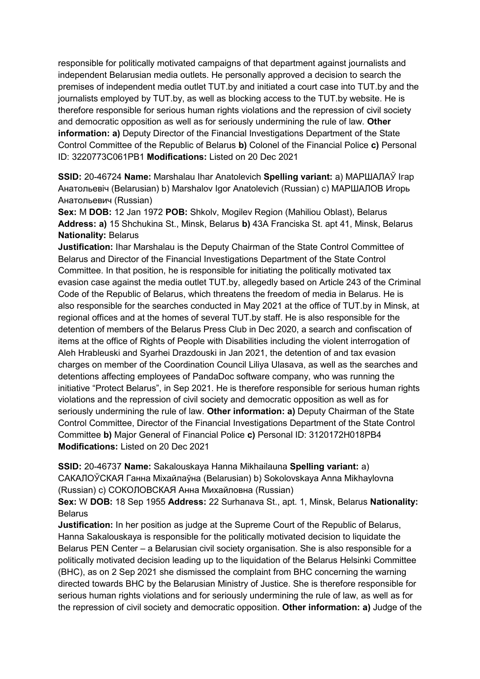responsible for politically motivated campaigns of that department against journalists and independent Belarusian media outlets. He personally approved a decision to search the premises of independent media outlet TUT.by and initiated a court case into TUT.by and the journalists employed by TUT.by, as well as blocking access to the TUT.by website. He is therefore responsible for serious human rights violations and the repression of civil society and democratic opposition as well as for seriously undermining the rule of law. **Other information: a)** Deputy Director of the Financial Investigations Department of the State Control Committee of the Republic of Belarus **b)** Colonel of the Financial Police **c)** Personal ID: 3220773C061PB1 **Modifications:** Listed on 20 Dec 2021

**SSID:** 20-46724 **Name:** Marshalau Ihar Anatolevich **Spelling variant:** a) МАРШАЛАЎ Iгар Анатольевiч (Belarusian) b) Marshalov Igor Anatolevich (Russian) c) МАРШАЛОВ Игорь Анатольевич (Russian)

**Sex:** M **DOB:** 12 Jan 1972 **POB:** Shkolv, Mogilev Region (Mahiliou Oblast), Belarus **Address: a)** 15 Shchukina St., Minsk, Belarus **b)** 43A Franciska St. apt 41, Minsk, Belarus **Nationality:** Belarus

**Justification:** Ihar Marshalau is the Deputy Chairman of the State Control Committee of Belarus and Director of the Financial Investigations Department of the State Control Committee. In that position, he is responsible for initiating the politically motivated tax evasion case against the media outlet TUT.by, allegedly based on Article 243 of the Criminal Code of the Republic of Belarus, which threatens the freedom of media in Belarus. He is also responsible for the searches conducted in May 2021 at the office of TUT.by in Minsk, at regional offices and at the homes of several TUT.by staff. He is also responsible for the detention of members of the Belarus Press Club in Dec 2020, a search and confiscation of items at the office of Rights of People with Disabilities including the violent interrogation of Aleh Hrableuski and Syarhei Drazdouski in Jan 2021, the detention of and tax evasion charges on member of the Coordination Council Liliya Ulasava, as well as the searches and detentions affecting employees of PandaDoc software company, who was running the initiative "Protect Belarus", in Sep 2021. He is therefore responsible for serious human rights violations and the repression of civil society and democratic opposition as well as for seriously undermining the rule of law. **Other information: a)** Deputy Chairman of the State Control Committee, Director of the Financial Investigations Department of the State Control Committee **b)** Major General of Financial Police **c)** Personal ID: 3120172H018PB4 **Modifications:** Listed on 20 Dec 2021

**SSID:** 20-46737 **Name:** Sakalouskaya Hanna Mikhailauna **Spelling variant:** a) САКАЛОЎСКАЯ Ганна Мiхайлаўна (Belarusian) b) Sokolovskaya Anna Mikhaylovna (Russian) c) СОКОЛОВСКАЯ Анна Михайловна (Russian)

**Sex:** W **DOB:** 18 Sep 1955 **Address:** 22 Surhanava St., apt. 1, Minsk, Belarus **Nationality:** Belarus

**Justification:** In her position as judge at the Supreme Court of the Republic of Belarus, Hanna Sakalouskaya is responsible for the politically motivated decision to liquidate the Belarus PEN Center – a Belarusian civil society organisation. She is also responsible for a politically motivated decision leading up to the liquidation of the Belarus Helsinki Committee (BHC), as on 2 Sep 2021 she dismissed the complaint from BHC concerning the warning directed towards BHC by the Belarusian Ministry of Justice. She is therefore responsible for serious human rights violations and for seriously undermining the rule of law, as well as for the repression of civil society and democratic opposition. **Other information: a)** Judge of the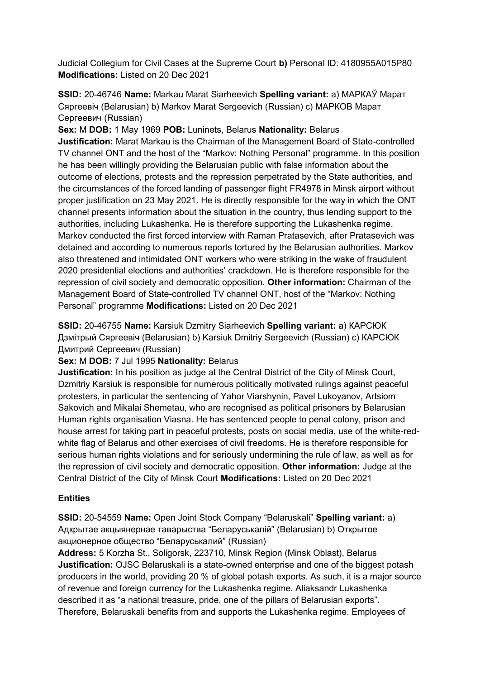Judicial Collegium for Civil Cases at the Supreme Court **b)** Personal ID: 4180955A015P80 **Modifications:** Listed on 20 Dec 2021

**SSID:** 20-46746 **Name:** Markau Marat Siarheevich **Spelling variant:** a) МАРКАЎ Марат Сяргеевiч (Belarusian) b) Markov Marat Sergeevich (Russian) c) МАРКОВ Марат Сергеевич (Russian)

**Sex:** M **DOB:** 1 May 1969 **POB:** Luninets, Belarus **Nationality:** Belarus

**Justification:** Marat Markau is the Chairman of the Management Board of State-controlled TV channel ONT and the host of the "Markov: Nothing Personal" programme. In this position he has been willingly providing the Belarusian public with false information about the outcome of elections, protests and the repression perpetrated by the State authorities, and the circumstances of the forced landing of passenger flight FR4978 in Minsk airport without proper justification on 23 May 2021. He is directly responsible for the way in which the ONT channel presents information about the situation in the country, thus lending support to the authorities, including Lukashenka. He is therefore supporting the Lukashenka regime. Markov conducted the first forced interview with Raman Pratasevich, after Pratasevich was detained and according to numerous reports tortured by the Belarusian authorities. Markov also threatened and intimidated ONT workers who were striking in the wake of fraudulent 2020 presidential elections and authorities' crackdown. He is therefore responsible for the repression of civil society and democratic opposition. **Other information:** Chairman of the Management Board of State-controlled TV channel ONT, host of the "Markov: Nothing Personal" programme **Modifications:** Listed on 20 Dec 2021

**SSID:** 20-46755 **Name:** Karsiuk Dzmitry Siarheevich **Spelling variant:** a) КАРСЮК Дзмiтрый Сяргеевiч (Belarusian) b) Karsiuk Dmitriy Sergeevich (Russian) c) КАРСЮК Дмитрий Сергеевич (Russian)

## **Sex:** M **DOB:** 7 Jul 1995 **Nationality:** Belarus

**Justification:** In his position as judge at the Central District of the City of Minsk Court, Dzmitriy Karsiuk is responsible for numerous politically motivated rulings against peaceful protesters, in particular the sentencing of Yahor Viarshynin, Pavel Lukoyanov, Artsiom Sakovich and Mikalai Shemetau, who are recognised as political prisoners by Belarusian Human rights organisation Viasna. He has sentenced people to penal colony, prison and house arrest for taking part in peaceful protests, posts on social media, use of the white-redwhite flag of Belarus and other exercises of civil freedoms. He is therefore responsible for serious human rights violations and for seriously undermining the rule of law, as well as for the repression of civil society and democratic opposition. **Other information:** Judge at the Central District of the City of Minsk Court **Modifications:** Listed on 20 Dec 2021

# **Entities**

**SSID:** 20-54559 **Name:** Open Joint Stock Company "Belaruskali" **Spelling variant:** a) Адкрытае акцыянернае таварыства "Беларуськалiй" (Belarusian) b) Открытое акционерное общество "Беларуськалий" (Russian)

**Address:** 5 Korzha St., Soligorsk, 223710, Minsk Region (Minsk Oblast), Belarus **Justification:** OJSC Belaruskali is a state-owned enterprise and one of the biggest potash producers in the world, providing 20 % of global potash exports. As such, it is a major source of revenue and foreign currency for the Lukashenka regime. Aliaksandr Lukashenka described it as "a national treasure, pride, one of the pillars of Belarusian exports". Therefore, Belaruskali benefits from and supports the Lukashenka regime. Employees of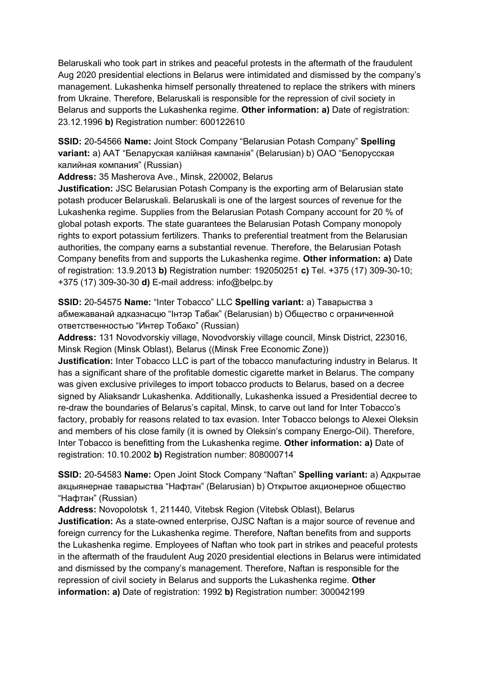Belaruskali who took part in strikes and peaceful protests in the aftermath of the fraudulent Aug 2020 presidential elections in Belarus were intimidated and dismissed by the company's management. Lukashenka himself personally threatened to replace the strikers with miners from Ukraine. Therefore, Belaruskali is responsible for the repression of civil society in Belarus and supports the Lukashenka regime. **Other information: a)** Date of registration: 23.12.1996 **b)** Registration number: 600122610

**SSID:** 20-54566 **Name:** Joint Stock Company "Belarusian Potash Company" **Spelling variant:** a) ААТ "Беларуская калiйная кампанiя" (Belarusian) b) ОАО "Белорусская калийная компания" (Russian)

**Address:** 35 Masherova Ave., Minsk, 220002, Belarus

**Justification:** JSC Belarusian Potash Company is the exporting arm of Belarusian state potash producer Belaruskali. Belaruskali is one of the largest sources of revenue for the Lukashenka regime. Supplies from the Belarusian Potash Company account for 20 % of global potash exports. The state guarantees the Belarusian Potash Company monopoly rights to export potassium fertilizers. Thanks to preferential treatment from the Belarusian authorities, the company earns a substantial revenue. Therefore, the Belarusian Potash Company benefits from and supports the Lukashenka regime. **Other information: a)** Date of registration: 13.9.2013 **b)** Registration number: 192050251 **c)** Tel. +375 (17) 309-30-10; +375 (17) 309-30-30 **d)** E-mail address: info@belpc.by

**SSID:** 20-54575 **Name:** "Inter Tobacco" LLC **Spelling variant:** a) Таварыства з абмежаванай адказнасцю "Iнтэр Табак" (Belarusian) b) Общество с ограниченной ответственностью "Интер Тобако" (Russian)

**Address:** 131 Novodvorskiy village, Novodvorskiy village council, Minsk District, 223016, Minsk Region (Minsk Oblast), Belarus ((Minsk Free Economic Zone))

**Justification:** Inter Tobacco LLC is part of the tobacco manufacturing industry in Belarus. It has a significant share of the profitable domestic cigarette market in Belarus. The company was given exclusive privileges to import tobacco products to Belarus, based on a decree signed by Aliaksandr Lukashenka. Additionally, Lukashenka issued a Presidential decree to re-draw the boundaries of Belarus's capital, Minsk, to carve out land for Inter Tobacco's factory, probably for reasons related to tax evasion. Inter Tobacco belongs to Alexei Oleksin and members of his close family (it is owned by Oleksin's company Energo-Oil). Therefore, Inter Tobacco is benefitting from the Lukashenka regime. **Other information: a)** Date of registration: 10.10.2002 **b)** Registration number: 808000714

**SSID:** 20-54583 **Name:** Open Joint Stock Company "Naftan" **Spelling variant:** a) Адкрытае акцыянернае таварыства "Нафтан" (Belarusian) b) Открытое акционерное общество "Нафтан" (Russian)

**Address:** Novopolotsk 1, 211440, Vitebsk Region (Vitebsk Oblast), Belarus **Justification:** As a state-owned enterprise, OJSC Naftan is a major source of revenue and foreign currency for the Lukashenka regime. Therefore, Naftan benefits from and supports the Lukashenka regime. Employees of Naftan who took part in strikes and peaceful protests in the aftermath of the fraudulent Aug 2020 presidential elections in Belarus were intimidated and dismissed by the company's management. Therefore, Naftan is responsible for the repression of civil society in Belarus and supports the Lukashenka regime. **Other information: a)** Date of registration: 1992 **b)** Registration number: 300042199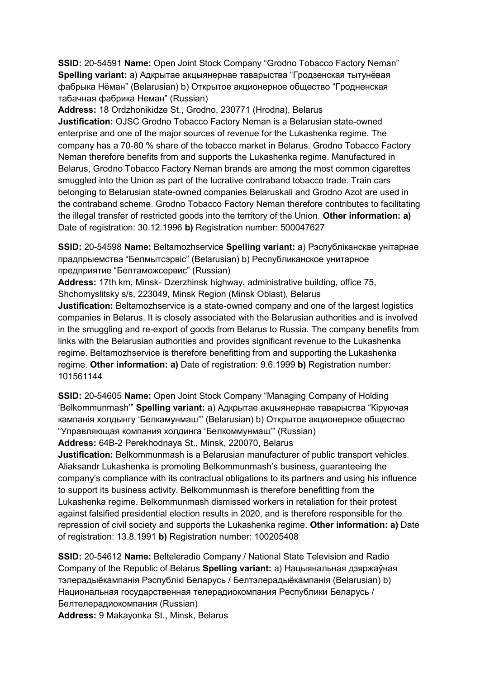**SSID:** 20-54591 **Name:** Open Joint Stock Company "Grodno Tobacco Factory Neman" **Spelling variant:** a) Адкрытае акцыянернае таварыства "Гродзенская тытунёвая фабрыка Нёман" (Belarusian) b) Oткрытое акционерное общество "Гродненская табачная фабрика Неман" (Russian)

**Address:** 18 Ordzhonikidze St., Grodno, 230771 (Hrodna), Belarus **Justification:** OJSC Grodno Tobacco Factory Neman is a Belarusian state-owned enterprise and one of the major sources of revenue for the Lukashenka regime. The company has a 70-80 % share of the tobacco market in Belarus. Grodno Tobacco Factory Neman therefore benefits from and supports the Lukashenka regime. Manufactured in Belarus, Grodno Tobacco Factory Neman brands are among the most common cigarettes smuggled into the Union as part of the lucrative contraband tobacco trade. Train cars belonging to Belarusian state-owned companies Belaruskali and Grodno Azot are used in the contraband scheme. Grodno Tobacco Factory Neman therefore contributes to facilitating the illegal transfer of restricted goods into the territory of the Union. **Other information: a)**  Date of registration: 30.12.1996 **b)** Registration number: 500047627

**SSID:** 20-54598 **Name:** Beltamozhservice **Spelling variant:** a) Рэспублiканскае унiтарнае прадпрыемства "Белмытсэрвiс" (Belarusian) b) Республиканское унитарное предприятие "Белтаможсервис" (Russian)

**Address:** 17th km, Minsk- Dzerzhinsk highway, administrative building, office 75, Shchomyslitsky s/s, 223049, Minsk Region (Minsk Oblast), Belarus

**Justification:** Beltamozhservice is a state-owned company and one of the largest logistics companies in Belarus. It is closely associated with the Belarusian authorities and is involved in the smuggling and re-export of goods from Belarus to Russia. The company benefits from links with the Belarusian authorities and provides significant revenue to the Lukashenka regime. Beltamozhservice is therefore benefitting from and supporting the Lukashenka regime. **Other information: a)** Date of registration: 9.6.1999 **b)** Registration number: 101561144

**SSID:** 20-54605 **Name:** Open Joint Stock Company "Managing Company of Holding 'Belkommunmash'" **Spelling variant:** a) Адкрытае акцыянернае таварыства "Кiруючая кампанiя холдынгу 'Белкамунмаш'" (Belarusian) b) Открытое акционерное общество "Управляющая компания холдинга 'Белкоммунмаш'" (Russian)

**Address:** 64B-2 Perekhodnaya St., Minsk, 220070, Belarus

**Justification:** Belkommunmash is a Belarusian manufacturer of public transport vehicles. Aliaksandr Lukashenka is promoting Belkommunmash's business, guaranteeing the company's compliance with its contractual obligations to its partners and using his influence to support its business activity. Belkommunmash is therefore benefitting from the Lukashenka regime. Belkommunmash dismissed workers in retaliation for their protest against falsified presidential election results in 2020, and is therefore responsible for the repression of civil society and supports the Lukashenka regime. **Other information: a)** Date of registration: 13.8.1991 **b)** Registration number: 100205408

**SSID:** 20-54612 **Name:** Belteleradio Company / National State Television and Radio Company of the Republic of Belarus **Spelling variant:** a) Нацыянальная дзяржаўная тэлерадыёкампанiя Рэспублiкi Беларусь / Белтэлерадыёкампанiя (Belarusian) b) Национальная государственная телерадиокомпания Республики Беларусь / Белтелерадиокомпания (Russian)

**Address:** 9 Makayonka St., Minsk, Belarus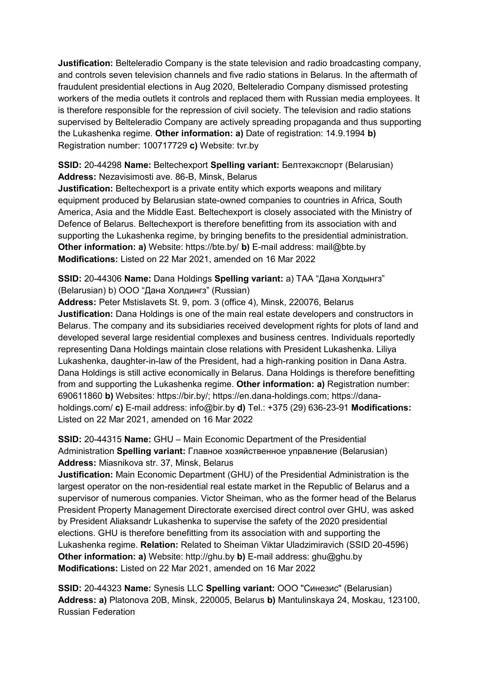**Justification:** Belteleradio Company is the state television and radio broadcasting company, and controls seven television channels and five radio stations in Belarus. In the aftermath of fraudulent presidential elections in Aug 2020, Belteleradio Company dismissed protesting workers of the media outlets it controls and replaced them with Russian media employees. It is therefore responsible for the repression of civil society. The television and radio stations supervised by Belteleradio Company are actively spreading propaganda and thus supporting the Lukashenka regime. **Other information: a)** Date of registration: 14.9.1994 **b)**  Registration number: 100717729 **c)** Website: tvr.by

**SSID:** 20-44298 **Name:** Beltechexport **Spelling variant:** Белтехэкспорт (Belarusian) **Address:** Nezavisimosti ave. 86-B, Minsk, Belarus

**Justification:** Beltechexport is a private entity which exports weapons and military equipment produced by Belarusian state-owned companies to countries in Africa, South America, Asia and the Middle East. Beltechexport is closely associated with the Ministry of Defence of Belarus. Beltechexport is therefore benefitting from its association with and supporting the Lukashenka regime, by bringing benefits to the presidential administration. **Other information: a)** Website: https://bte.by/ **b)** E-mail address: mail@bte.by **Modifications:** Listed on 22 Mar 2021, amended on 16 Mar 2022

**SSID:** 20-44306 **Name:** Dana Holdings **Spelling variant:** a) ТАА "Дана Холдынгз" (Belarusian) b) ООО "Дана Холдингз" (Russian)

**Address:** Peter Mstislavets St. 9, pom. 3 (office 4), Minsk, 220076, Belarus **Justification:** Dana Holdings is one of the main real estate developers and constructors in Belarus. The company and its subsidiaries received development rights for plots of land and developed several large residential complexes and business centres. Individuals reportedly representing Dana Holdings maintain close relations with President Lukashenka. Liliya Lukashenka, daughter-in-law of the President, had a high-ranking position in Dana Astra. Dana Holdings is still active economically in Belarus. Dana Holdings is therefore benefitting from and supporting the Lukashenka regime. **Other information: a)** Registration number: 690611860 **b)** Websites: https://bir.by/; https://en.dana-holdings.com; https://danaholdings.com/ **c)** E-mail address: info@bir.by **d)** Tel.: +375 (29) 636-23-91 **Modifications:**  Listed on 22 Mar 2021, amended on 16 Mar 2022

**SSID:** 20-44315 **Name:** GHU – Main Economic Department of the Presidential Administration **Spelling variant:** Главное хозяйственное управление (Belarusian) **Address:** Miasnikova str. 37, Minsk, Belarus

**Justification:** Main Economic Department (GHU) of the Presidential Administration is the largest operator on the non-residential real estate market in the Republic of Belarus and a supervisor of numerous companies. Victor Sheiman, who as the former head of the Belarus President Property Management Directorate exercised direct control over GHU, was asked by President Aliaksandr Lukashenka to supervise the safety of the 2020 presidential elections. GHU is therefore benefitting from its association with and supporting the Lukashenka regime. **Relation:** Related to Sheiman Viktar Uladzimiravich (SSID 20-4596) **Other information: a)** Website: http://ghu.by **b)** E-mail address: ghu@ghu.by **Modifications:** Listed on 22 Mar 2021, amended on 16 Mar 2022

**SSID:** 20-44323 **Name:** Synesis LLC **Spelling variant:** ООО "Синезис" (Belarusian) **Address: a)** Platonova 20B, Minsk, 220005, Belarus **b)** Mantulinskaya 24, Moskau, 123100, Russian Federation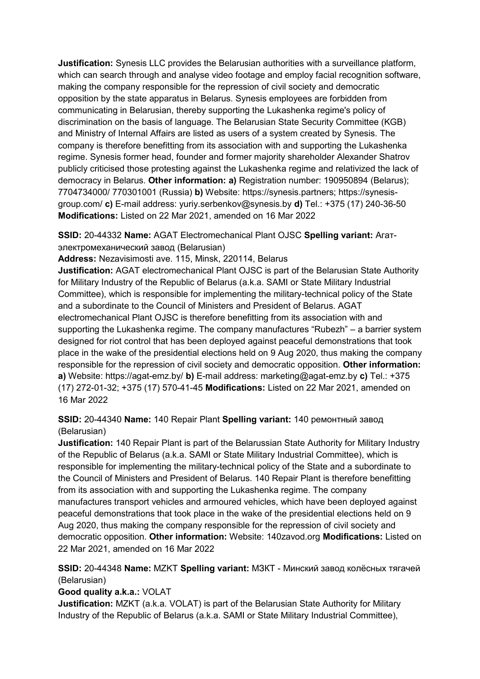**Justification:** Synesis LLC provides the Belarusian authorities with a surveillance platform, which can search through and analyse video footage and employ facial recognition software, making the company responsible for the repression of civil society and democratic opposition by the state apparatus in Belarus. Synesis employees are forbidden from communicating in Belarusian, thereby supporting the Lukashenka regime's policy of discrimination on the basis of language. The Belarusian State Security Committee (KGB) and Ministry of Internal Affairs are listed as users of a system created by Synesis. The company is therefore benefitting from its association with and supporting the Lukashenka regime. Synesis former head, founder and former majority shareholder Alexander Shatrov publicly criticised those protesting against the Lukashenka regime and relativized the lack of democracy in Belarus. **Other information: a)** Registration number: 190950894 (Belarus); 7704734000/ 770301001 (Russia) **b)** Website: https://synesis.partners; https://synesisgroup.com/ **c)** E-mail address: yuriy.serbenkov@synesis.by **d)** Tel.: +375 (17) 240-36-50 **Modifications:** Listed on 22 Mar 2021, amended on 16 Mar 2022

**SSID:** 20-44332 **Name:** AGAT Electromechanical Plant OJSC **Spelling variant:** Агатэлектромеханический завод (Belarusian)

**Address:** Nezavisimosti ave. 115, Minsk, 220114, Belarus

**Justification:** AGAT electromechanical Plant OJSC is part of the Belarusian State Authority for Military Industry of the Republic of Belarus (a.k.a. SAMI or State Military Industrial Committee), which is responsible for implementing the military-technical policy of the State and a subordinate to the Council of Ministers and President of Belarus. AGAT electromechanical Plant OJSC is therefore benefitting from its association with and supporting the Lukashenka regime. The company manufactures "Rubezh" – a barrier system designed for riot control that has been deployed against peaceful demonstrations that took place in the wake of the presidential elections held on 9 Aug 2020, thus making the company responsible for the repression of civil society and democratic opposition. **Other information: a)** Website: https://agat-emz.by/ **b)** E-mail address: marketing@agat-emz.by **c)** Tel.: +375 (17) 272-01-32; +375 (17) 570-41-45 **Modifications:** Listed on 22 Mar 2021, amended on 16 Mar 2022

**SSID:** 20-44340 **Name:** 140 Repair Plant **Spelling variant:** 140 ремонтный завод (Belarusian)

**Justification:** 140 Repair Plant is part of the Belarussian State Authority for Military Industry of the Republic of Belarus (a.k.a. SAMI or State Military Industrial Committee), which is responsible for implementing the military-technical policy of the State and a subordinate to the Council of Ministers and President of Belarus. 140 Repair Plant is therefore benefitting from its association with and supporting the Lukashenka regime. The company manufactures transport vehicles and armoured vehicles, which have been deployed against peaceful demonstrations that took place in the wake of the presidential elections held on 9 Aug 2020, thus making the company responsible for the repression of civil society and democratic opposition. **Other information:** Website: 140zavod.org **Modifications:** Listed on 22 Mar 2021, amended on 16 Mar 2022

**SSID:** 20-44348 **Name:** MZKT **Spelling variant:** МЗКТ - Минский завод колёсных тягачей (Belarusian)

# **Good quality a.k.a.:** VOLAT

**Justification:** MZKT (a.k.a. VOLAT) is part of the Belarusian State Authority for Military Industry of the Republic of Belarus (a.k.a. SAMI or State Military Industrial Committee),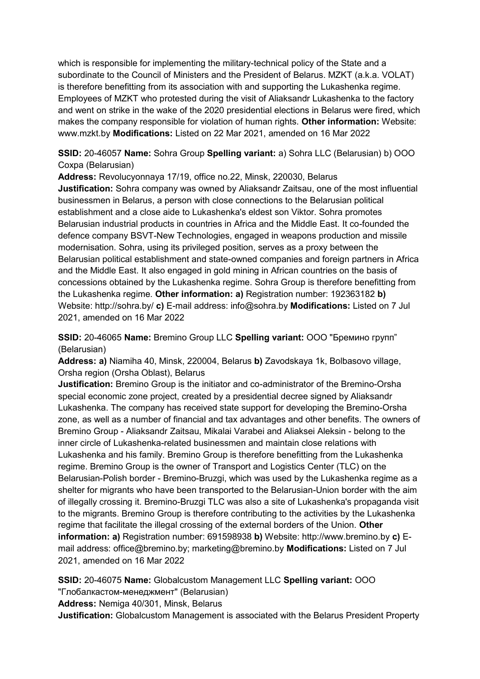which is responsible for implementing the military-technical policy of the State and a subordinate to the Council of Ministers and the President of Belarus. MZKT (a.k.a. VOLAT) is therefore benefitting from its association with and supporting the Lukashenka regime. Employees of MZKT who protested during the visit of Aliaksandr Lukashenka to the factory and went on strike in the wake of the 2020 presidential elections in Belarus were fired, which makes the company responsible for violation of human rights. **Other information:** Website: www.mzkt.by **Modifications:** Listed on 22 Mar 2021, amended on 16 Mar 2022

**SSID:** 20-46057 **Name:** Sohra Group **Spelling variant:** a) Sohra LLC (Belarusian) b) ООО Сохра (Belarusian)

**Address:** Revolucyonnaya 17/19, office no.22, Minsk, 220030, Belarus **Justification:** Sohra company was owned by Aliaksandr Zaitsau, one of the most influential businessmen in Belarus, a person with close connections to the Belarusian political establishment and a close aide to Lukashenka's eldest son Viktor. Sohra promotes Belarusian industrial products in countries in Africa and the Middle East. It co-founded the defence company BSVT-New Technologies, engaged in weapons production and missile modernisation. Sohra, using its privileged position, serves as a proxy between the Belarusian political establishment and state-owned companies and foreign partners in Africa and the Middle East. It also engaged in gold mining in African countries on the basis of concessions obtained by the Lukashenka regime. Sohra Group is therefore benefitting from the Lukashenka regime. **Other information: a)** Registration number: 192363182 **b)**  Website: http://sohra.by/ **c)** E-mail address: info@sohra.by **Modifications:** Listed on 7 Jul 2021, amended on 16 Mar 2022

**SSID:** 20-46065 **Name:** Bremino Group LLC **Spelling variant:** ООО "Бремино групп" (Belarusian)

**Address: a)** Niamiha 40, Minsk, 220004, Belarus **b)** Zavodskaya 1k, Bolbasovo village, Orsha region (Orsha Oblast), Belarus

**Justification:** Bremino Group is the initiator and co-administrator of the Bremino-Orsha special economic zone project, created by a presidential decree signed by Aliaksandr Lukashenka. The company has received state support for developing the Bremino-Orsha zone, as well as a number of financial and tax advantages and other benefits. The owners of Bremino Group - Aliaksandr Zaitsau, Mikalai Varabei and Aliaksei Aleksin - belong to the inner circle of Lukashenka-related businessmen and maintain close relations with Lukashenka and his family. Bremino Group is therefore benefitting from the Lukashenka regime. Bremino Group is the owner of Transport and Logistics Center (TLC) on the Belarusian-Polish border - Bremino-Bruzgi, which was used by the Lukashenka regime as a shelter for migrants who have been transported to the Belarusian-Union border with the aim of illegally crossing it. Bremino-Bruzgi TLC was also a site of Lukashenka's propaganda visit to the migrants. Bremino Group is therefore contributing to the activities by the Lukashenka regime that facilitate the illegal crossing of the external borders of the Union. **Other information: a)** Registration number: 691598938 **b)** Website: http://www.bremino.by **c)** Email address: office@bremino.by; marketing@bremino.by **Modifications:** Listed on 7 Jul 2021, amended on 16 Mar 2022

**SSID:** 20-46075 **Name:** Globalcustom Management LLC **Spelling variant:** ООО "Глобалкастом-менеджмент" (Belarusian)

**Address:** Nemiga 40/301, Minsk, Belarus

**Justification:** Globalcustom Management is associated with the Belarus President Property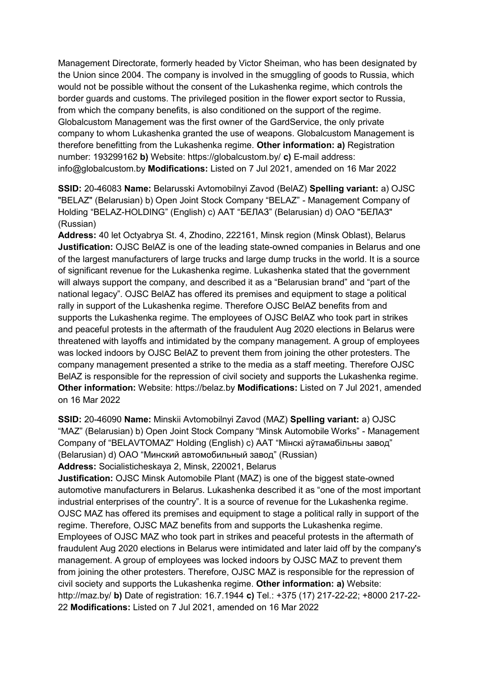Management Directorate, formerly headed by Victor Sheiman, who has been designated by the Union since 2004. The company is involved in the smuggling of goods to Russia, which would not be possible without the consent of the Lukashenka regime, which controls the border guards and customs. The privileged position in the flower export sector to Russia, from which the company benefits, is also conditioned on the support of the regime. Globalcustom Management was the first owner of the GardService, the only private company to whom Lukashenka granted the use of weapons. Globalcustom Management is therefore benefitting from the Lukashenka regime. **Other information: a)** Registration number: 193299162 **b)** Website: https://globalcustom.by/ **c)** E-mail address: info@globalcustom.by **Modifications:** Listed on 7 Jul 2021, amended on 16 Mar 2022

**SSID:** 20-46083 **Name:** Belarusski Avtomobilnyi Zavod (BelAZ) **Spelling variant:** a) OJSC "BELAZ" (Belarusian) b) Open Joint Stock Company "BELAZ" - Management Company of Holding "BELAZ-HOLDING" (English) c) ААТ "БЕЛАЗ" (Belarusian) d) ОАО "БЕЛАЗ" (Russian)

**Address:** 40 let Octyabrya St. 4, Zhodino, 222161, Minsk region (Minsk Oblast), Belarus **Justification:** OJSC BelAZ is one of the leading state-owned companies in Belarus and one of the largest manufacturers of large trucks and large dump trucks in the world. It is a source of significant revenue for the Lukashenka regime. Lukashenka stated that the government will always support the company, and described it as a "Belarusian brand" and "part of the national legacy". OJSC BelAZ has offered its premises and equipment to stage a political rally in support of the Lukashenka regime. Therefore OJSC BelAZ benefits from and supports the Lukashenka regime. The employees of OJSC BelAZ who took part in strikes and peaceful protests in the aftermath of the fraudulent Aug 2020 elections in Belarus were threatened with layoffs and intimidated by the company management. A group of employees was locked indoors by OJSC BelAZ to prevent them from joining the other protesters. The company management presented a strike to the media as a staff meeting. Therefore OJSC BelAZ is responsible for the repression of civil society and supports the Lukashenka regime. **Other information:** Website: https://belaz.by **Modifications:** Listed on 7 Jul 2021, amended on 16 Mar 2022

**SSID:** 20-46090 **Name:** Minskii Avtomobilnyi Zavod (MAZ) **Spelling variant:** a) OJSC "MAZ" (Belarusian) b) Open Joint Stock Company "Minsk Automobile Works" - Management Company of "BELAVTOMAZ" Holding (English) c) ААТ "Мiнскi аўтамабiльны завод" (Belarusian) d) ОАО "Минский автомобильный завод" (Russian)

**Address:** Socialisticheskaya 2, Minsk, 220021, Belarus

**Justification:** OJSC Minsk Automobile Plant (MAZ) is one of the biggest state-owned automotive manufacturers in Belarus. Lukashenka described it as "one of the most important industrial enterprises of the country". It is a source of revenue for the Lukashenka regime. OJSC MAZ has offered its premises and equipment to stage a political rally in support of the regime. Therefore, OJSC MAZ benefits from and supports the Lukashenka regime. Employees of OJSC MAZ who took part in strikes and peaceful protests in the aftermath of fraudulent Aug 2020 elections in Belarus were intimidated and later laid off by the company's management. A group of employees was locked indoors by OJSC MAZ to prevent them from joining the other protesters. Therefore, OJSC MAZ is responsible for the repression of civil society and supports the Lukashenka regime. **Other information: a)** Website: http://maz.by/ **b)** Date of registration: 16.7.1944 **c)** Tel.: +375 (17) 217-22-22; +8000 217-22- 22 **Modifications:** Listed on 7 Jul 2021, amended on 16 Mar 2022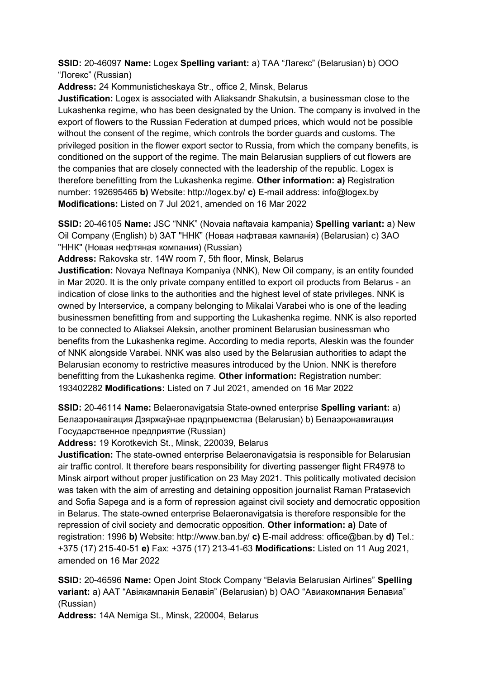**SSID:** 20-46097 **Name:** Logex **Spelling variant:** a) ТАА "Лагекс" (Belarusian) b) ООО "Логекс" (Russian)

**Address:** 24 Kommunisticheskaya Str., office 2, Minsk, Belarus

**Justification:** Logex is associated with Aliaksandr Shakutsin, a businessman close to the Lukashenka regime, who has been designated by the Union. The company is involved in the export of flowers to the Russian Federation at dumped prices, which would not be possible without the consent of the regime, which controls the border guards and customs. The privileged position in the flower export sector to Russia, from which the company benefits, is conditioned on the support of the regime. The main Belarusian suppliers of cut flowers are the companies that are closely connected with the leadership of the republic. Logex is therefore benefitting from the Lukashenka regime. **Other information: a)** Registration number: 192695465 **b)** Website: http://logex.by/ **c)** E-mail address: info@logex.by **Modifications:** Listed on 7 Jul 2021, amended on 16 Mar 2022

**SSID:** 20-46105 **Name:** JSC "NNK" (Novaia naftavaia kampania) **Spelling variant:** a) New Oil Company (English) b) ЗАТ "ННК" (Новая нафтавая кампанiя) (Belarusian) c) ЗАО "ННК" (Новая нефтяная компания) (Russian)

**Address:** Rakovska str. 14W room 7, 5th floor, Minsk, Belarus

**Justification:** Novaya Neftnaya Kompaniya (NNK), New Oil company, is an entity founded in Mar 2020. It is the only private company entitled to export oil products from Belarus - an indication of close links to the authorities and the highest level of state privileges. NNK is owned by Interservice, a company belonging to Mikalai Varabei who is one of the leading businessmen benefitting from and supporting the Lukashenka regime. NNK is also reported to be connected to Aliaksei Aleksin, another prominent Belarusian businessman who benefits from the Lukashenka regime. According to media reports, Aleskin was the founder of NNK alongside Varabei. NNK was also used by the Belarusian authorities to adapt the Belarusian economy to restrictive measures introduced by the Union. NNK is therefore benefitting from the Lukashenka regime. **Other information:** Registration number: 193402282 **Modifications:** Listed on 7 Jul 2021, amended on 16 Mar 2022

**SSID:** 20-46114 **Name:** Belaeronavigatsia State-owned enterprise **Spelling variant:** a) Белаэронавiгация Дзяржаўнае прадпрыемства (Belarusian) b) Белаэронавигация Государственное предприятие (Russian)

**Address:** 19 Korotkevich St., Minsk, 220039, Belarus

**Justification:** The state-owned enterprise Belaeronavigatsia is responsible for Belarusian air traffic control. It therefore bears responsibility for diverting passenger flight FR4978 to Minsk airport without proper justification on 23 May 2021. This politically motivated decision was taken with the aim of arresting and detaining opposition journalist Raman Pratasevich and Sofia Sapega and is a form of repression against civil society and democratic opposition in Belarus. The state-owned enterprise Belaeronavigatsia is therefore responsible for the repression of civil society and democratic opposition. **Other information: a)** Date of registration: 1996 **b)** Website: http://www.ban.by/ **c)** E-mail address: office@ban.by **d)** Tel.: +375 (17) 215-40-51 **e)** Fax: +375 (17) 213-41-63 **Modifications:** Listed on 11 Aug 2021, amended on 16 Mar 2022

**SSID:** 20-46596 **Name:** Open Joint Stock Company "Belavia Belarusian Airlines" **Spelling variant:** a) ААТ "Авiякампанiя Белавiя" (Belarusian) b) ОАО "Авиакомпания Белавиа" (Russian)

**Address:** 14A Nemiga St., Minsk, 220004, Belarus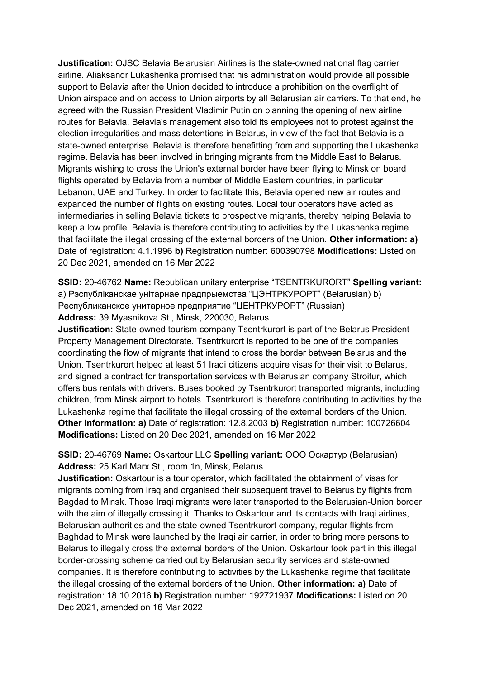**Justification:** OJSC Belavia Belarusian Airlines is the state-owned national flag carrier airline. Aliaksandr Lukashenka promised that his administration would provide all possible support to Belavia after the Union decided to introduce a prohibition on the overflight of Union airspace and on access to Union airports by all Belarusian air carriers. To that end, he agreed with the Russian President Vladimir Putin on planning the opening of new airline routes for Belavia. Belavia's management also told its employees not to protest against the election irregularities and mass detentions in Belarus, in view of the fact that Belavia is a state-owned enterprise. Belavia is therefore benefitting from and supporting the Lukashenka regime. Belavia has been involved in bringing migrants from the Middle East to Belarus. Migrants wishing to cross the Union's external border have been flying to Minsk on board flights operated by Belavia from a number of Middle Eastern countries, in particular Lebanon, UAE and Turkey. In order to facilitate this, Belavia opened new air routes and expanded the number of flights on existing routes. Local tour operators have acted as intermediaries in selling Belavia tickets to prospective migrants, thereby helping Belavia to keep a low profile. Belavia is therefore contributing to activities by the Lukashenka regime that facilitate the illegal crossing of the external borders of the Union. **Other information: a)**  Date of registration: 4.1.1996 **b)** Registration number: 600390798 **Modifications:** Listed on 20 Dec 2021, amended on 16 Mar 2022

**SSID:** 20-46762 **Name:** Republican unitary enterprise "TSENTRKURORT" **Spelling variant:**  a) Рэспублiканскае унiтарнае прадпрыемства "ЦЭНТРКУРОРТ" (Belarusian) b) Республиканское унитарное предприятие "ЦЕНТРКУРОРТ" (Russian) **Address:** 39 Myasnikova St., Minsk, 220030, Belarus

**Justification:** State-owned tourism company Tsentrkurort is part of the Belarus President Property Management Directorate. Tsentrkurort is reported to be one of the companies coordinating the flow of migrants that intend to cross the border between Belarus and the Union. Tsentrkurort helped at least 51 Iraqi citizens acquire visas for their visit to Belarus, and signed a contract for transportation services with Belarusian company Stroitur, which offers bus rentals with drivers. Buses booked by Tsentrkurort transported migrants, including children, from Minsk airport to hotels. Tsentrkurort is therefore contributing to activities by the Lukashenka regime that facilitate the illegal crossing of the external borders of the Union. **Other information: a)** Date of registration: 12.8.2003 **b)** Registration number: 100726604 **Modifications:** Listed on 20 Dec 2021, amended on 16 Mar 2022

## **SSID:** 20-46769 **Name:** Oskartour LLC **Spelling variant:** ООО Оскартур (Belarusian) **Address:** 25 Karl Marx St., room 1n, Minsk, Belarus

**Justification:** Oskartour is a tour operator, which facilitated the obtainment of visas for migrants coming from Iraq and organised their subsequent travel to Belarus by flights from Bagdad to Minsk. Those Iraqi migrants were later transported to the Belarusian-Union border with the aim of illegally crossing it. Thanks to Oskartour and its contacts with Iraqi airlines, Belarusian authorities and the state-owned Tsentrkurort company, regular flights from Baghdad to Minsk were launched by the Iraqi air carrier, in order to bring more persons to Belarus to illegally cross the external borders of the Union. Oskartour took part in this illegal border-crossing scheme carried out by Belarusian security services and state-owned companies. It is therefore contributing to activities by the Lukashenka regime that facilitate the illegal crossing of the external borders of the Union. **Other information: a)** Date of registration: 18.10.2016 **b)** Registration number: 192721937 **Modifications:** Listed on 20 Dec 2021, amended on 16 Mar 2022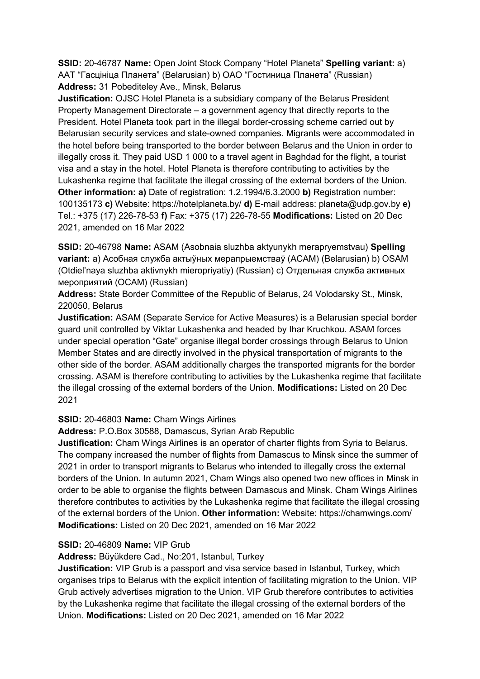**SSID:** 20-46787 **Name:** Open Joint Stock Company "Hotel Planeta" **Spelling variant:** a) ААТ "Гасцiнiца Планета" (Belarusian) b) OAO "Гостиница Планета" (Russian) **Address:** 31 Pobediteley Ave., Minsk, Belarus

**Justification:** OJSC Hotel Planeta is a subsidiary company of the Belarus President Property Management Directorate – a government agency that directly reports to the President. Hotel Planeta took part in the illegal border-crossing scheme carried out by Belarusian security services and state-owned companies. Migrants were accommodated in the hotel before being transported to the border between Belarus and the Union in order to illegally cross it. They paid USD 1 000 to a travel agent in Baghdad for the flight, a tourist visa and a stay in the hotel. Hotel Planeta is therefore contributing to activities by the Lukashenka regime that facilitate the illegal crossing of the external borders of the Union. **Other information: a)** Date of registration: 1.2.1994/6.3.2000 **b)** Registration number: 100135173 **c)** Website: https://hotelplaneta.by/ **d)** E-mail address: planeta@udp.gov.by **e)**  Tel.: +375 (17) 226-78-53 **f)** Fax: +375 (17) 226-78-55 **Modifications:** Listed on 20 Dec 2021, amended on 16 Mar 2022

**SSID:** 20-46798 **Name:** ASAM (Asobnaia sluzhba aktyunykh merapryemstvau) **Spelling variant:** a) Асобная служба актыўных мерапрыемстваў (АСАМ) (Belarusian) b) OSAM (Otdiel'naya sluzhba aktivnykh mieropriyatiy) (Russian) c) Отдельная служба активных мероприятий (ОСАМ) (Russian)

**Address:** State Border Committee of the Republic of Belarus, 24 Volodarsky St., Minsk, 220050, Belarus

**Justification:** ASAM (Separate Service for Active Measures) is a Belarusian special border guard unit controlled by Viktar Lukashenka and headed by Ihar Kruchkou. ASAM forces under special operation "Gate" organise illegal border crossings through Belarus to Union Member States and are directly involved in the physical transportation of migrants to the other side of the border. ASAM additionally charges the transported migrants for the border crossing. ASAM is therefore contributing to activities by the Lukashenka regime that facilitate the illegal crossing of the external borders of the Union. **Modifications:** Listed on 20 Dec 2021

## **SSID:** 20-46803 **Name:** Cham Wings Airlines

**Address:** P.O.Box 30588, Damascus, Syrian Arab Republic

**Justification:** Cham Wings Airlines is an operator of charter flights from Syria to Belarus. The company increased the number of flights from Damascus to Minsk since the summer of 2021 in order to transport migrants to Belarus who intended to illegally cross the external borders of the Union. In autumn 2021, Cham Wings also opened two new offices in Minsk in order to be able to organise the flights between Damascus and Minsk. Cham Wings Airlines therefore contributes to activities by the Lukashenka regime that facilitate the illegal crossing of the external borders of the Union. **Other information:** Website: https://chamwings.com/ **Modifications:** Listed on 20 Dec 2021, amended on 16 Mar 2022

## **SSID:** 20-46809 **Name:** VIP Grub

**Address:** Büyükdere Cad., No:201, Istanbul, Turkey

**Justification:** VIP Grub is a passport and visa service based in Istanbul, Turkey, which organises trips to Belarus with the explicit intention of facilitating migration to the Union. VIP Grub actively advertises migration to the Union. VIP Grub therefore contributes to activities by the Lukashenka regime that facilitate the illegal crossing of the external borders of the Union. **Modifications:** Listed on 20 Dec 2021, amended on 16 Mar 2022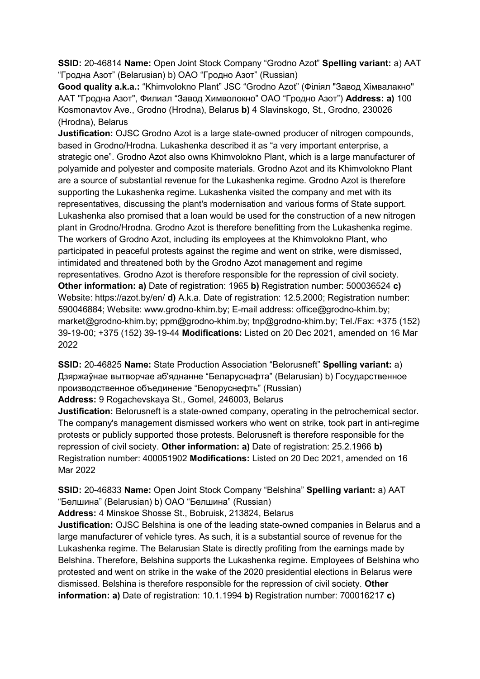**SSID:** 20-46814 **Name:** Open Joint Stock Company "Grodno Azot" **Spelling variant:** a) ААТ "Гродна Азот" (Belarusian) b) ОАО "Гродно Азот" (Russian)

**Good quality a.k.a.:** "Khimvolokno Plant" JSC "Grodno Azot" (Фiлiял "Завод Хiмвалакно" ААТ "Гродна Азот", Филиал "Завод Химволокно" ОАО "Гродно Азот") **Address: a)** 100 Kosmonavtov Ave., Grodno (Hrodna), Belarus **b)** 4 Slavinskogo, St., Grodno, 230026 (Hrodna), Belarus

**Justification:** OJSC Grodno Azot is a large state-owned producer of nitrogen compounds, based in Grodno/Hrodna. Lukashenka described it as "a very important enterprise, a strategic one". Grodno Azot also owns Khimvolokno Plant, which is a large manufacturer of polyamide and polyester and composite materials. Grodno Azot and its Khimvolokno Plant are a source of substantial revenue for the Lukashenka regime. Grodno Azot is therefore supporting the Lukashenka regime. Lukashenka visited the company and met with its representatives, discussing the plant's modernisation and various forms of State support. Lukashenka also promised that a loan would be used for the construction of a new nitrogen plant in Grodno/Hrodna. Grodno Azot is therefore benefitting from the Lukashenka regime. The workers of Grodno Azot, including its employees at the Khimvolokno Plant, who participated in peaceful protests against the regime and went on strike, were dismissed, intimidated and threatened both by the Grodno Azot management and regime representatives. Grodno Azot is therefore responsible for the repression of civil society. **Other information: a)** Date of registration: 1965 **b)** Registration number: 500036524 **c)**  Website: https://azot.by/en/ **d)** A.k.a. Date of registration: 12.5.2000; Registration number: 590046884; Website: www.grodno-khim.by; E-mail address: office@grodno-khim.by; market@grodno-khim.by; ppm@grodno-khim.by; tnp@grodno-khim.by; Tel./Fax: +375 (152) 39-19-00; +375 (152) 39-19-44 **Modifications:** Listed on 20 Dec 2021, amended on 16 Mar 2022

**SSID:** 20-46825 **Name:** State Production Association "Belorusneft" **Spelling variant:** a) Дзяржаўнае вытворчае аб'яднанне "Беларуснафта" (Belarusian) b) Государственное производственное объединение "Белоруснефть" (Russian)

**Address:** 9 Rogachevskaya St., Gomel, 246003, Belarus

**Justification:** Belorusneft is a state-owned company, operating in the petrochemical sector. The company's management dismissed workers who went on strike, took part in anti-regime protests or publicly supported those protests. Belorusneft is therefore responsible for the repression of civil society. **Other information: a)** Date of registration: 25.2.1966 **b)**  Registration number: 400051902 **Modifications:** Listed on 20 Dec 2021, amended on 16 Mar 2022

**SSID:** 20-46833 **Name:** Open Joint Stock Company "Belshina" **Spelling variant:** a) AAT "Белшина" (Belarusian) b) ОАО "Белшина" (Russian)

**Address:** 4 Minskoe Shosse St., Bobruisk, 213824, Belarus

**Justification:** OJSC Belshina is one of the leading state-owned companies in Belarus and a large manufacturer of vehicle tyres. As such, it is a substantial source of revenue for the Lukashenka regime. The Belarusian State is directly profiting from the earnings made by Belshina. Therefore, Belshina supports the Lukashenka regime. Employees of Belshina who protested and went on strike in the wake of the 2020 presidential elections in Belarus were dismissed. Belshina is therefore responsible for the repression of civil society. **Other information: a)** Date of registration: 10.1.1994 **b)** Registration number: 700016217 **c)**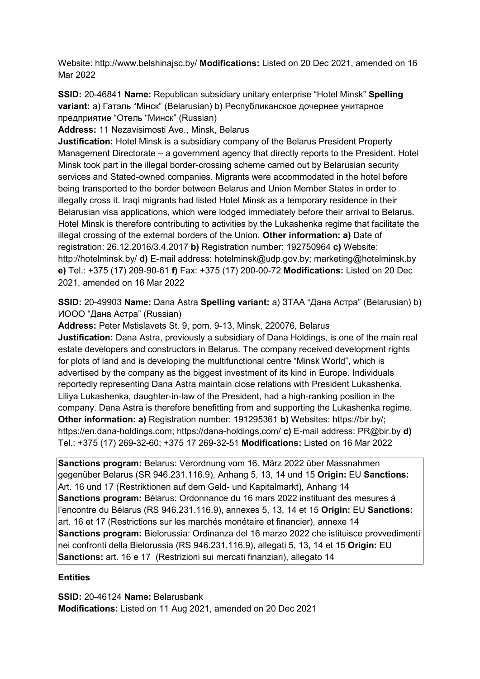Website: http://www.belshinajsc.by/ **Modifications:** Listed on 20 Dec 2021, amended on 16 Mar 2022

**SSID:** 20-46841 **Name:** Republican subsidiary unitary enterprise "Hotel Minsk" **Spelling variant:** a) Гатэль "Мiнск" (Belarusian) b) Республиканское дочернее унитарное предприятие "Отель "Минск" (Russian)

**Address:** 11 Nezavisimosti Ave., Minsk, Belarus

**Justification:** Hotel Minsk is a subsidiary company of the Belarus President Property Management Directorate – a government agency that directly reports to the President. Hotel Minsk took part in the illegal border-crossing scheme carried out by Belarusian security services and Stated-owned companies. Migrants were accommodated in the hotel before being transported to the border between Belarus and Union Member States in order to illegally cross it. Iraqi migrants had listed Hotel Minsk as a temporary residence in their Belarusian visa applications, which were lodged immediately before their arrival to Belarus. Hotel Minsk is therefore contributing to activities by the Lukashenka regime that facilitate the illegal crossing of the external borders of the Union. **Other information: a)** Date of registration: 26.12.2016/3.4.2017 **b)** Registration number: 192750964 **c)** Website: http://hotelminsk.by/ **d)** E-mail address: hotelminsk@udp.gov.by; marketing@hotelminsk.by **e)** Tel.: +375 (17) 209-90-61 **f)** Fax: +375 (17) 200-00-72 **Modifications:** Listed on 20 Dec 2021, amended on 16 Mar 2022

**SSID:** 20-49903 **Name:** Dana Astra **Spelling variant:** a) ЗТАА "Дана Астра" (Belarusian) b) ИООО "Дана Астра" (Russian)

**Address:** Peter Mstislavets St. 9, pom. 9-13, Minsk, 220076, Belarus **Justification:** Dana Astra, previously a subsidiary of Dana Holdings, is one of the main real estate developers and constructors in Belarus. The company received development rights for plots of land and is developing the multifunctional centre "Minsk World", which is advertised by the company as the biggest investment of its kind in Europe. Individuals reportedly representing Dana Astra maintain close relations with President Lukashenka. Liliya Lukashenka, daughter-in-law of the President, had a high-ranking position in the company. Dana Astra is therefore benefitting from and supporting the Lukashenka regime. **Other information: a)** Registration number: 191295361 **b)** Websites: https://bir.by/; https://en.dana-holdings.com; https://dana-holdings.com/ **c)** E-mail address: PR@bir.by **d)**  Tel.: +375 (17) 269-32-60; +375 17 269-32-51 **Modifications:** Listed on 16 Mar 2022

**Sanctions program:** Belarus: Verordnung vom 16. März 2022 über Massnahmen gegenüber Belarus (SR 946.231.116.9), Anhang 5, 13, 14 und 15 **Origin:** EU **Sanctions:** Art. 16 und 17 (Restriktionen auf dem Geld- und Kapitalmarkt), Anhang 14 **Sanctions program:** Bélarus: Ordonnance du 16 mars 2022 instituant des mesures à l'encontre du Bélarus (RS 946.231.116.9), annexes 5, 13, 14 et 15 **Origin:** EU **Sanctions:** art. 16 et 17 (Restrictions sur les marchés monétaire et financier), annexe 14 **Sanctions program:** Bielorussia: Ordinanza del 16 marzo 2022 che istituisce provvedimenti nei confronti della Bielorussia (RS 946.231.116.9), allegati 5, 13, 14 et 15 **Origin:** EU **Sanctions:** art. 16 e 17 (Restrizioni sui mercati finanziari), allegato 14

## **Entities**

**SSID:** 20-46124 **Name:** Belarusbank **Modifications:** Listed on 11 Aug 2021, amended on 20 Dec 2021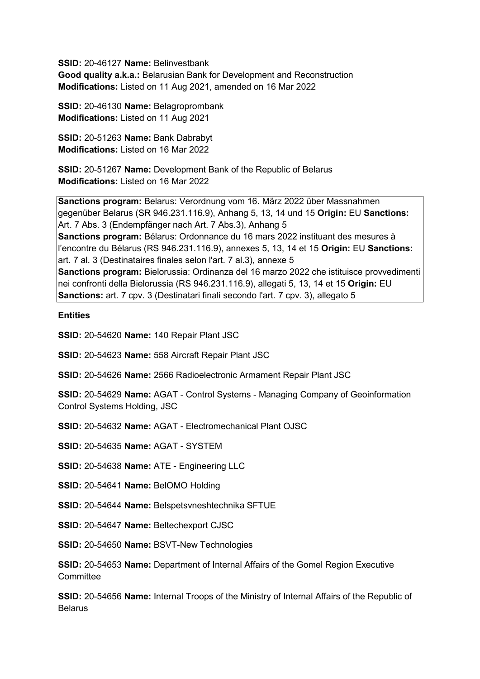**SSID:** 20-46127 **Name:** Belinvestbank **Good quality a.k.a.:** Belarusian Bank for Development and Reconstruction **Modifications:** Listed on 11 Aug 2021, amended on 16 Mar 2022

**SSID:** 20-46130 **Name:** Belagroprombank **Modifications:** Listed on 11 Aug 2021

**SSID:** 20-51263 **Name:** Bank Dabrabyt **Modifications:** Listed on 16 Mar 2022

**SSID:** 20-51267 **Name:** Development Bank of the Republic of Belarus **Modifications:** Listed on 16 Mar 2022

**Sanctions program:** Belarus: Verordnung vom 16. März 2022 über Massnahmen gegenüber Belarus (SR 946.231.116.9), Anhang 5, 13, 14 und 15 **Origin:** EU **Sanctions:** Art. 7 Abs. 3 (Endempfänger nach Art. 7 Abs.3), Anhang 5 **Sanctions program:** Bélarus: Ordonnance du 16 mars 2022 instituant des mesures à l'encontre du Bélarus (RS 946.231.116.9), annexes 5, 13, 14 et 15 **Origin:** EU **Sanctions:** art. 7 al. 3 (Destinataires finales selon l'art. 7 al.3), annexe 5 **Sanctions program:** Bielorussia: Ordinanza del 16 marzo 2022 che istituisce provvedimenti nei confronti della Bielorussia (RS 946.231.116.9), allegati 5, 13, 14 et 15 **Origin:** EU **Sanctions:** art. 7 cpv. 3 (Destinatari finali secondo l'art. 7 cpv. 3), allegato 5

## **Entities**

**SSID:** 20-54620 **Name:** 140 Repair Plant JSC

**SSID:** 20-54623 **Name:** 558 Aircraft Repair Plant JSC

**SSID:** 20-54626 **Name:** 2566 Radioelectronic Armament Repair Plant JSC

**SSID:** 20-54629 **Name:** AGAT - Control Systems - Managing Company of Geoinformation Control Systems Holding, JSC

**SSID:** 20-54632 **Name:** AGAT - Electromechanical Plant OJSC

**SSID:** 20-54635 **Name:** AGAT - SYSTEM

**SSID:** 20-54638 **Name:** ATE - Engineering LLC

**SSID:** 20-54641 **Name:** BelOMO Holding

**SSID:** 20-54644 **Name:** Belspetsvneshtechnika SFTUE

**SSID:** 20-54647 **Name:** Beltechexport CJSC

**SSID:** 20-54650 **Name:** BSVT-New Technologies

**SSID:** 20-54653 **Name:** Department of Internal Affairs of the Gomel Region Executive **Committee** 

**SSID:** 20-54656 **Name:** Internal Troops of the Ministry of Internal Affairs of the Republic of Belarus